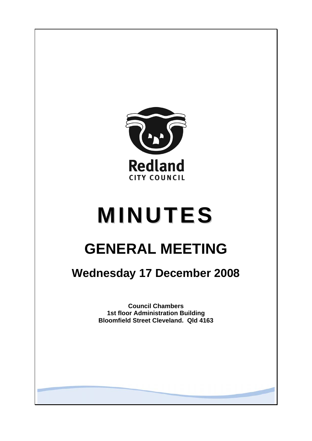

# **MINUTES**

# **GENERAL MEETING**

## **Wednesday 17 December 2008**

**Council Chambers 1st floor Administration Building Bloomfield Street Cleveland. Qld 4163**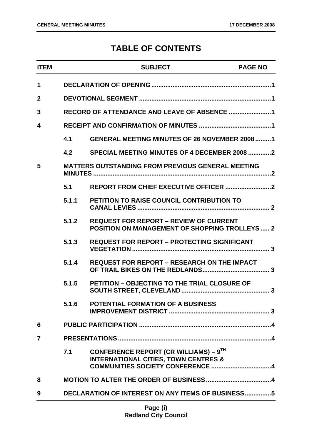### **TABLE OF CONTENTS**

| <b>ITEM</b>  |       | <b>SUBJECT</b>                                                                                         | <b>PAGE NO</b> |
|--------------|-------|--------------------------------------------------------------------------------------------------------|----------------|
| $\mathbf 1$  |       |                                                                                                        |                |
| $\mathbf{2}$ |       |                                                                                                        |                |
| 3            |       |                                                                                                        |                |
| 4            |       |                                                                                                        |                |
|              | 4.1   | <b>GENERAL MEETING MINUTES OF 26 NOVEMBER 2008 1</b>                                                   |                |
|              | 4.2   | SPECIAL MEETING MINUTES OF 4 DECEMBER 2008 2                                                           |                |
| 5            |       | <b>MATTERS OUTSTANDING FROM PREVIOUS GENERAL MEETING</b>                                               |                |
|              | 5.1   |                                                                                                        |                |
|              | 5.1.1 | <b>PETITION TO RAISE COUNCIL CONTRIBUTION TO</b>                                                       |                |
|              | 5.1.2 | <b>REQUEST FOR REPORT - REVIEW OF CURRENT</b><br><b>POSITION ON MANAGEMENT OF SHOPPING TROLLEYS  2</b> |                |
|              | 5.1.3 | <b>REQUEST FOR REPORT - PROTECTING SIGNIFICANT</b>                                                     |                |
|              | 5.1.4 | <b>REQUEST FOR REPORT - RESEARCH ON THE IMPACT</b>                                                     |                |
|              | 5.1.5 | <b>PETITION - OBJECTING TO THE TRIAL CLOSURE OF</b>                                                    |                |
|              | 5.1.6 | <b>POTENTIAL FORMATION OF A BUSINESS</b>                                                               |                |
| 6            |       |                                                                                                        |                |
| 7            |       |                                                                                                        |                |
|              | 7.1   | CONFERENCE REPORT (CR WILLIAMS) – $9^{TH}$<br><b>INTERNATIONAL CITIES, TOWN CENTRES &amp;</b>          |                |
| 8            |       |                                                                                                        |                |
| 9            |       | <b>DECLARATION OF INTEREST ON ANY ITEMS OF BUSINESS5</b>                                               |                |
|              |       |                                                                                                        |                |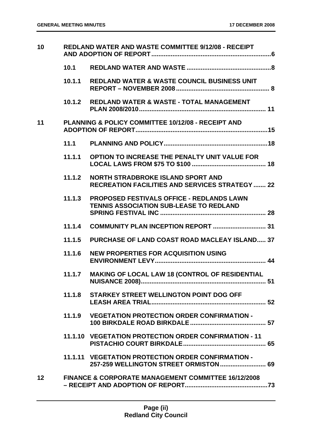| 10              | <b>REDLAND WATER AND WASTE COMMITTEE 9/12/08 - RECEIPT</b> |                                                                                              |
|-----------------|------------------------------------------------------------|----------------------------------------------------------------------------------------------|
|                 | 10.1                                                       |                                                                                              |
|                 | 10.1.1                                                     | <b>REDLAND WATER &amp; WASTE COUNCIL BUSINESS UNIT</b>                                       |
|                 | 10.1.2                                                     | <b>REDLAND WATER &amp; WASTE - TOTAL MANAGEMENT</b>                                          |
| 11              |                                                            | PLANNING & POLICY COMMITTEE 10/12/08 - RECEIPT AND                                           |
|                 |                                                            |                                                                                              |
|                 | 11.1.1                                                     | OPTION TO INCREASE THE PENALTY UNIT VALUE FOR                                                |
|                 | 11.1.2                                                     | NORTH STRADBROKE ISLAND SPORT AND<br><b>RECREATION FACILITIES AND SERVICES STRATEGY  22</b>  |
|                 | 11.1.3                                                     | PROPOSED FESTIVALS OFFICE - REDLANDS LAWN<br><b>TENNIS ASSOCIATION SUB-LEASE TO REDLAND</b>  |
|                 | 11.1.4                                                     |                                                                                              |
|                 | 11.1.5                                                     | <b>PURCHASE OF LAND COAST ROAD MACLEAY ISLAND 37</b>                                         |
|                 | 11.1.6                                                     | <b>NEW PROPERTIES FOR ACQUISITION USING</b>                                                  |
|                 | 11.1.7                                                     | <b>MAKING OF LOCAL LAW 18 (CONTROL OF RESIDENTIAL</b>                                        |
|                 |                                                            | 11.1.8 STARKEY STREET WELLINGTON POINT DOG OFF                                               |
|                 |                                                            | 11.1.9 VEGETATION PROTECTION ORDER CONFIRMATION -                                            |
|                 |                                                            | 11.1.10 VEGETATION PROTECTION ORDER CONFIRMATION - 11                                        |
|                 |                                                            | 11.1.11 VEGETATION PROTECTION ORDER CONFIRMATION -<br>257-259 WELLINGTON STREET ORMISTON  69 |
| 12 <sup>2</sup> |                                                            | FINANCE & CORPORATE MANAGEMENT COMMITTEE 16/12/2008                                          |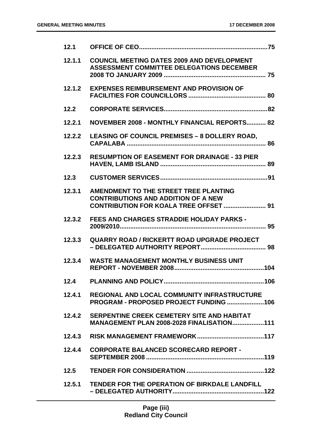| 12.1   |                                                                                                                               |
|--------|-------------------------------------------------------------------------------------------------------------------------------|
| 12.1.1 | <b>COUNCIL MEETING DATES 2009 AND DEVELOPMENT</b><br><b>ASSESSMENT COMMITTEE DELEGATIONS DECEMBER</b>                         |
| 12.1.2 | <b>EXPENSES REIMBURSEMENT AND PROVISION OF</b>                                                                                |
| 12.2   |                                                                                                                               |
| 12.2.1 | NOVEMBER 2008 - MONTHLY FINANCIAL REPORTS 82                                                                                  |
| 12.2.2 | <b>LEASING OF COUNCIL PREMISES - 8 DOLLERY ROAD,</b>                                                                          |
| 12.2.3 | <b>RESUMPTION OF EASEMENT FOR DRAINAGE - 33 PIER</b>                                                                          |
| 12.3   |                                                                                                                               |
| 12.3.1 | AMENDMENT TO THE STREET TREE PLANTING<br><b>CONTRIBUTIONS AND ADDITION OF A NEW</b><br>CONTRIBUTION FOR KOALA TREE OFFSET  91 |
| 12.3.2 | FEES AND CHARGES STRADDIE HOLIDAY PARKS -                                                                                     |
| 12.3.3 | <b>QUARRY ROAD / RICKERTT ROAD UPGRADE PROJECT</b>                                                                            |
| 12.3.4 | <b>WASTE MANAGEMENT MONTHLY BUSINESS UNIT</b>                                                                                 |
| 12.4   |                                                                                                                               |
| 12.4.1 | <b>REGIONAL AND LOCAL COMMUNITY INFRASTRUCTURE</b><br>PROGRAM - PROPOSED PROJECT FUNDING 106                                  |
|        | 12.4.2 SERPENTINE CREEK CEMETERY SITE AND HABITAT<br><b>MANAGEMENT PLAN 2008-2028 FINALISATION111</b>                         |
| 12.4.3 |                                                                                                                               |
| 12.4.4 | <b>CORPORATE BALANCED SCORECARD REPORT -</b>                                                                                  |
| 12.5   |                                                                                                                               |
| 12.5.1 | TENDER FOR THE OPERATION OF BIRKDALE LANDFILL                                                                                 |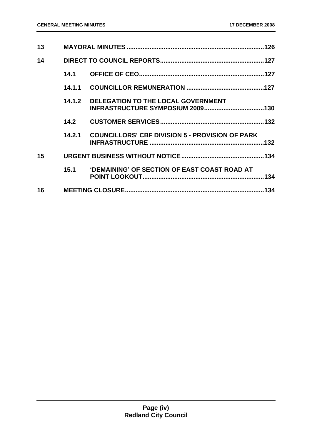| 13              |        |                                                        |      |
|-----------------|--------|--------------------------------------------------------|------|
| 14              |        |                                                        |      |
|                 | 14.1   |                                                        |      |
|                 | 14.1.1 |                                                        |      |
|                 | 14.1.2 | <b>DELEGATION TO THE LOCAL GOVERNMENT</b>              |      |
|                 | 14.2   |                                                        |      |
|                 | 14.2.1 | <b>COUNCILLORS' CBF DIVISION 5 - PROVISION OF PARK</b> |      |
| 15 <sub>1</sub> |        |                                                        |      |
|                 | 15.1   | <b>'DEMAINING' OF SECTION OF EAST COAST ROAD AT</b>    | .134 |
| 16              |        |                                                        |      |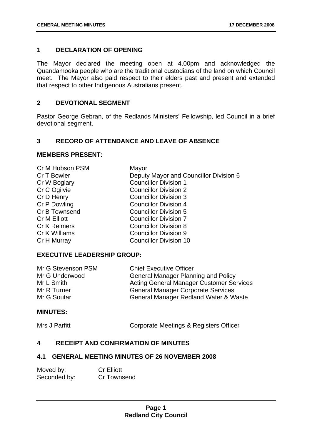#### **1** 0B**DECLARATION OF OPENING**

The Mayor declared the meeting open at 4.00pm and acknowledged the Quandamooka people who are the traditional custodians of the land on which Council meet. The Mayor also paid respect to their elders past and present and extended that respect to other Indigenous Australians present.

#### **2** DEVOTIONAL SEGMENT

Pastor George Gebran, of the Redlands Ministers' Fellowship, led Council in a brief devotional segment.

#### **3** 2B**RECORD OF ATTENDANCE AND LEAVE OF ABSENCE**

#### **MEMBERS PRESENT:**

| Cr M Hobson PSM     | Mayor                                  |
|---------------------|----------------------------------------|
| Cr T Bowler         | Deputy Mayor and Councillor Division 6 |
| Cr W Boglary        | <b>Councillor Division 1</b>           |
| Cr C Ogilvie        | <b>Councillor Division 2</b>           |
| Cr D Henry          | <b>Councillor Division 3</b>           |
| Cr P Dowling        | <b>Councillor Division 4</b>           |
| Cr B Townsend       | <b>Councillor Division 5</b>           |
| <b>Cr M Elliott</b> | <b>Councillor Division 7</b>           |
| <b>Cr K Reimers</b> | <b>Councillor Division 8</b>           |
| Cr K Williams       | <b>Councillor Division 9</b>           |
| Cr H Murray         | <b>Councillor Division 10</b>          |

#### **EXECUTIVE LEADERSHIP GROUP:**

| Mr G Stevenson PSM | <b>Chief Executive Officer</b>                  |
|--------------------|-------------------------------------------------|
| Mr G Underwood     | <b>General Manager Planning and Policy</b>      |
| Mr L Smith         | <b>Acting General Manager Customer Services</b> |
| Mr R Turner        | <b>General Manager Corporate Services</b>       |
| Mr G Soutar        | General Manager Redland Water & Waste           |

#### **MINUTES:**

Mrs J Parfitt **Corporate Meetings & Registers Officer** 

#### **4** 3B**RECEIPT AND CONFIRMATION OF MINUTES**

#### **4.1 GENERAL MEETING MINUTES OF 26 NOVEMBER 2008**

| Moved by:    | <b>Cr Elliott</b> |
|--------------|-------------------|
| Seconded by: | Cr Townsend       |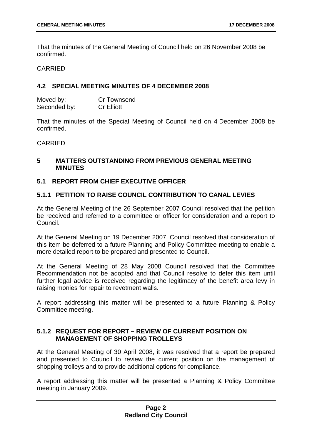That the minutes of the General Meeting of Council held on 26 November 2008 be confirmed.

CARRIED

#### **4.2 SPECIAL MEETING MINUTES OF 4 DECEMBER 2008**

| Moved by:    | <b>Cr Townsend</b> |
|--------------|--------------------|
| Seconded by: | <b>Cr Elliott</b>  |

That the minutes of the Special Meeting of Council held on 4 December 2008 be confirmed.

#### **CARRIED**

#### **5** 4B**MATTERS OUTSTANDING FROM PREVIOUS GENERAL MEETING MINUTES**

#### **5.1 REPORT FROM CHIEF EXECUTIVE OFFICER**

#### **5.1.1 PETITION TO RAISE COUNCIL CONTRIBUTION TO CANAL LEVIES**

At the General Meeting of the 26 September 2007 Council resolved that the petition be received and referred to a committee or officer for consideration and a report to Council.

At the General Meeting on 19 December 2007, Council resolved that consideration of this item be deferred to a future Planning and Policy Committee meeting to enable a more detailed report to be prepared and presented to Council.

At the General Meeting of 28 May 2008 Council resolved that the Committee Recommendation not be adopted and that Council resolve to defer this item until further legal advice is received regarding the legitimacy of the benefit area levy in raising monies for repair to revetment walls.

A report addressing this matter will be presented to a future Planning & Policy Committee meeting.

#### **5.1.2 REQUEST FOR REPORT – REVIEW OF CURRENT POSITION ON MANAGEMENT OF SHOPPING TROLLEYS**

At the General Meeting of 30 April 2008, it was resolved that a report be prepared and presented to Council to review the current position on the management of shopping trolleys and to provide additional options for compliance.

A report addressing this matter will be presented a Planning & Policy Committee meeting in January 2009.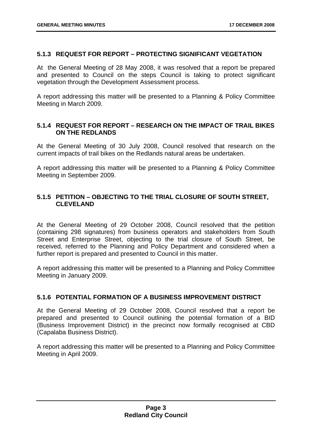#### **5.1.3 REQUEST FOR REPORT – PROTECTING SIGNIFICANT VEGETATION**

At the General Meeting of 28 May 2008, it was resolved that a report be prepared and presented to Council on the steps Council is taking to protect significant vegetation through the Development Assessment process.

A report addressing this matter will be presented to a Planning & Policy Committee Meeting in March 2009.

#### **5.1.4** 3B**REQUEST FOR REPORT – RESEARCH ON THE IMPACT OF TRAIL BIKES ON THE REDLANDS**

At the General Meeting of 30 July 2008, Council resolved that research on the current impacts of trail bikes on the Redlands natural areas be undertaken.

A report addressing this matter will be presented to a Planning & Policy Committee Meeting in September 2009.

#### **5.1.5** 34B**PETITION – OBJECTING TO THE TRIAL CLOSURE OF SOUTH STREET, CLEVELAND**

At the General Meeting of 29 October 2008, Council resolved that the petition (containing 298 signatures) from business operators and stakeholders from South Street and Enterprise Street, objecting to the trial closure of South Street, be received, referred to the Planning and Policy Department and considered when a further report is prepared and presented to Council in this matter.

A report addressing this matter will be presented to a Planning and Policy Committee Meeting in January 2009.

#### **5.1.6 POTENTIAL FORMATION OF A BUSINESS IMPROVEMENT DISTRICT**

At the General Meeting of 29 October 2008, Council resolved that a report be prepared and presented to Council outlining the potential formation of a BID (Business Improvement District) in the precinct now formally recognised at CBD (Capalaba Business District).

A report addressing this matter will be presented to a Planning and Policy Committee Meeting in April 2009.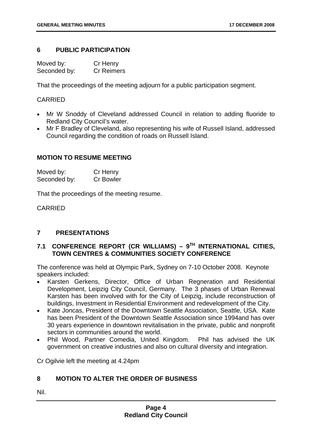#### **6** PUBLIC PARTICIPATION

| Moved by:    | Cr Henry          |
|--------------|-------------------|
| Seconded by: | <b>Cr Reimers</b> |

That the proceedings of the meeting adjourn for a public participation segment.

#### CARRIED

- Mr W Snoddy of Cleveland addressed Council in relation to adding fluoride to Redland City Council's water.
- Mr F Bradley of Cleveland, also representing his wife of Russell Island, addressed Council regarding the condition of roads on Russell Island.

#### **MOTION TO RESUME MEETING**

| Moved by:    | Cr Henry         |
|--------------|------------------|
| Seconded by: | <b>Cr Bowler</b> |

That the proceedings of the meeting resume.

CARRIED

#### **7** 6B**PRESENTATIONS**

#### **7.1** 19B**CONFERENCE REPORT (CR WILLIAMS) – 9TH INTERNATIONAL CITIES, TOWN CENTRES & COMMUNITIES SOCIETY CONFERENCE**

The conference was held at Olympic Park, Sydney on 7-10 October 2008. Keynote speakers included:

- Karsten Gerkens, Director, Office of Urban Regneration and Residential Development, Leipzig City Council, Germany. The 3 phases of Urban Renewal Karsten has been involved with for the City of Leipzig, include reconstruction of buildings, Investment in Residential Environment and redevelopment of the City.
- Kate Joncas, President of the Downtown Seattle Association, Seattle, USA. Kate has been President of the Downtown Seattle Association since 1994and has over 30 years experience in downtown revitalisation in the private, public and nonprofit sectors in communities around the world.
- Phil Wood, Partner Comedia, United Kingdom. Phil has advised the UK government on creative industries and also on cultural diversity and integration.

Cr Ogilvie left the meeting at 4.24pm

#### **8** 7B**MOTION TO ALTER THE ORDER OF BUSINESS**

Nil.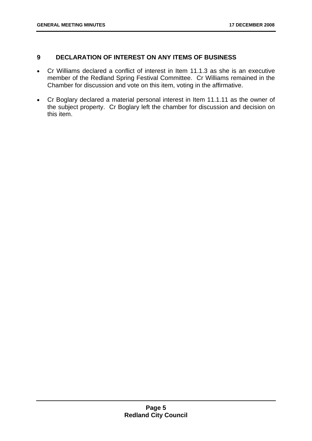#### **9** 8B**DECLARATION OF INTEREST ON ANY ITEMS OF BUSINESS**

- Cr Williams declared a conflict of interest in Item 11.1.3 as she is an executive member of the Redland Spring Festival Committee. Cr Williams remained in the Chamber for discussion and vote on this item, voting in the affirmative.
- Cr Boglary declared a material personal interest in Item 11.1.11 as the owner of the subject property. Cr Boglary left the chamber for discussion and decision on this item.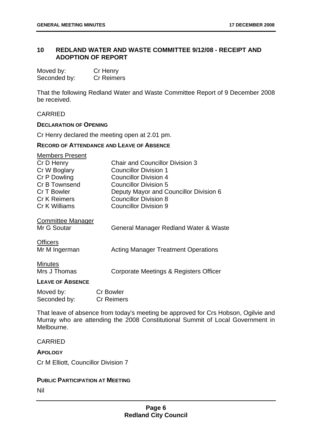#### **10** 9B**REDLAND WATER AND WASTE COMMITTEE 9/12/08 - RECEIPT AND ADOPTION OF REPORT**

| Moved by:    | Cr Henry          |
|--------------|-------------------|
| Seconded by: | <b>Cr Reimers</b> |

That the following Redland Water and Waste Committee Report of 9 December 2008 be received.

#### CARRIED

#### **DECLARATION OF OPENING**

Cr Henry declared the meeting open at 2.01 pm.

#### **RECORD OF ATTENDANCE AND LEAVE OF ABSENCE**

| <b>Members Present</b>  |                                            |
|-------------------------|--------------------------------------------|
| Cr D Henry              | <b>Chair and Councillor Division 3</b>     |
| Cr W Boglary            | Councillor Division 1                      |
| Cr P Dowling            | <b>Councillor Division 4</b>               |
| Cr B Townsend           | Councillor Division 5                      |
| Cr T Bowler             | Deputy Mayor and Councillor Division 6     |
| <b>Cr K Reimers</b>     | <b>Councillor Division 8</b>               |
| Cr K Williams           | <b>Councillor Division 9</b>               |
| Committee Manager       |                                            |
| Mr G Soutar             | General Manager Redland Water & Waste      |
| <b>Officers</b>         |                                            |
| Mr M Ingerman           | <b>Acting Manager Treatment Operations</b> |
| <b>Minutes</b>          |                                            |
| Mrs J Thomas            | Corporate Meetings & Registers Officer     |
| <b>LEAVE OF ABSENCE</b> |                                            |

| Moved by:    | <b>Cr Bowler</b>  |
|--------------|-------------------|
| Seconded by: | <b>Cr Reimers</b> |

That leave of absence from today's meeting be approved for Crs Hobson, Ogilvie and Murray who are attending the 2008 Constitutional Summit of Local Government in Melbourne.

#### CARRIED

#### **APOLOGY**

Cr M Elliott, Councillor Division 7

#### **PUBLIC PARTICIPATION AT MEETING**

Nil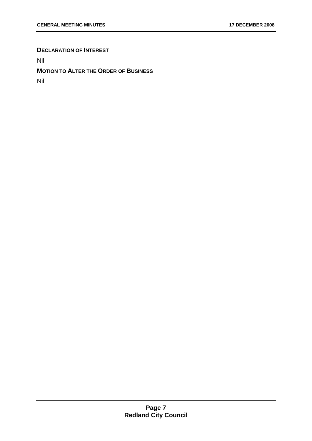#### **DECLARATION OF INTEREST**

Nil

#### **MOTION TO ALTER THE ORDER OF BUSINESS**

Nil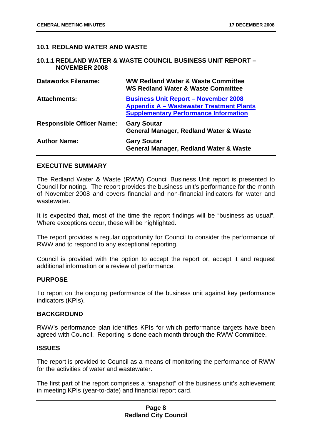#### **10.1 REDLAND WATER AND WASTE**

#### **10.1.1 REDLAND WATER & WASTE COUNCIL BUSINESS UNIT REPORT – NOVEMBER 2008**

| <b>Dataworks Filename:</b>       | <b>WW Redland Water &amp; Waste Committee</b><br><b>WS Redland Water &amp; Waste Committee</b>                                                 |
|----------------------------------|------------------------------------------------------------------------------------------------------------------------------------------------|
| <b>Attachments:</b>              | <b>Business Unit Report - November 2008</b><br><b>Appendix A – Wastewater Treatment Plants</b><br><b>Supplementary Performance Information</b> |
| <b>Responsible Officer Name:</b> | <b>Gary Soutar</b><br><b>General Manager, Redland Water &amp; Waste</b>                                                                        |
| <b>Author Name:</b>              | <b>Gary Soutar</b><br><b>General Manager, Redland Water &amp; Waste</b>                                                                        |

#### **EXECUTIVE SUMMARY**

The Redland Water & Waste (RWW) Council Business Unit report is presented to Council for noting. The report provides the business unit's performance for the month of November 2008 and covers financial and non-financial indicators for water and wastewater.

It is expected that, most of the time the report findings will be "business as usual". Where exceptions occur, these will be highlighted.

The report provides a regular opportunity for Council to consider the performance of RWW and to respond to any exceptional reporting.

Council is provided with the option to accept the report or, accept it and request additional information or a review of performance.

#### **PURPOSE**

To report on the ongoing performance of the business unit against key performance indicators (KPIs).

#### **BACKGROUND**

RWW's performance plan identifies KPIs for which performance targets have been agreed with Council. Reporting is done each month through the RWW Committee.

#### **ISSUES**

The report is provided to Council as a means of monitoring the performance of RWW for the activities of water and wastewater.

The first part of the report comprises a "snapshot" of the business unit's achievement in meeting KPIs (year-to-date) and financial report card.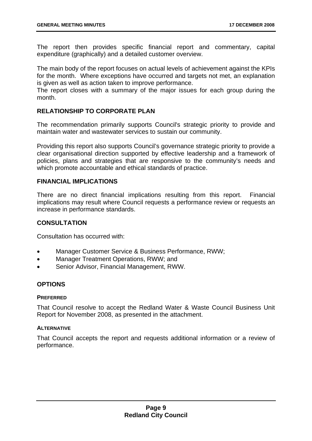The report then provides specific financial report and commentary, capital expenditure (graphically) and a detailed customer overview.

The main body of the report focuses on actual levels of achievement against the KPIs for the month. Where exceptions have occurred and targets not met, an explanation is given as well as action taken to improve performance.

The report closes with a summary of the major issues for each group during the month.

#### **RELATIONSHIP TO CORPORATE PLAN**

The recommendation primarily supports Council's strategic priority to provide and maintain water and wastewater services to sustain our community.

Providing this report also supports Council's governance strategic priority to provide a clear organisational direction supported by effective leadership and a framework of policies, plans and strategies that are responsive to the community's needs and which promote accountable and ethical standards of practice.

#### **FINANCIAL IMPLICATIONS**

There are no direct financial implications resulting from this report. Financial implications may result where Council requests a performance review or requests an increase in performance standards.

#### **CONSULTATION**

Consultation has occurred with:

- Manager Customer Service & Business Performance, RWW;
- Manager Treatment Operations, RWW; and
- Senior Advisor, Financial Management, RWW.

#### **OPTIONS**

#### **PREFERRED**

That Council resolve to accept the Redland Water & Waste Council Business Unit Report for November 2008, as presented in the attachment.

#### **ALTERNATIVE**

That Council accepts the report and requests additional information or a review of performance.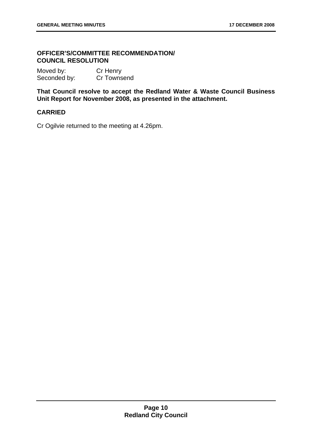#### 6B**OFFICER'S/COMMITTEE RECOMMENDATION/ COUNCIL RESOLUTION**

| Moved by:    | Cr Henry    |
|--------------|-------------|
| Seconded by: | Cr Townsend |

**That Council resolve to accept the Redland Water & Waste Council Business Unit Report for November 2008, as presented in the attachment.** 

#### **CARRIED**

Cr Ogilvie returned to the meeting at 4.26pm.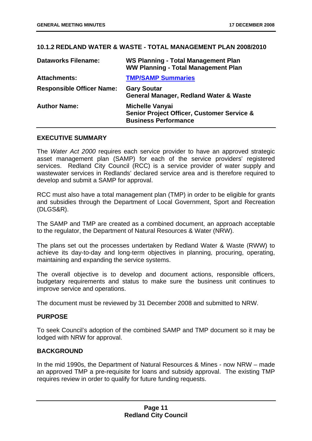#### **10.1.2** 37B**REDLAND WATER & WASTE - TOTAL MANAGEMENT PLAN 2008/2010**

| <b>Dataworks Filename:</b>       | <b>WS Planning - Total Management Plan</b><br><b>WW Planning - Total Management Plan</b>            |
|----------------------------------|-----------------------------------------------------------------------------------------------------|
| <b>Attachments:</b>              | <b>TMP/SAMP Summaries</b>                                                                           |
| <b>Responsible Officer Name:</b> | <b>Gary Soutar</b><br><b>General Manager, Redland Water &amp; Waste</b>                             |
| <b>Author Name:</b>              | <b>Michelle Vanyai</b><br>Senior Project Officer, Customer Service &<br><b>Business Performance</b> |

#### **EXECUTIVE SUMMARY**

The *Water Act 2000* requires each service provider to have an approved strategic asset management plan (SAMP) for each of the service providers' registered services. Redland City Council (RCC) is a service provider of water supply and wastewater services in Redlands' declared service area and is therefore required to develop and submit a SAMP for approval.

RCC must also have a total management plan (TMP) in order to be eligible for grants and subsidies through the Department of Local Government, Sport and Recreation (DLGS&R).

The SAMP and TMP are created as a combined document, an approach acceptable to the regulator, the Department of Natural Resources & Water (NRW).

The plans set out the processes undertaken by Redland Water & Waste (RWW) to achieve its day-to-day and long-term objectives in planning, procuring, operating, maintaining and expanding the service systems.

The overall objective is to develop and document actions, responsible officers, budgetary requirements and status to make sure the business unit continues to improve service and operations.

The document must be reviewed by 31 December 2008 and submitted to NRW.

#### **PURPOSE**

To seek Council's adoption of the combined SAMP and TMP document so it may be lodged with NRW for approval.

#### **BACKGROUND**

In the mid 1990s, the Department of Natural Resources & Mines - now NRW – made an approved TMP a pre-requisite for loans and subsidy approval. The existing TMP requires review in order to qualify for future funding requests.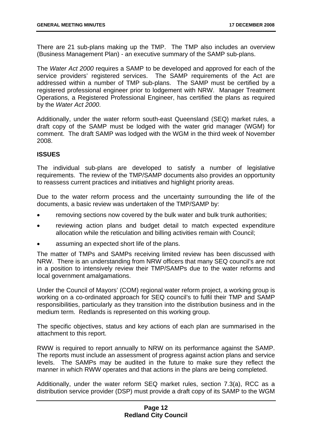There are 21 sub-plans making up the TMP. The TMP also includes an overview (Business Management Plan) - an executive summary of the SAMP sub-plans.

The *Water Act 2000* requires a SAMP to be developed and approved for each of the service providers' registered services. The SAMP requirements of the Act are addressed within a number of TMP sub-plans. The SAMP must be certified by a registered professional engineer prior to lodgement with NRW. Manager Treatment Operations, a Registered Professional Engineer, has certified the plans as required by the *Water Act 2000*.

Additionally, under the water reform south-east Queensland (SEQ) market rules, a draft copy of the SAMP must be lodged with the water grid manager (WGM) for comment. The draft SAMP was lodged with the WGM in the third week of November 2008.

#### **ISSUES**

The individual sub-plans are developed to satisfy a number of legislative requirements. The review of the TMP/SAMP documents also provides an opportunity to reassess current practices and initiatives and highlight priority areas.

Due to the water reform process and the uncertainty surrounding the life of the documents, a basic review was undertaken of the TMP/SAMP by:

- removing sections now covered by the bulk water and bulk trunk authorities;
- reviewing action plans and budget detail to match expected expenditure allocation while the reticulation and billing activities remain with Council;
- assuming an expected short life of the plans.

The matter of TMPs and SAMPs receiving limited review has been discussed with NRW. There is an understanding from NRW officers that many SEQ council's are not in a position to intensively review their TMP/SAMPs due to the water reforms and local government amalgamations.

Under the Council of Mayors' (COM) regional water reform project, a working group is working on a co-ordinated approach for SEQ council's to fulfil their TMP and SAMP responsibilities, particularly as they transition into the distribution business and in the medium term. Redlands is represented on this working group.

The specific objectives, status and key actions of each plan are summarised in the attachment to this report.

RWW is required to report annually to NRW on its performance against the SAMP. The reports must include an assessment of progress against action plans and service levels. The SAMPs may be audited in the future to make sure they reflect the manner in which RWW operates and that actions in the plans are being completed.

Additionally, under the water reform SEQ market rules, section 7.3(a), RCC as a distribution service provider (DSP) must provide a draft copy of its SAMP to the WGM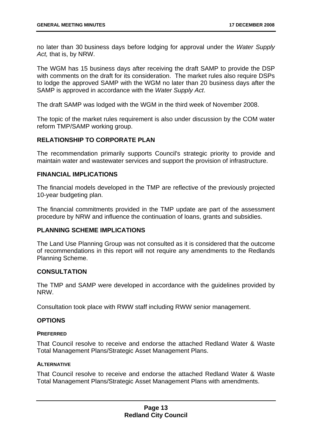no later than 30 business days before lodging for approval under the *Water Supply Act,* that is, by NRW.

The WGM has 15 business days after receiving the draft SAMP to provide the DSP with comments on the draft for its consideration. The market rules also require DSPs to lodge the approved SAMP with the WGM no later than 20 business days after the SAMP is approved in accordance with the *Water Supply Act*.

The draft SAMP was lodged with the WGM in the third week of November 2008.

The topic of the market rules requirement is also under discussion by the COM water reform TMP/SAMP working group.

#### **RELATIONSHIP TO CORPORATE PLAN**

The recommendation primarily supports Council's strategic priority to provide and maintain water and wastewater services and support the provision of infrastructure.

#### **FINANCIAL IMPLICATIONS**

The financial models developed in the TMP are reflective of the previously projected 10-year budgeting plan.

The financial commitments provided in the TMP update are part of the assessment procedure by NRW and influence the continuation of loans, grants and subsidies.

#### **PLANNING SCHEME IMPLICATIONS**

The Land Use Planning Group was not consulted as it is considered that the outcome of recommendations in this report will not require any amendments to the Redlands Planning Scheme.

#### **CONSULTATION**

The TMP and SAMP were developed in accordance with the guidelines provided by NRW.

Consultation took place with RWW staff including RWW senior management.

#### **OPTIONS**

#### **PREFERRED**

That Council resolve to receive and endorse the attached Redland Water & Waste Total Management Plans/Strategic Asset Management Plans.

#### **ALTERNATIVE**

That Council resolve to receive and endorse the attached Redland Water & Waste Total Management Plans/Strategic Asset Management Plans with amendments.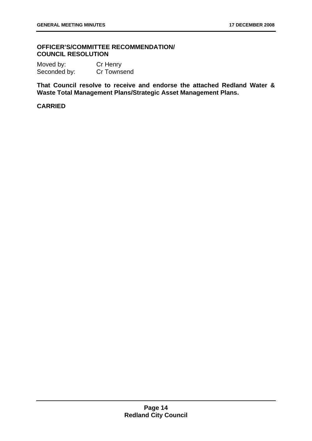#### 67B**OFFICER'S/COMMITTEE RECOMMENDATION/ COUNCIL RESOLUTION**

Moved by: Cr Henry Seconded by: Cr Townsend

**That Council resolve to receive and endorse the attached Redland Water & Waste Total Management Plans/Strategic Asset Management Plans.** 

#### **CARRIED**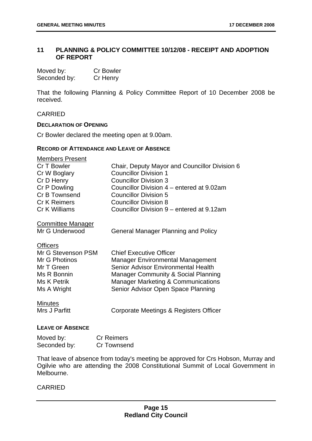#### 11 PLANNING & POLICY COMMITTEE 10/12/08 - RECEIPT AND ADOPTION **OF REPORT**

| Moved by:    | <b>Cr Bowler</b> |
|--------------|------------------|
| Seconded by: | Cr Henry         |

That the following Planning & Policy Committee Report of 10 December 2008 be received.

#### CARRIED

#### **DECLARATION OF OPENING**

Cr Bowler declared the meeting open at 9.00am.

#### **RECORD OF ATTENDANCE AND LEAVE OF ABSENCE**

| <b>Members Present</b>   |                                                |
|--------------------------|------------------------------------------------|
| Cr T Bowler              | Chair, Deputy Mayor and Councillor Division 6  |
| Cr W Boglary             | <b>Councillor Division 1</b>                   |
| Cr D Henry               | <b>Councillor Division 3</b>                   |
| Cr P Dowling             | Councillor Division 4 – entered at 9.02am      |
| Cr B Townsend            | <b>Councillor Division 5</b>                   |
| <b>Cr K Reimers</b>      | <b>Councillor Division 8</b>                   |
| Cr K Williams            | Councillor Division 9 – entered at 9.12am      |
| <b>Committee Manager</b> |                                                |
| Mr G Underwood           | <b>General Manager Planning and Policy</b>     |
| <b>Officers</b>          |                                                |
| Mr G Stevenson PSM       | <b>Chief Executive Officer</b>                 |
| Mr G Photinos            | <b>Manager Environmental Management</b>        |
| Mr T Green               | Senior Advisor Environmental Health            |
| Ms R Bonnin              | <b>Manager Community &amp; Social Planning</b> |
| Ms K Petrik              | <b>Manager Marketing &amp; Communications</b>  |
| Ms A Wright              | Senior Advisor Open Space Planning             |
| <b>Minutes</b>           |                                                |
| Mrs J Parfitt            | Corporate Meetings & Registers Officer         |
| <b>LEAVE OF ABSENCE</b>  |                                                |

| Moved by:    | <b>Cr Reimers</b> |
|--------------|-------------------|
| Seconded by: | Cr Townsend       |

That leave of absence from today's meeting be approved for Crs Hobson, Murray and Ogilvie who are attending the 2008 Constitutional Summit of Local Government in Melbourne.

#### CARRIED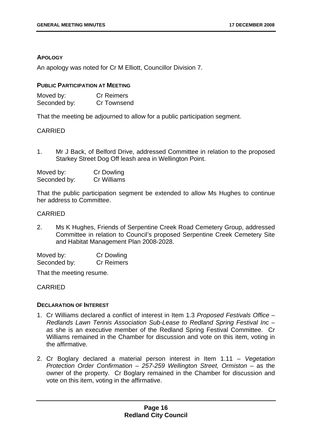#### **APOLOGY**

An apology was noted for Cr M Elliott, Councillor Division 7.

#### **PUBLIC PARTICIPATION AT MEETING**

| Moved by:    | <b>Cr Reimers</b>  |
|--------------|--------------------|
| Seconded by: | <b>Cr Townsend</b> |

That the meeting be adjourned to allow for a public participation segment.

#### CARRIED

1. Mr J Back, of Belford Drive, addressed Committee in relation to the proposed Starkey Street Dog Off leash area in Wellington Point.

| Moved by:    | <b>Cr Dowling</b> |
|--------------|-------------------|
| Seconded by: | Cr Williams       |

That the public participation segment be extended to allow Ms Hughes to continue her address to Committee.

#### CARRIED

2. Ms K Hughes, Friends of Serpentine Creek Road Cemetery Group, addressed Committee in relation to Council's proposed Serpentine Creek Cemetery Site and Habitat Management Plan 2008-2028.

Moved by: Cr Dowling Seconded by: Cr Reimers

That the meeting resume.

#### CARRIED

#### **DECLARATION OF INTEREST**

- 1. Cr Williams declared a conflict of interest in Item 1.3 *Proposed Festivals Office Redlands Lawn Tennis Association Sub-Lease to Redland Spring Festival Inc – as* she is an executive member of the Redland Spring Festival Committee. Cr Williams remained in the Chamber for discussion and vote on this item, voting in the affirmative.
- 2. Cr Boglary declared a material person interest in Item 1.11 *Vegetation Protection Order Confirmation – 257-259 Wellington Street, Ormiston* – as the owner of the property. Cr Boglary remained in the Chamber for discussion and vote on this item, voting in the affirmative.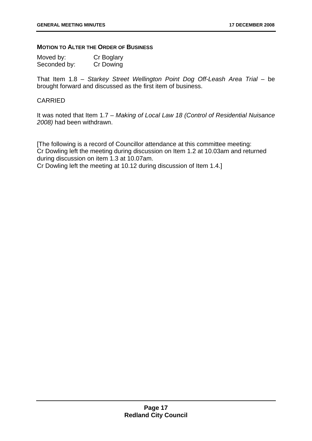#### **MOTION TO ALTER THE ORDER OF BUSINESS**

| Moved by:    | Cr Boglary |
|--------------|------------|
| Seconded by: | Cr Dowing  |

That Item 1.8 – *Starkey Street Wellington Point Dog Off-Leash Area Trial* – be brought forward and discussed as the first item of business.

#### CARRIED

It was noted that Item 1.7 – *Making of Local Law 18 (Control of Residential Nuisance 2008)* had been withdrawn.

[The following is a record of Councillor attendance at this committee meeting: Cr Dowling left the meeting during discussion on Item 1.2 at 10.03am and returned during discussion on item 1.3 at 10.07am.

Cr Dowling left the meeting at 10.12 during discussion of Item 1.4.]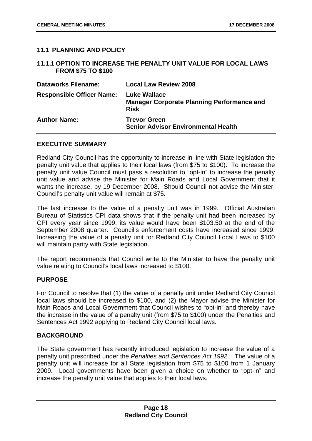#### **11.1 PLANNING AND POLICY**

#### 11.1.1 OPTION TO INCREASE THE PENALTY UNIT VALUE FOR LOCAL LAWS **FROM \$75 TO \$100**

| <b>Dataworks Filename:</b>       | <b>Local Law Review 2008</b>                                                            |
|----------------------------------|-----------------------------------------------------------------------------------------|
| <b>Responsible Officer Name:</b> | <b>Luke Wallace</b><br><b>Manager Corporate Planning Performance and</b><br><b>Risk</b> |
| <b>Author Name:</b>              | <b>Trevor Green</b><br><b>Senior Advisor Environmental Health</b>                       |

#### **EXECUTIVE SUMMARY**

Redland City Council has the opportunity to increase in line with State legislation the penalty unit value that applies to their local laws (from \$75 to \$100). To increase the penalty unit value Council must pass a resolution to "opt-in" to increase the penalty unit value and advise the Minister for Main Roads and Local Government that it wants the increase, by 19 December 2008. Should Council not advise the Minister, Council's penalty unit value will remain at \$75.

The last increase to the value of a penalty unit was in 1999. Official Australian Bureau of Statistics CPI data shows that if the penalty unit had been increased by CPI every year since 1999, its value would have been \$103.50 at the end of the September 2008 quarter. Council's enforcement costs have increased since 1999. Increasing the value of a penalty unit for Redland City Council Local Laws to \$100 will maintain parity with State legislation.

The report recommends that Council write to the Minister to have the penalty unit value relating to Council's local laws increased to \$100.

#### **PURPOSE**

For Council to resolve that (1) the value of a penalty unit under Redland City Council local laws should be increased to \$100, and (2) the Mayor advise the Minister for Main Roads and Local Government that Council wishes to "opt-in" and thereby have the increase in the value of a penalty unit (from \$75 to \$100) under the Penalties and Sentences Act 1992 applying to Redland City Council local laws.

#### **BACKGROUND**

The State government has recently introduced legislation to increase the value of a penalty unit prescribed under the *Penalties and Sentences Act 1992*. The value of a penalty unit will increase for all State legislation from \$75 to \$100 from 1 January 2009. Local governments have been given a choice on whether to "opt-in" and increase the penalty unit value that applies to their local laws.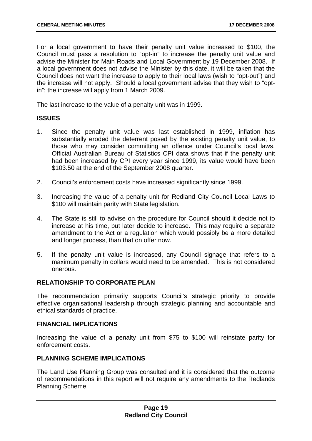For a local government to have their penalty unit value increased to \$100, the Council must pass a resolution to "opt-in" to increase the penalty unit value and advise the Minister for Main Roads and Local Government by 19 December 2008. If a local government does not advise the Minister by this date, it will be taken that the Council does not want the increase to apply to their local laws (wish to "opt-out") and the increase will not apply. Should a local government advise that they wish to "optin"; the increase will apply from 1 March 2009.

The last increase to the value of a penalty unit was in 1999.

#### **ISSUES**

- 1. Since the penalty unit value was last established in 1999, inflation has substantially eroded the deterrent posed by the existing penalty unit value, to those who may consider committing an offence under Council's local laws. Official Australian Bureau of Statistics CPI data shows that if the penalty unit had been increased by CPI every year since 1999, its value would have been \$103.50 at the end of the September 2008 quarter.
- 2. Council's enforcement costs have increased significantly since 1999.
- 3. Increasing the value of a penalty unit for Redland City Council Local Laws to \$100 will maintain parity with State legislation.
- 4. The State is still to advise on the procedure for Council should it decide not to increase at his time, but later decide to increase. This may require a separate amendment to the Act or a regulation which would possibly be a more detailed and longer process, than that on offer now.
- 5. If the penalty unit value is increased, any Council signage that refers to a maximum penalty in dollars would need to be amended. This is not considered onerous.

#### **RELATIONSHIP TO CORPORATE PLAN**

The recommendation primarily supports Council's strategic priority to provide effective organisational leadership through strategic planning and accountable and ethical standards of practice.

#### **FINANCIAL IMPLICATIONS**

Increasing the value of a penalty unit from \$75 to \$100 will reinstate parity for enforcement costs.

#### **PLANNING SCHEME IMPLICATIONS**

The Land Use Planning Group was consulted and it is considered that the outcome of recommendations in this report will not require any amendments to the Redlands Planning Scheme.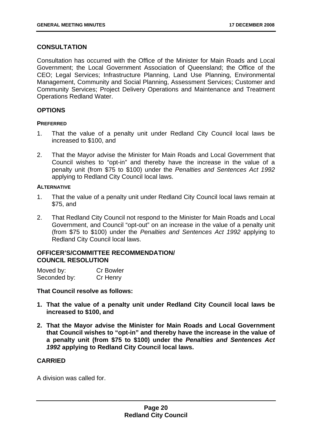#### **CONSULTATION**

Consultation has occurred with the Office of the Minister for Main Roads and Local Government; the Local Government Association of Queensland; the Office of the CEO; Legal Services; Infrastructure Planning, Land Use Planning, Environmental Management, Community and Social Planning, Assessment Services; Customer and Community Services; Project Delivery Operations and Maintenance and Treatment Operations Redland Water.

#### **OPTIONS**

#### **PREFERRED**

- 1. That the value of a penalty unit under Redland City Council local laws be increased to \$100, and
- 2. That the Mayor advise the Minister for Main Roads and Local Government that Council wishes to "opt-in" and thereby have the increase in the value of a penalty unit (from \$75 to \$100) under the *Penalties and Sentences Act 1992*  applying to Redland City Council local laws.

#### **ALTERNATIVE**

- 1. That the value of a penalty unit under Redland City Council local laws remain at \$75, and
- 2. That Redland City Council not respond to the Minister for Main Roads and Local Government, and Council "opt-out" on an increase in the value of a penalty unit (from \$75 to \$100) under the *Penalties and Sentences Act 1992* applying to Redland City Council local laws.

#### 68B**OFFICER'S/COMMITTEE RECOMMENDATION/ COUNCIL RESOLUTION**

| Moved by:    | <b>Cr Bowler</b> |
|--------------|------------------|
| Seconded by: | Cr Henry         |

#### **That Council resolve as follows:**

- **1. That the value of a penalty unit under Redland City Council local laws be increased to \$100, and**
- **2. That the Mayor advise the Minister for Main Roads and Local Government that Council wishes to "opt-in" and thereby have the increase in the value of a penalty unit (from \$75 to \$100) under the** *Penalties and Sentences Act 1992* **applying to Redland City Council local laws.**

#### **CARRIED**

A division was called for.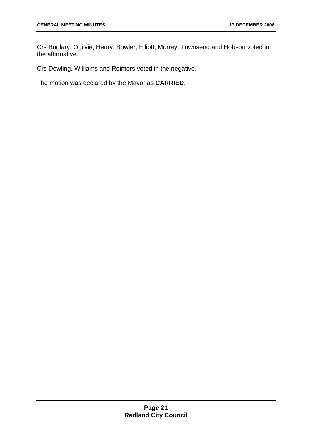Crs Boglary, Ogilvie, Henry, Bowler, Elliott, Murray, Townsend and Hobson voted in the affirmative.

Crs Dowling, Williams and Reimers voted in the negative.

The motion was declared by the Mayor as **CARRIED**.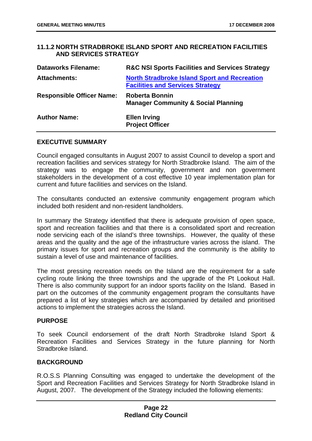#### **11.1.2 NORTH STRADBROKE ISLAND SPORT AND RECREATION FACILITIES AND SERVICES STRATEGY**

| <b>Dataworks Filename:</b>       | <b>R&amp;C NSI Sports Facilities and Services Strategy</b>                                     |
|----------------------------------|------------------------------------------------------------------------------------------------|
| <b>Attachments:</b>              | <b>North Stradbroke Island Sport and Recreation</b><br><b>Facilities and Services Strategy</b> |
| <b>Responsible Officer Name:</b> | Roberta Bonnin<br><b>Manager Community &amp; Social Planning</b>                               |
| <b>Author Name:</b>              | <b>Ellen Irving</b><br><b>Project Officer</b>                                                  |

#### **EXECUTIVE SUMMARY**

Council engaged consultants in August 2007 to assist Council to develop a sport and recreation facilities and services strategy for North Stradbroke Island. The aim of the strategy was to engage the community, government and non government stakeholders in the development of a cost effective 10 year implementation plan for current and future facilities and services on the Island.

The consultants conducted an extensive community engagement program which included both resident and non-resident landholders.

In summary the Strategy identified that there is adequate provision of open space, sport and recreation facilities and that there is a consolidated sport and recreation node servicing each of the island's three townships. However, the quality of these areas and the quality and the age of the infrastructure varies across the island. The primary issues for sport and recreation groups and the community is the ability to sustain a level of use and maintenance of facilities.

The most pressing recreation needs on the Island are the requirement for a safe cycling route linking the three townships and the upgrade of the Pt Lookout Hall. There is also community support for an indoor sports facility on the Island. Based in part on the outcomes of the community engagement program the consultants have prepared a list of key strategies which are accompanied by detailed and prioritised actions to implement the strategies across the Island.

#### **PURPOSE**

To seek Council endorsement of the draft North Stradbroke Island Sport & Recreation Facilities and Services Strategy in the future planning for North Stradbroke Island.

#### **BACKGROUND**

R.O.S.S Planning Consulting was engaged to undertake the development of the Sport and Recreation Facilities and Services Strategy for North Stradbroke Island in August, 2007. The development of the Strategy included the following elements: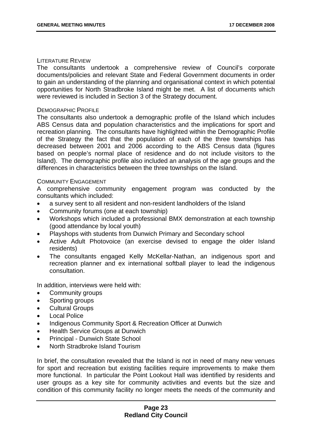#### LITERATURE REVIEW

The consultants undertook a comprehensive review of Council's corporate documents/policies and relevant State and Federal Government documents in order to gain an understanding of the planning and organisational context in which potential opportunities for North Stradbroke Island might be met. A list of documents which were reviewed is included in Section 3 of the Strategy document.

#### DEMOGRAPHIC PROFILE

The consultants also undertook a demographic profile of the Island which includes ABS Census data and population characteristics and the implications for sport and recreation planning. The consultants have highlighted within the Demographic Profile of the Strategy the fact that the population of each of the three townships has decreased between 2001 and 2006 according to the ABS Census data (figures based on people's normal place of residence and do not include visitors to the Island). The demographic profile also included an analysis of the age groups and the differences in characteristics between the three townships on the Island.

#### COMMUNITY ENGAGEMENT

A comprehensive community engagement program was conducted by the consultants which included:

- a survey sent to all resident and non-resident landholders of the Island
- Community forums (one at each township)
- Workshops which included a professional BMX demonstration at each township (good attendance by local youth)
- Playshops with students from Dunwich Primary and Secondary school
- Active Adult Photovoice (an exercise devised to engage the older Island residents)
- The consultants engaged Kelly McKellar-Nathan, an indigenous sport and recreation planner and ex international softball player to lead the indigenous consultation.

In addition, interviews were held with:

- Community groups
- Sporting groups
- Cultural Groups
- Local Police
- Indigenous Community Sport & Recreation Officer at Dunwich
- Health Service Groups at Dunwich
- Principal Dunwich State School
- North Stradbroke Island Tourism

In brief, the consultation revealed that the Island is not in need of many new venues for sport and recreation but existing facilities require improvements to make them more functional. In particular the Point Lookout Hall was identified by residents and user groups as a key site for community activities and events but the size and condition of this community facility no longer meets the needs of the community and

#### **Page 23 Redland City Council**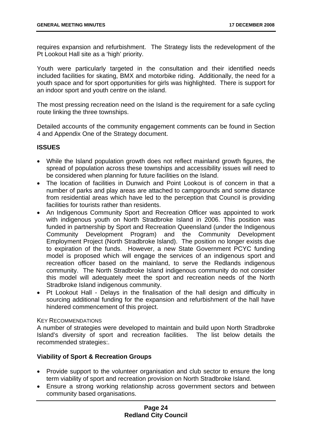requires expansion and refurbishment. The Strategy lists the redevelopment of the Pt Lookout Hall site as a 'high' priority.

Youth were particularly targeted in the consultation and their identified needs included facilities for skating, BMX and motorbike riding. Additionally, the need for a youth space and for sport opportunities for girls was highlighted. There is support for an indoor sport and youth centre on the island.

The most pressing recreation need on the Island is the requirement for a safe cycling route linking the three townships.

Detailed accounts of the community engagement comments can be found in Section 4 and Appendix One of the Strategy document.

#### **ISSUES**

- While the Island population growth does not reflect mainland growth figures, the spread of population across these townships and accessibility issues will need to be considered when planning for future facilities on the Island.
- The location of facilities in Dunwich and Point Lookout is of concern in that a number of parks and play areas are attached to campgrounds and some distance from residential areas which have led to the perception that Council is providing facilities for tourists rather than residents.
- An Indigenous Community Sport and Recreation Officer was appointed to work with indigenous youth on North Stradbroke Island in 2006. This position was funded in partnership by Sport and Recreation Queensland (under the Indigenous Community Development Program) and the Community Development Employment Project (North Stradbroke Island). The position no longer exists due to expiration of the funds. However, a new State Government PCYC funding model is proposed which will engage the services of an indigenous sport and recreation officer based on the mainland, to serve the Redlands indigenous community. The North Stradbroke Island indigenous community do not consider this model will adequately meet the sport and recreation needs of the North Stradbroke Island indigenous community.
- Pt Lookout Hall Delays in the finalisation of the hall design and difficulty in sourcing additional funding for the expansion and refurbishment of the hall have hindered commencement of this project.

#### KEY RECOMMENDATIONS

A number of strategies were developed to maintain and build upon North Stradbroke Island's diversity of sport and recreation facilities. The list below details the recommended strategies:.

#### **Viability of Sport & Recreation Groups**

- Provide support to the volunteer organisation and club sector to ensure the long term viability of sport and recreation provision on North Stradbroke Island.
- Ensure a strong working relationship across government sectors and between community based organisations.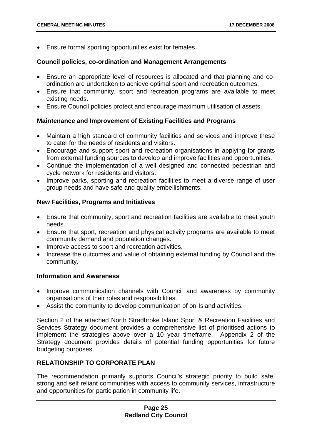• Ensure formal sporting opportunities exist for females

#### **Council policies, co-ordination and Management Arrangements**

- Ensure an appropriate level of resources is allocated and that planning and coordination are undertaken to achieve optimal sport and recreation outcomes.
- Ensure that community, sport and recreation programs are available to meet existing needs.
- Ensure Council policies protect and encourage maximum utilisation of assets.

#### **Maintenance and Improvement of Existing Facilities and Programs**

- Maintain a high standard of community facilities and services and improve these to cater for the needs of residents and visitors.
- Encourage and support sport and recreation organisations in applying for grants from external funding sources to develop and improve facilities and opportunities.
- Continue the implementation of a well designed and connected pedestrian and cycle network for residents and visitors.
- Improve parks, sporting and recreation facilities to meet a diverse range of user group needs and have safe and quality embellishments.

#### **New Facilities, Programs and Initiatives**

- Ensure that community, sport and recreation facilities are available to meet youth needs.
- Ensure that sport, recreation and physical activity programs are available to meet community demand and population changes.
- Improve access to sport and recreation activities.
- Increase the outcomes and value of obtaining external funding by Council and the community.

#### **Information and Awareness**

- Improve communication channels with Council and awareness by community organisations of their roles and responsibilities.
- Assist the community to develop communication of on-Island activities.

Section 2 of the attached North Stradbroke Island Sport & Recreation Facilities and Services Strategy document provides a comprehensive list of prioritised actions to implement the strategies above over a 10 year timeframe. Appendix 2 of the Strategy document provides details of potential funding opportunities for future budgeting purposes.

#### **RELATIONSHIP TO CORPORATE PLAN**

The recommendation primarily supports Council's strategic priority to build safe, strong and self reliant communities with access to community services, infrastructure and opportunities for participation in community life.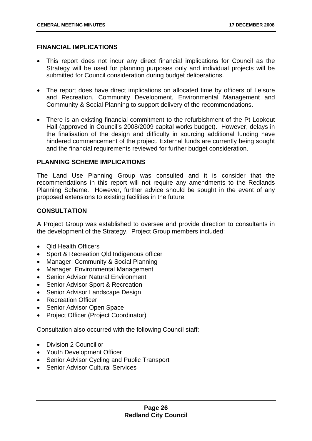#### **FINANCIAL IMPLICATIONS**

- This report does not incur any direct financial implications for Council as the Strategy will be used for planning purposes only and individual projects will be submitted for Council consideration during budget deliberations.
- The report does have direct implications on allocated time by officers of Leisure and Recreation, Community Development, Environmental Management and Community & Social Planning to support delivery of the recommendations.
- There is an existing financial commitment to the refurbishment of the Pt Lookout Hall (approved in Council's 2008/2009 capital works budget). However, delays in the finalisation of the design and difficulty in sourcing additional funding have hindered commencement of the project. External funds are currently being sought and the financial requirements reviewed for further budget consideration.

#### **PLANNING SCHEME IMPLICATIONS**

The Land Use Planning Group was consulted and it is consider that the recommendations in this report will not require any amendments to the Redlands Planning Scheme. However, further advice should be sought in the event of any proposed extensions to existing facilities in the future.

#### **CONSULTATION**

A Project Group was established to oversee and provide direction to consultants in the development of the Strategy. Project Group members included:

- Qld Health Officers
- Sport & Recreation Qld Indigenous officer
- Manager, Community & Social Planning
- Manager, Environmental Management
- Senior Advisor Natural Environment
- Senior Advisor Sport & Recreation
- Senior Advisor Landscape Design
- Recreation Officer
- Senior Advisor Open Space
- Project Officer (Project Coordinator)

Consultation also occurred with the following Council staff:

- Division 2 Councillor
- Youth Development Officer
- Senior Advisor Cycling and Public Transport
- Senior Advisor Cultural Services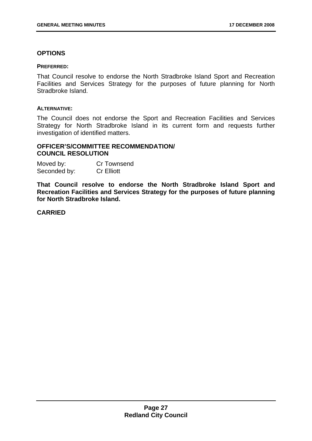#### **OPTIONS**

#### **PREFERRED:**

That Council resolve to endorse the North Stradbroke Island Sport and Recreation Facilities and Services Strategy for the purposes of future planning for North Stradbroke Island.

#### **ALTERNATIVE:**

The Council does not endorse the Sport and Recreation Facilities and Services Strategy for North Stradbroke Island in its current form and requests further investigation of identified matters.

#### 69B**OFFICER'S/COMMITTEE RECOMMENDATION/ COUNCIL RESOLUTION**

| Moved by:    | <b>Cr Townsend</b> |
|--------------|--------------------|
| Seconded by: | <b>Cr Elliott</b>  |

**That Council resolve to endorse the North Stradbroke Island Sport and Recreation Facilities and Services Strategy for the purposes of future planning for North Stradbroke Island.** 

#### **CARRIED**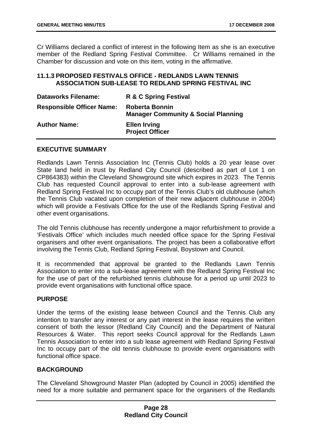Cr Williams declared a conflict of interest in the following Item as she is an executive member of the Redland Spring Festival Committee. Cr Williams remained in the Chamber for discussion and vote on this item, voting in the affirmative.

#### **11.1.3 PROPOSED FESTIVALS OFFICE - REDLANDS LAWN TENNIS ASSOCIATION SUB-LEASE TO REDLAND SPRING FESTIVAL INC**

| <b>Dataworks Filename:</b>       | R & C Spring Festival                                                   |
|----------------------------------|-------------------------------------------------------------------------|
| <b>Responsible Officer Name:</b> | <b>Roberta Bonnin</b><br><b>Manager Community &amp; Social Planning</b> |
| <b>Author Name:</b>              | <b>Ellen Irving</b><br><b>Project Officer</b>                           |

#### **EXECUTIVE SUMMARY**

Redlands Lawn Tennis Association Inc (Tennis Club) holds a 20 year lease over State land held in trust by Redland City Council (described as part of Lot 1 on CP864383) within the Cleveland Showground site which expires in 2023. The Tennis Club has requested Council approval to enter into a sub-lease agreement with Redland Spring Festival Inc to occupy part of the Tennis Club's old clubhouse (which the Tennis Club vacated upon completion of their new adjacent clubhouse in 2004) which will provide a Festivals Office for the use of the Redlands Spring Festival and other event organisations.

The old Tennis clubhouse has recently undergone a major refurbishment to provide a 'Festivals Office' which includes much needed office space for the Spring Festival organisers and other event organisations. The project has been a collaborative effort involving the Tennis Club, Redland Spring Festival, Boystown and Council.

It is recommended that approval be granted to the Redlands Lawn Tennis Association to enter into a sub-lease agreement with the Redland Spring Festival Inc for the use of part of the refurbished tennis clubhouse for a period up until 2023 to provide event organisations with functional office space.

#### **PURPOSE**

Under the terms of the existing lease between Council and the Tennis Club any intention to transfer any interest or any part interest in the lease requires the written consent of both the lessor (Redland City Council) and the Department of Natural Resources & Water. This report seeks Council approval for the Redlands Lawn Tennis Association to enter into a sub lease agreement with Redland Spring Festival Inc to occupy part of the old tennis clubhouse to provide event organisations with functional office space.

#### **BACKGROUND**

The Cleveland Showground Master Plan (adopted by Council in 2005) identified the need for a more suitable and permanent space for the organisers of the Redlands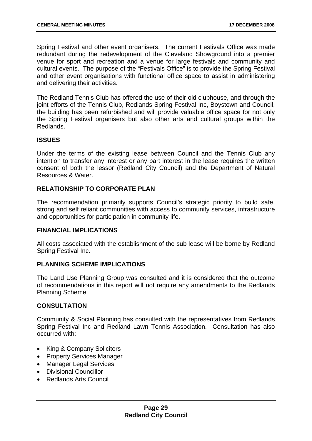Spring Festival and other event organisers. The current Festivals Office was made redundant during the redevelopment of the Cleveland Showground into a premier venue for sport and recreation and a venue for large festivals and community and cultural events. The purpose of the "Festivals Office" is to provide the Spring Festival and other event organisations with functional office space to assist in administering and delivering their activities.

The Redland Tennis Club has offered the use of their old clubhouse, and through the joint efforts of the Tennis Club, Redlands Spring Festival Inc, Boystown and Council, the building has been refurbished and will provide valuable office space for not only the Spring Festival organisers but also other arts and cultural groups within the Redlands.

#### **ISSUES**

Under the terms of the existing lease between Council and the Tennis Club any intention to transfer any interest or any part interest in the lease requires the written consent of both the lessor (Redland City Council) and the Department of Natural Resources & Water.

#### **RELATIONSHIP TO CORPORATE PLAN**

The recommendation primarily supports Council's strategic priority to build safe, strong and self reliant communities with access to community services, infrastructure and opportunities for participation in community life.

#### **FINANCIAL IMPLICATIONS**

All costs associated with the establishment of the sub lease will be borne by Redland Spring Festival Inc.

#### **PLANNING SCHEME IMPLICATIONS**

The Land Use Planning Group was consulted and it is considered that the outcome of recommendations in this report will not require any amendments to the Redlands Planning Scheme.

#### **CONSULTATION**

Community & Social Planning has consulted with the representatives from Redlands Spring Festival Inc and Redland Lawn Tennis Association. Consultation has also occurred with:

- King & Company Solicitors
- Property Services Manager
- Manager Legal Services
- Divisional Councillor
- Redlands Arts Council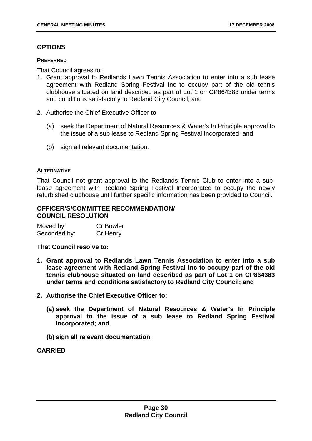#### **OPTIONS**

#### **PREFERRED**

That Council agrees to:

- 1. Grant approval to Redlands Lawn Tennis Association to enter into a sub lease agreement with Redland Spring Festival Inc to occupy part of the old tennis clubhouse situated on land described as part of Lot 1 on CP864383 under terms and conditions satisfactory to Redland City Council; and
- 2. Authorise the Chief Executive Officer to
	- (a) seek the Department of Natural Resources & Water's In Principle approval to the issue of a sub lease to Redland Spring Festival Incorporated; and
	- (b) sign all relevant documentation.

#### **ALTERNATIVE**

That Council not grant approval to the Redlands Tennis Club to enter into a sublease agreement with Redland Spring Festival Incorporated to occupy the newly refurbished clubhouse until further specific information has been provided to Council.

#### 70B**OFFICER'S/COMMITTEE RECOMMENDATION/ COUNCIL RESOLUTION**

| Moved by:    | <b>Cr Bowler</b> |
|--------------|------------------|
| Seconded by: | Cr Henry         |

#### **That Council resolve to:**

- **1. Grant approval to Redlands Lawn Tennis Association to enter into a sub lease agreement with Redland Spring Festival Inc to occupy part of the old tennis clubhouse situated on land described as part of Lot 1 on CP864383 under terms and conditions satisfactory to Redland City Council; and**
- **2. Authorise the Chief Executive Officer to:** 
	- **(a) seek the Department of Natural Resources & Water's In Principle approval to the issue of a sub lease to Redland Spring Festival Incorporated; and**
	- **(b) sign all relevant documentation.**

#### **CARRIED**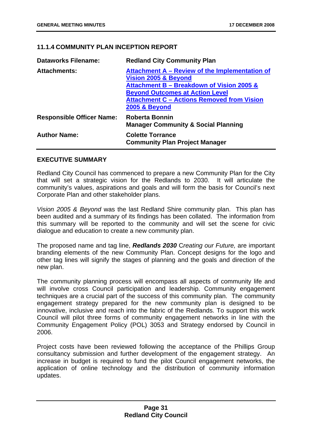#### **11.1.4 COMMUNITY PLAN INCEPTION REPORT**

| <b>Dataworks Filename:</b>       | <b>Redland City Community Plan</b>                                                                                                                                                                                                             |
|----------------------------------|------------------------------------------------------------------------------------------------------------------------------------------------------------------------------------------------------------------------------------------------|
| <b>Attachments:</b>              | Attachment A – Review of the Implementation of<br>Vision 2005 & Beyond<br>Attachment B - Breakdown of Vision 2005 &<br><b>Beyond Outcomes at Action Level</b><br><b>Attachment C - Actions Removed from Vision</b><br><b>2005 &amp; Beyond</b> |
| <b>Responsible Officer Name:</b> | <b>Roberta Bonnin</b><br><b>Manager Community &amp; Social Planning</b>                                                                                                                                                                        |
| <b>Author Name:</b>              | <b>Colette Torrance</b><br><b>Community Plan Project Manager</b>                                                                                                                                                                               |

#### **EXECUTIVE SUMMARY**

Redland City Council has commenced to prepare a new Community Plan for the City that will set a strategic vision for the Redlands to 2030. It will articulate the community's values, aspirations and goals and will form the basis for Council's next Corporate Plan and other stakeholder plans.

*Vision 2005 & Beyond* was the last Redland Shire community plan. This plan has been audited and a summary of its findings has been collated. The information from this summary will be reported to the community and will set the scene for civic dialogue and education to create a new community plan.

The proposed name and tag line, *Redlands 2030* C*reating our Future,* are important branding elements of the new Community Plan. Concept designs for the logo and other tag lines will signify the stages of planning and the goals and direction of the new plan.

The community planning process will encompass all aspects of community life and will involve cross Council participation and leadership. Community engagement techniques are a crucial part of the success of this community plan. The community engagement strategy prepared for the new community plan is designed to be innovative, inclusive and reach into the fabric of the Redlands. To support this work Council will pilot three forms of community engagement networks in line with the Community Engagement Policy (POL) 3053 and Strategy endorsed by Council in 2006.

Project costs have been reviewed following the acceptance of the Phillips Group consultancy submission and further development of the engagement strategy. An increase in budget is required to fund the pilot Council engagement networks, the application of online technology and the distribution of community information updates.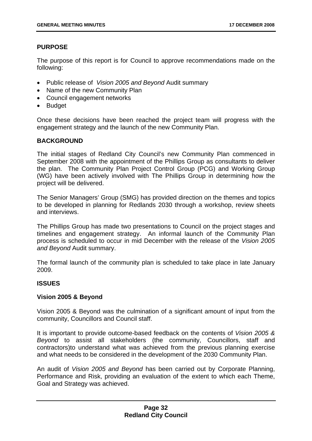# **PURPOSE**

The purpose of this report is for Council to approve recommendations made on the following:

- Public release of *Vision 2005 and Beyond* Audit summary
- Name of the new Community Plan
- Council engagement networks
- Budget

Once these decisions have been reached the project team will progress with the engagement strategy and the launch of the new Community Plan.

## **BACKGROUND**

The initial stages of Redland City Council's new Community Plan commenced in September 2008 with the appointment of the Phillips Group as consultants to deliver the plan. The Community Plan Project Control Group (PCG) and Working Group (WG) have been actively involved with The Phillips Group in determining how the project will be delivered.

The Senior Managers' Group (SMG) has provided direction on the themes and topics to be developed in planning for Redlands 2030 through a workshop, review sheets and interviews.

The Phillips Group has made two presentations to Council on the project stages and timelines and engagement strategy. An informal launch of the Community Plan process is scheduled to occur in mid December with the release of the *Vision 2005 and Beyond* Audit summary.

The formal launch of the community plan is scheduled to take place in late January 2009.

## **ISSUES**

## **Vision 2005 & Beyond**

Vision 2005 & Beyond was the culmination of a significant amount of input from the community, Councillors and Council staff.

It is important to provide outcome-based feedback on the contents of *Vision 2005 & Beyond* to assist all stakeholders (the community, Councillors, staff and contractors)to understand what was achieved from the previous planning exercise and what needs to be considered in the development of the 2030 Community Plan.

An audit of *Vision 2005 and Beyond* has been carried out by Corporate Planning, Performance and Risk, providing an evaluation of the extent to which each Theme, Goal and Strategy was achieved.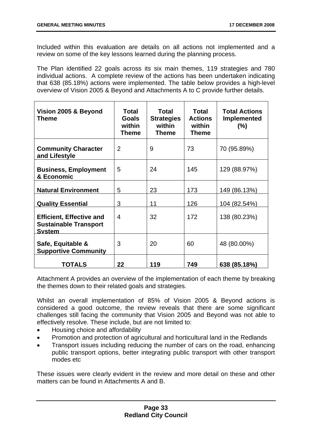Included within this evaluation are details on all actions not implemented and a review on some of the key lessons learned during the planning process.

The Plan identified 22 goals across its six main themes, 119 strategies and 780 individual actions. A complete review of the actions has been undertaken indicating that 638 (85.18%) actions were implemented. The table below provides a high-level overview of Vision 2005 & Beyond and Attachments A to C provide further details.

| Vision 2005 & Beyond<br>Theme                                                    | Total<br><b>Goals</b><br>within<br><b>Theme</b> | <b>Total</b><br><b>Strategies</b><br>within<br><b>Theme</b> | Total<br><b>Actions</b><br>within<br><b>Theme</b> | <b>Total Actions</b><br><b>Implemented</b><br>$(\% )$ |
|----------------------------------------------------------------------------------|-------------------------------------------------|-------------------------------------------------------------|---------------------------------------------------|-------------------------------------------------------|
| <b>Community Character</b><br>and Lifestyle                                      | $\overline{2}$                                  | 9                                                           | 73                                                | 70 (95.89%)                                           |
| <b>Business, Employment</b><br>& Economic                                        | 5                                               | 24                                                          | 145                                               | 129 (88.97%)                                          |
| <b>Natural Environment</b>                                                       | 5                                               | 23                                                          | 173                                               | 149 (86.13%)                                          |
| <b>Quality Essential</b>                                                         | 3                                               | 11                                                          | 126                                               | 104 (82.54%)                                          |
| <b>Efficient, Effective and</b><br><b>Sustainable Transport</b><br><b>System</b> | $\overline{4}$                                  | 32                                                          | 172                                               | 138 (80.23%)                                          |
| Safe, Equitable &<br><b>Supportive Community</b>                                 | 3                                               | 20                                                          | 60                                                | 48 (80.00%)                                           |
| <b>TOTALS</b>                                                                    | 22                                              | 119                                                         | 749                                               | 638 (85.18%)                                          |

Attachment A provides an overview of the implementation of each theme by breaking the themes down to their related goals and strategies.

Whilst an overall implementation of 85% of Vision 2005 & Beyond actions is considered a good outcome, the review reveals that there are some significant challenges still facing the community that Vision 2005 and Beyond was not able to effectively resolve. These include, but are not limited to:

- Housing choice and affordability
- Promotion and protection of agricultural and horticultural land in the Redlands
- Transport issues including reducing the number of cars on the road, enhancing public transport options, better integrating public transport with other transport modes etc

These issues were clearly evident in the review and more detail on these and other matters can be found in Attachments A and B.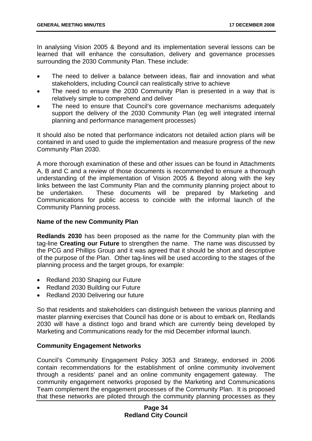In analysing Vision 2005 & Beyond and its implementation several lessons can be learned that will enhance the consultation, delivery and governance processes surrounding the 2030 Community Plan. These include:

- The need to deliver a balance between ideas, flair and innovation and what stakeholders, including Council can realistically strive to achieve
- The need to ensure the 2030 Community Plan is presented in a way that is relatively simple to comprehend and deliver
- The need to ensure that Council's core governance mechanisms adequately support the delivery of the 2030 Community Plan (eg well integrated internal planning and performance management processes)

It should also be noted that performance indicators not detailed action plans will be contained in and used to guide the implementation and measure progress of the new Community Plan 2030.

A more thorough examination of these and other issues can be found in Attachments A, B and C and a review of those documents is recommended to ensure a thorough understanding of the implementation of Vision 2005 & Beyond along with the key links between the last Community Plan and the community planning project about to be undertaken. These documents will be prepared by Marketing and Communications for public access to coincide with the informal launch of the Community Planning process.

## **Name of the new Community Plan**

**Redlands 2030** has been proposed as the name for the Community plan with the tag-line **Creating our Future** to strengthen the name. The name was discussed by the PCG and Phillips Group and it was agreed that it should be short and descriptive of the purpose of the Plan. Other tag-lines will be used according to the stages of the planning process and the target groups, for example:

- Redland 2030 Shaping our Future
- Redland 2030 Building our Future
- Redland 2030 Delivering our future

So that residents and stakeholders can distinguish between the various planning and master planning exercises that Council has done or is about to embark on, Redlands 2030 will have a distinct logo and brand which are currently being developed by Marketing and Communications ready for the mid December informal launch.

# **Community Engagement Networks**

Council's Community Engagement Policy 3053 and Strategy, endorsed in 2006 contain recommendations for the establishment of online community involvement through a residents' panel and an online community engagement gateway. The community engagement networks proposed by the Marketing and Communications Team complement the engagement processes of the Community Plan. It is proposed that these networks are piloted through the community planning processes as they

## **Page 34 Redland City Council**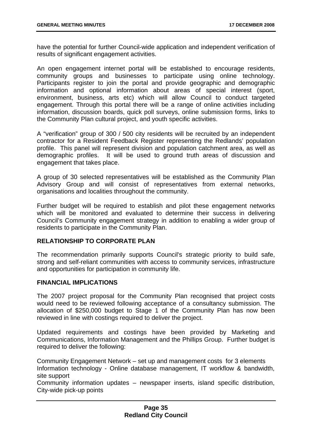have the potential for further Council-wide application and independent verification of results of significant engagement activities.

An open engagement internet portal will be established to encourage residents, community groups and businesses to participate using online technology. Participants register to join the portal and provide geographic and demographic information and optional information about areas of special interest (sport, environment, business, arts etc) which will allow Council to conduct targeted engagement. Through this portal there will be a range of online activities including information, discussion boards, quick poll surveys, online submission forms, links to the Community Plan cultural project, and youth specific activities.

A "verification" group of 300 / 500 city residents will be recruited by an independent contractor for a Resident Feedback Register representing the Redlands' population profile. This panel will represent division and population catchment area, as well as demographic profiles. It will be used to ground truth areas of discussion and engagement that takes place.

A group of 30 selected representatives will be established as the Community Plan Advisory Group and will consist of representatives from external networks, organisations and localities throughout the community.

Further budget will be required to establish and pilot these engagement networks which will be monitored and evaluated to determine their success in delivering Council's Community engagement strategy in addition to enabling a wider group of residents to participate in the Community Plan.

## **RELATIONSHIP TO CORPORATE PLAN**

The recommendation primarily supports Council's strategic priority to build safe, strong and self-reliant communities with access to community services, infrastructure and opportunities for participation in community life.

## **FINANCIAL IMPLICATIONS**

The 2007 project proposal for the Community Plan recognised that project costs would need to be reviewed following acceptance of a consultancy submission. The allocation of \$250,000 budget to Stage 1 of the Community Plan has now been reviewed in line with costings required to deliver the project.

Updated requirements and costings have been provided by Marketing and Communications, Information Management and the Phillips Group. Further budget is required to deliver the following:

Community Engagement Network – set up and management costs for 3 elements Information technology - Online database management, IT workflow & bandwidth, site support

Community information updates – newspaper inserts, island specific distribution, City-wide pick-up points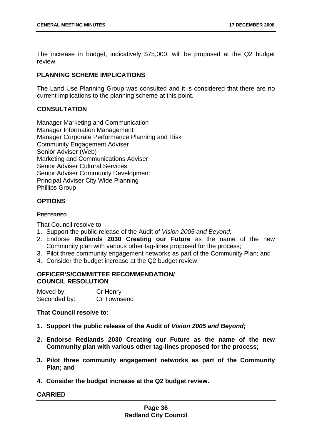The increase in budget, indicatively \$75,000, will be proposed at the Q2 budget review.

## **PLANNING SCHEME IMPLICATIONS**

The Land Use Planning Group was consulted and it is considered that there are no current implications to the planning scheme at this point.

## **CONSULTATION**

Manager Marketing and Communication Manager Information Management Manager Corporate Performance Planning and Risk Community Engagement Adviser Senior Adviser (Web) Marketing and Communications Adviser Senior Adviser Cultural Services Senior Adviser Community Development Principal Adviser City Wide Planning Phillips Group

## **OPTIONS**

## **PREFERRED**

That Council resolve to

- 1. Support the public release of the Audit of *Vision 2005 and Beyond;*
- 2. Endorse **Redlands 2030 Creating our Future** as the name of the new Community plan with various other tag-lines proposed for the process;
- 3. Pilot three community engagement networks as part of the Community Plan; and
- 4. Consider the budget increase at the Q2 budget review.

# **OFFICER'S/COMMITTEE RECOMMENDATION/ COUNCIL RESOLUTION**

| Moved by:    | Cr Henry    |
|--------------|-------------|
| Seconded by: | Cr Townsend |

## **That Council resolve to:**

- **1. Support the public release of the Audit of** *Vision 2005 and Beyond;*
- **2. Endorse Redlands 2030 Creating our Future as the name of the new Community plan with various other tag-lines proposed for the process;**
- **3. Pilot three community engagement networks as part of the Community Plan; and**
- **4. Consider the budget increase at the Q2 budget review.**

# **CARRIED**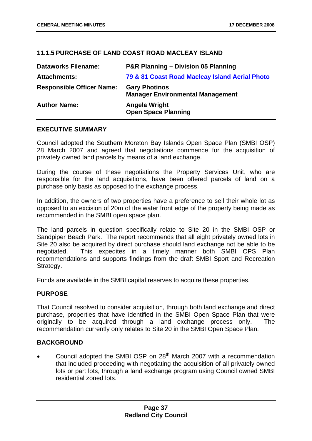# **11.1.5** 42B**PURCHASE OF LAND COAST ROAD MACLEAY ISLAND**

| <b>Dataworks Filename:</b>       | P&R Planning - Division 05 Planning                             |
|----------------------------------|-----------------------------------------------------------------|
| <b>Attachments:</b>              | 79 & 81 Coast Road Macleay Island Aerial Photo                  |
| <b>Responsible Officer Name:</b> | <b>Gary Photinos</b><br><b>Manager Environmental Management</b> |
| <b>Author Name:</b>              | Angela Wright<br><b>Open Space Planning</b>                     |

## **EXECUTIVE SUMMARY**

Council adopted the Southern Moreton Bay Islands Open Space Plan (SMBI OSP) 28 March 2007 and agreed that negotiations commence for the acquisition of privately owned land parcels by means of a land exchange.

During the course of these negotiations the Property Services Unit, who are responsible for the land acquisitions, have been offered parcels of land on a purchase only basis as opposed to the exchange process.

In addition, the owners of two properties have a preference to sell their whole lot as opposed to an excision of 20m of the water front edge of the property being made as recommended in the SMBI open space plan.

The land parcels in question specifically relate to Site 20 in the SMBI OSP or Sandpiper Beach Park. The report recommends that all eight privately owned lots in Site 20 also be acquired by direct purchase should land exchange not be able to be negotiated. This expedites in a timely manner both SMBI OPS Plan recommendations and supports findings from the draft SMBI Sport and Recreation Strategy.

Funds are available in the SMBI capital reserves to acquire these properties.

## **PURPOSE**

That Council resolved to consider acquisition, through both land exchange and direct purchase, properties that have identified in the SMBI Open Space Plan that were originally to be acquired through a land exchange process only. The recommendation currently only relates to Site 20 in the SMBI Open Space Plan.

## **BACKGROUND**

Council adopted the SMBI OSP on  $28<sup>th</sup>$  March 2007 with a recommendation that included proceeding with negotiating the acquisition of all privately owned lots or part lots, through a land exchange program using Council owned SMBI residential zoned lots.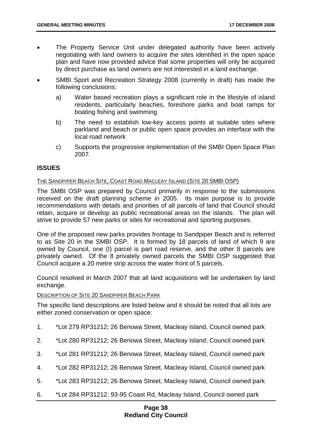- The Property Service Unit under delegated authority have been actively negotiating with land owners to acquire the sites identified in the open space plan and have now provided advice that some properties will only be acquired by direct purchase as land owners are not interested in a land exchange.
- SMBI Sport and Recreation Strategy 2008 (currently in draft) has made the following conclusions:
	- a) Water based recreation plays a significant role in the lifestyle of island residents, particularly beaches, foreshore parks and boat ramps for boating fishing and swimming
	- b) The need to establish low-key access points at suitable sites where parkland and beach or public open space provides an interface with the local road network
	- c) Supports the progressive implementation of the SMBI Open Space Plan 2007.

## **ISSUES**

#### <sup>U</sup>THE SANDPIPER BEACH SITE, COAST ROAD MACLEAY ISLAND (SITE 20 SMBI OSP)

The SMBI OSP was prepared by Council primarily in response to the submissions received on the draft planning scheme in 2005. Its main purpose is to provide recommendations with details and priorities of all parcels of land that Council should retain, acquire or develop as public recreational areas on the islands. The plan will strive to provide 57 new parks or sites for recreational and sporting purposes.

One of the proposed new parks provides frontage to Sandpiper Beach and is referred to as Site 20 in the SMBI OSP. It is formed by 18 parcels of land of which 9 are owned by Council, one (I) parcel is part road reserve, and the other 8 parcels are privately owned. Of the 8 privately owned parcels the SMBI OSP suggested that Council acquire a 20 metre strip across the water front of 5 parcels.

Council resolved in March 2007 that all land acquisitions will be undertaken by land exchange.

#### DESCRIPTION OF SITE 20 SANDPIPER BEACH PARK

The specific land descriptions are listed below and it should be noted that all lots are either zoned conservation or open space:

- 1. \*Lot 279 RP31212; 26 Benowa Street, Macleay Island, Council owned park
- 2. \*Lot 280 RP31212; 26 Benowa Street, Macleay Island, Council owned park
- 3. \*Lot 281 RP31212; 26 Benowa Street, Macleay Island, Council owned park
- 4. \*Lot 282 RP31212; 26 Benowa Street, Macleay Island, Council owned park
- 5. \*Lot 283 RP31212; 26 Benowa Street, Macleay Island, Council owned park
- 6. \*Lot 284 RP31212; 93-95 Coast Rd, Macleay Island, Council owned park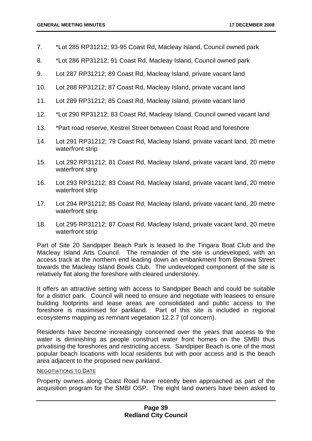- 7. \*Lot 285 RP31212; 93-95 Coast Rd, Macleay Island, Council owned park
- 8. \*Lot 286 RP31212; 91 Coast Rd, Macleay Island, Council owned park
- 9. Lot 287 RP31212; 89 Coast Rd, Macleay Island, private vacant land
- 10. Lot 288 RP31212; 87 Coast Rd, Macleay Island, private vacant land
- 11. Lot 289 RP31212; 85 Coast Rd, Macleay Island, private vacant land
- 12. \*Lot 290 RP31212; 83 Coast Rd, Macleay Island, Council owned vacant land
- 13. \*Part road reserve, Kestrel Street between Coast Road and foreshore
- 14. Lot 291 RP31212; 79 Coast Rd, Macleay Island, private vacant land, 20 metre waterfront strip
- 15. Lot 292 RP31212; 81 Coast Rd, Macleay Island, private vacant land, 20 metre waterfront strip
- 16. Lot 293 RP31212; 83 Coast Rd, Macleay Island, private vacant land, 20 metre waterfront strip
- 17. Lot 294 RP31212; 85 Coast Rd, Macleay Island, private vacant land, 20 metre waterfront strip
- 18. Lot 295 RP31212; 87 Coast Rd, Macleay Island, private vacant land, 20 metre waterfront strip

Part of Site 20 Sandpiper Beach Park is leased to the Tingara Boat Club and the Macleay Island Arts Council. The remainder of the site is undeveloped, with an access track at the northern end leading down an embankment from Benowa Street towards the Macleay Island Bowls Club. The undeveloped component of the site is relatively flat along the foreshore with cleared understorey.

It offers an attractive setting with access to Sandpiper Beach and could be suitable for a district park. Council will need to ensure and negotiate with leasees to ensure building footprints and lease areas are consolidated and public access to the foreshore is maximised for parkland. Part of this site is included in regional ecosystems mapping as remnant vegetation 12.2.7 (of concern).

Residents have become increasingly concerned over the years that access to the water is diminishing as people construct water front homes on the SMBI thus privatising the foreshores and restricting access. Sandpiper Beach is one of the most popular beach locations with local residents but with poor access and is the beach area adjacent to the proposed new parkland.

# **NEGOTIATIONS TO DATE**

Property owners along Coast Road have recently been approached as part of the acquisition program for the SMBI OSP. The eight land owners have been asked to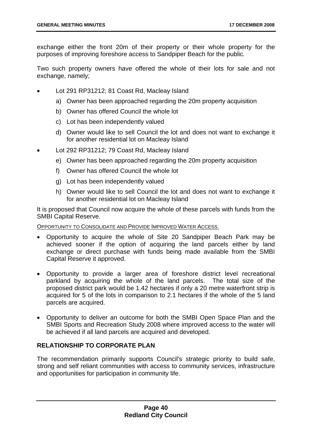exchange either the front 20m of their property or their whole property for the purposes of improving foreshore access to Sandpiper Beach for the public.

Two such property owners have offered the whole of their lots for sale and not exchange, namely;

- Lot 291 RP31212; 81 Coast Rd, Macleay Island
	- a) Owner has been approached regarding the 20m property acquisition
	- b) Owner has offered Council the whole lot
	- c) Lot has been independently valued
	- d) Owner would like to sell Council the lot and does not want to exchange it for another residential lot on Macleay Island
- Lot 292 RP31212; 79 Coast Rd, Macleay Island
	- e) Owner has been approached regarding the 20m property acquisition
	- f) Owner has offered Council the whole lot
	- g) Lot has been independently valued
	- h) Owner would like to sell Council the lot and does not want to exchange it for another residential lot on Macleay Island

It is proposed that Council now acquire the whole of these parcels with funds from the SMBI Capital Reserve.

OPPORTUNITY TO CONSOLIDATE AND PROVIDE IMPROVED WATER ACCESS.

- Opportunity to acquire the whole of Site 20 Sandpiper Beach Park may be achieved sooner if the option of acquiring the land parcels either by land exchange or direct purchase with funds being made available from the SMBI Capital Reserve it approved.
- Opportunity to provide a larger area of foreshore district level recreational parkland by acquiring the whole of the land parcels. The total size of the proposed district park would be 1.42 hectares if only a 20 metre waterfront strip is acquired for 5 of the lots in comparison to 2.1 hectares if the whole of the 5 land parcels are acquired.
- Opportunity to deliver an outcome for both the SMBI Open Space Plan and the SMBI Sports and Recreation Study 2008 where improved access to the water will be achieved if all land parcels are acquired and developed.

## **RELATIONSHIP TO CORPORATE PLAN**

The recommendation primarily supports Council's strategic priority to build safe, strong and self reliant communities with access to community services, infrastructure and opportunities for participation in community life.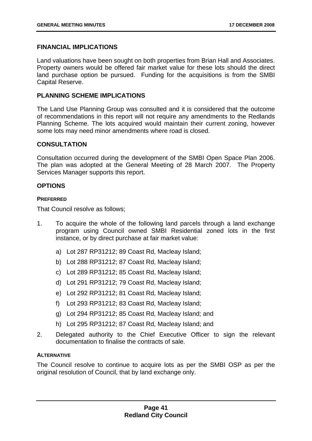## **FINANCIAL IMPLICATIONS**

Land valuations have been sought on both properties from Brian Hall and Associates. Property owners would be offered fair market value for these lots should the direct land purchase option be pursued. Funding for the acquisitions is from the SMBI Capital Reserve.

## **PLANNING SCHEME IMPLICATIONS**

The Land Use Planning Group was consulted and it is considered that the outcome of recommendations in this report will not require any amendments to the Redlands Planning Scheme. The lots acquired would maintain their current zoning, however some lots may need minor amendments where road is closed.

## **CONSULTATION**

Consultation occurred during the development of the SMBI Open Space Plan 2006. The plan was adopted at the General Meeting of 28 March 2007. The Property Services Manager supports this report.

## **OPTIONS**

## **PREFERRED**

That Council resolve as follows;

- 1. To acquire the whole of the following land parcels through a land exchange program using Council owned SMBI Residential zoned lots in the first instance, or by direct purchase at fair market value:
	- a) Lot 287 RP31212; 89 Coast Rd, Macleay Island;
	- b) Lot 288 RP31212; 87 Coast Rd, Macleay Island;
	- c) Lot 289 RP31212; 85 Coast Rd, Macleay Island;
	- d) Lot 291 RP31212; 79 Coast Rd, Macleay Island;
	- e) Lot 292 RP31212; 81 Coast Rd, Macleay Island;
	- f) Lot 293 RP31212; 83 Coast Rd, Macleay Island;
	- g) Lot 294 RP31212; 85 Coast Rd, Macleay Island; and
	- h) Lot 295 RP31212; 87 Coast Rd, Macleay Island; and
- 2. Delegated authority to the Chief Executive Officer to sign the relevant documentation to finalise the contracts of sale.

## **ALTERNATIVE**

The Council resolve to continue to acquire lots as per the SMBI OSP as per the original resolution of Council, that by land exchange only.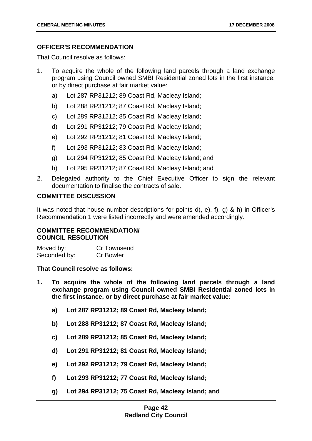# **OFFICER'S RECOMMENDATION**

That Council resolve as follows:

- 1. To acquire the whole of the following land parcels through a land exchange program using Council owned SMBI Residential zoned lots in the first instance, or by direct purchase at fair market value:
	- a) Lot 287 RP31212; 89 Coast Rd, Macleay Island;
	- b) Lot 288 RP31212; 87 Coast Rd, Macleay Island;
	- c) Lot 289 RP31212; 85 Coast Rd, Macleay Island;
	- d) Lot 291 RP31212; 79 Coast Rd, Macleay Island;
	- e) Lot 292 RP31212; 81 Coast Rd, Macleay Island;
	- f) Lot 293 RP31212; 83 Coast Rd, Macleay Island;
	- g) Lot 294 RP31212; 85 Coast Rd, Macleay Island; and
	- h) Lot 295 RP31212; 87 Coast Rd, Macleay Island; and
- 2. Delegated authority to the Chief Executive Officer to sign the relevant documentation to finalise the contracts of sale.

## **COMMITTEE DISCUSSION**

It was noted that house number descriptions for points d), e), f), g) & h) in Officer's Recommendation 1 were listed incorrectly and were amended accordingly.

## **COMMITTEE RECOMMENDATION/ COUNCIL RESOLUTION**

| Moved by:    | Cr Townsend      |
|--------------|------------------|
| Seconded by: | <b>Cr Bowler</b> |

## **That Council resolve as follows:**

- **1. To acquire the whole of the following land parcels through a land exchange program using Council owned SMBI Residential zoned lots in the first instance, or by direct purchase at fair market value:** 
	- **a) Lot 287 RP31212; 89 Coast Rd, Macleay Island;**
	- **b) Lot 288 RP31212; 87 Coast Rd, Macleay Island;**
	- **c) Lot 289 RP31212; 85 Coast Rd, Macleay Island;**
	- **d) Lot 291 RP31212; 81 Coast Rd, Macleay Island;**
	- **e) Lot 292 RP31212; 79 Coast Rd, Macleay Island;**
	- **f) Lot 293 RP31212; 77 Coast Rd, Macleay Island;**
	- **g) Lot 294 RP31212; 75 Coast Rd, Macleay Island; and**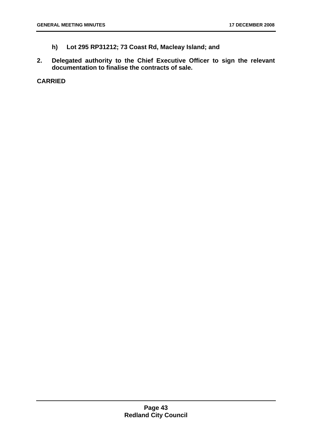- **h) Lot 295 RP31212; 73 Coast Rd, Macleay Island; and**
- **2. Delegated authority to the Chief Executive Officer to sign the relevant documentation to finalise the contracts of sale.**

**CARRIED**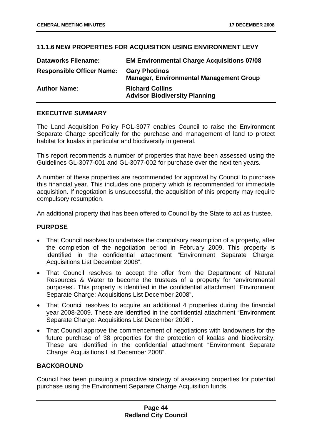# **11.1.6 NEW PROPERTIES FOR ACQUISITION USING ENVIRONMENT LEVY**

| <b>Dataworks Filename:</b>       | <b>EM Environmental Charge Acquisitions 07/08</b>                      |
|----------------------------------|------------------------------------------------------------------------|
| <b>Responsible Officer Name:</b> | <b>Gary Photinos</b><br><b>Manager, Environmental Management Group</b> |
| <b>Author Name:</b>              | <b>Richard Collins</b><br><b>Advisor Biodiversity Planning</b>         |

## **EXECUTIVE SUMMARY**

The Land Acquisition Policy POL-3077 enables Council to raise the Environment Separate Charge specifically for the purchase and management of land to protect habitat for koalas in particular and biodiversity in general.

This report recommends a number of properties that have been assessed using the Guidelines GL-3077-001 and GL-3077-002 for purchase over the next ten years.

A number of these properties are recommended for approval by Council to purchase this financial year. This includes one property which is recommended for immediate acquisition. If negotiation is unsuccessful, the acquisition of this property may require compulsory resumption.

An additional property that has been offered to Council by the State to act as trustee.

# **PURPOSE**

- That Council resolves to undertake the compulsory resumption of a property, after the completion of the negotiation period in February 2009. This property is identified in the confidential attachment "Environment Separate Charge: Acquisitions List December 2008".
- That Council resolves to accept the offer from the Department of Natural Resources & Water to become the trustees of a property for 'environmental purposes'. This property is identified in the confidential attachment "Environment Separate Charge: Acquisitions List December 2008".
- That Council resolves to acquire an additional 4 properties during the financial year 2008-2009. These are identified in the confidential attachment "Environment Separate Charge: Acquisitions List December 2008".
- That Council approve the commencement of negotiations with landowners for the future purchase of 38 properties for the protection of koalas and biodiversity. These are identified in the confidential attachment "Environment Separate Charge: Acquisitions List December 2008".

# **BACKGROUND**

Council has been pursuing a proactive strategy of assessing properties for potential purchase using the Environment Separate Charge Acquisition funds.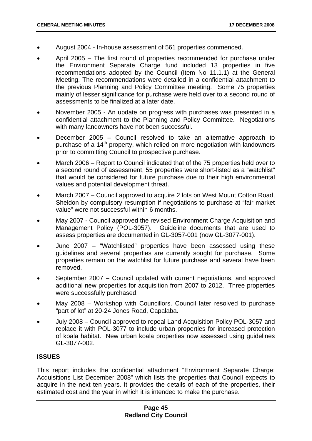- August 2004 In-house assessment of 561 properties commenced.
- April 2005 The first round of properties recommended for purchase under the Environment Separate Charge fund included 13 properties in five recommendations adopted by the Council (Item No 11.1.1) at the General Meeting. The recommendations were detailed in a confidential attachment to the previous Planning and Policy Committee meeting. Some 75 properties mainly of lesser significance for purchase were held over to a second round of assessments to be finalized at a later date.
- November 2005 An update on progress with purchases was presented in a confidential attachment to the Planning and Policy Committee. Negotiations with many landowners have not been successful.
- December 2005 Council resolved to take an alternative approach to purchase of a 14<sup>th</sup> property, which relied on more negotiation with landowners prior to committing Council to prospective purchase.
- March 2006 Report to Council indicated that of the 75 properties held over to a second round of assessment, 55 properties were short-listed as a "watchlist" that would be considered for future purchase due to their high environmental values and potential development threat.
- March 2007 Council approved to acquire 2 lots on West Mount Cotton Road, Sheldon by compulsory resumption if negotiations to purchase at "fair market value" were not successful within 6 months.
- May 2007 Council approved the revised Environment Charge Acquisition and Management Policy (POL-3057). Guideline documents that are used to assess properties are documented in GL-3057-001 (now GL-3077-001).
- June 2007 "Watchlisted" properties have been assessed using these guidelines and several properties are currently sought for purchase. Some properties remain on the watchlist for future purchase and several have been removed.
- September 2007 Council updated with current negotiations, and approved additional new properties for acquisition from 2007 to 2012. Three properties were successfully purchased.
- May 2008 Workshop with Councillors. Council later resolved to purchase "part of lot" at 20-24 Jones Road, Capalaba.
- July 2008 Council approved to repeal Land Acquisition Policy POL-3057 and replace it with POL-3077 to include urban properties for increased protection of koala habitat. New urban koala properties now assessed using guidelines GL-3077-002.

# **ISSUES**

This report includes the confidential attachment "Environment Separate Charge: Acquisitions List December 2008" which lists the properties that Council expects to acquire in the next ten years. It provides the details of each of the properties, their estimated cost and the year in which it is intended to make the purchase.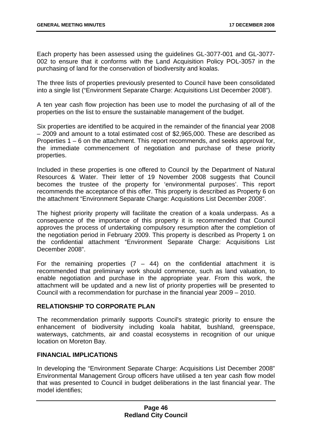Each property has been assessed using the guidelines GL-3077-001 and GL-3077- 002 to ensure that it conforms with the Land Acquisition Policy POL-3057 in the purchasing of land for the conservation of biodiversity and koalas.

The three lists of properties previously presented to Council have been consolidated into a single list ("Environment Separate Charge: Acquisitions List December 2008").

A ten year cash flow projection has been use to model the purchasing of all of the properties on the list to ensure the sustainable management of the budget.

Six properties are identified to be acquired in the remainder of the financial year 2008 – 2009 and amount to a total estimated cost of \$2,965,000. These are described as Properties 1 – 6 on the attachment. This report recommends, and seeks approval for, the immediate commencement of negotiation and purchase of these priority properties.

Included in these properties is one offered to Council by the Department of Natural Resources & Water. Their letter of 19 November 2008 suggests that Council becomes the trustee of the property for 'environmental purposes'. This report recommends the acceptance of this offer. This property is described as Property 6 on the attachment "Environment Separate Charge: Acquisitions List December 2008".

The highest priority property will facilitate the creation of a koala underpass. As a consequence of the importance of this property it is recommended that Council approves the process of undertaking compulsory resumption after the completion of the negotiation period in February 2009. This property is described as Property 1 on the confidential attachment "Environment Separate Charge: Acquisitions List December 2008".

For the remaining properties  $(7 - 44)$  on the confidential attachment it is recommended that preliminary work should commence, such as land valuation, to enable negotiation and purchase in the appropriate year. From this work, the attachment will be updated and a new list of priority properties will be presented to Council with a recommendation for purchase in the financial year 2009 – 2010.

## **RELATIONSHIP TO CORPORATE PLAN**

The recommendation primarily supports Council's strategic priority to ensure the enhancement of biodiversity including koala habitat, bushland, greenspace, waterways, catchments, air and coastal ecosystems in recognition of our unique location on Moreton Bay.

# **FINANCIAL IMPLICATIONS**

In developing the "Environment Separate Charge: Acquisitions List December 2008" Environmental Management Group officers have utilised a ten year cash flow model that was presented to Council in budget deliberations in the last financial year. The model identifies;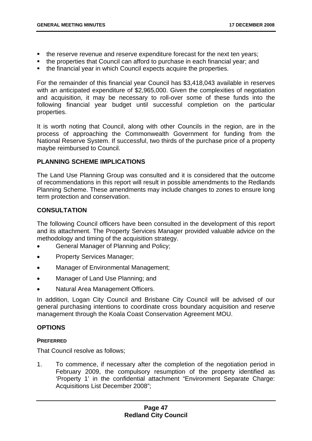- the reserve revenue and reserve expenditure forecast for the next ten years;
- the properties that Council can afford to purchase in each financial year; and
- the financial year in which Council expects acquire the properties.

For the remainder of this financial year Council has \$3,418,043 available in reserves with an anticipated expenditure of \$2,965,000. Given the complexities of negotiation and acquisition, it may be necessary to roll-over some of these funds into the following financial year budget until successful completion on the particular properties.

It is worth noting that Council, along with other Councils in the region, are in the process of approaching the Commonwealth Government for funding from the National Reserve System. If successful, two thirds of the purchase price of a property maybe reimbursed to Council.

## **PLANNING SCHEME IMPLICATIONS**

The Land Use Planning Group was consulted and it is considered that the outcome of recommendations in this report will result in possible amendments to the Redlands Planning Scheme. These amendments may include changes to zones to ensure long term protection and conservation.

## **CONSULTATION**

The following Council officers have been consulted in the development of this report and its attachment. The Property Services Manager provided valuable advice on the methodology and timing of the acquisition strategy.

- General Manager of Planning and Policy;
- Property Services Manager:
- Manager of Environmental Management;
- Manager of Land Use Planning; and
- Natural Area Management Officers.

In addition, Logan City Council and Brisbane City Council will be advised of our general purchasing intentions to coordinate cross boundary acquisition and reserve management through the Koala Coast Conservation Agreement MOU.

# **OPTIONS**

## **PREFERRED**

That Council resolve as follows;

1. To commence, if necessary after the completion of the negotiation period in February 2009, the compulsory resumption of the property identified as 'Property 1' in the confidential attachment "Environment Separate Charge: Acquisitions List December 2008";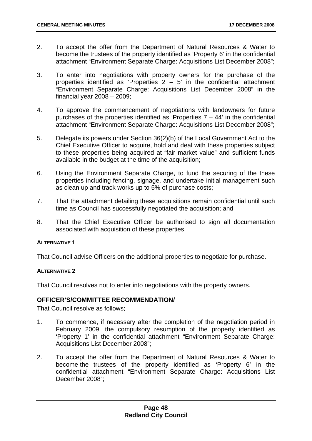- 2. To accept the offer from the Department of Natural Resources & Water to become the trustees of the property identified as 'Property 6' in the confidential attachment "Environment Separate Charge: Acquisitions List December 2008";
- 3. To enter into negotiations with property owners for the purchase of the properties identified as 'Properties  $2 - 5$ ' in the confidential attachment "Environment Separate Charge: Acquisitions List December 2008" in the financial year 2008 – 2009;
- 4. To approve the commencement of negotiations with landowners for future purchases of the properties identified as 'Properties  $7 - 44$ ' in the confidential attachment "Environment Separate Charge: Acquisitions List December 2008";
- 5. Delegate its powers under Section 36(2)(b) of the Local Government Act to the Chief Executive Officer to acquire, hold and deal with these properties subject to these properties being acquired at "fair market value" and sufficient funds available in the budget at the time of the acquisition;
- 6. Using the Environment Separate Charge, to fund the securing of the these properties including fencing, signage, and undertake initial management such as clean up and track works up to 5% of purchase costs;
- 7. That the attachment detailing these acquisitions remain confidential until such time as Council has successfully negotiated the acquisition; and
- 8. That the Chief Executive Officer be authorised to sign all documentation associated with acquisition of these properties.

## **ALTERNATIVE 1**

That Council advise Officers on the additional properties to negotiate for purchase.

## **ALTERNATIVE 2**

That Council resolves not to enter into negotiations with the property owners.

# 73B**OFFICER'S/COMMITTEE RECOMMENDATION/**

That Council resolve as follows;

- 1. To commence, if necessary after the completion of the negotiation period in February 2009, the compulsory resumption of the property identified as 'Property 1' in the confidential attachment "Environment Separate Charge: Acquisitions List December 2008";
- 2. To accept the offer from the Department of Natural Resources & Water to become the trustees of the property identified as 'Property 6' in the confidential attachment "Environment Separate Charge: Acquisitions List December 2008";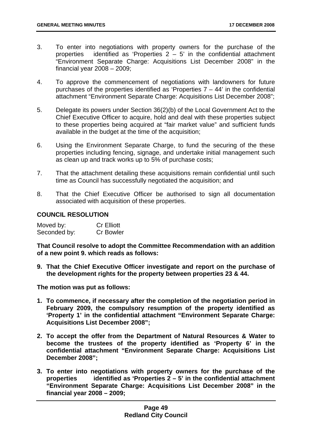- 3. To enter into negotiations with property owners for the purchase of the properties identified as 'Properties 2 – 5' in the confidential attachment "Environment Separate Charge: Acquisitions List December 2008" in the financial year 2008 – 2009;
- 4. To approve the commencement of negotiations with landowners for future purchases of the properties identified as 'Properties  $7 - 44$ ' in the confidential attachment "Environment Separate Charge: Acquisitions List December 2008";
- 5. Delegate its powers under Section 36(2)(b) of the Local Government Act to the Chief Executive Officer to acquire, hold and deal with these properties subject to these properties being acquired at "fair market value" and sufficient funds available in the budget at the time of the acquisition;
- 6. Using the Environment Separate Charge, to fund the securing of the these properties including fencing, signage, and undertake initial management such as clean up and track works up to 5% of purchase costs;
- 7. That the attachment detailing these acquisitions remain confidential until such time as Council has successfully negotiated the acquisition; and
- 8. That the Chief Executive Officer be authorised to sign all documentation associated with acquisition of these properties.

# **COUNCIL RESOLUTION**

| Moved by:    | <b>Cr Elliott</b> |
|--------------|-------------------|
| Seconded by: | <b>Cr Bowler</b>  |

**That Council resolve to adopt the Committee Recommendation with an addition of a new point 9. which reads as follows:** 

**9. That the Chief Executive Officer investigate and report on the purchase of the development rights for the property between properties 23 & 44.** 

**The motion was put as follows:** 

- **1. To commence, if necessary after the completion of the negotiation period in February 2009, the compulsory resumption of the property identified as 'Property 1' in the confidential attachment "Environment Separate Charge: Acquisitions List December 2008";**
- **2. To accept the offer from the Department of Natural Resources & Water to become the trustees of the property identified as 'Property 6' in the confidential attachment "Environment Separate Charge: Acquisitions List December 2008";**
- **3. To enter into negotiations with property owners for the purchase of the properties identified as 'Properties 2 – 5' in the confidential attachment "Environment Separate Charge: Acquisitions List December 2008" in the financial year 2008 – 2009;**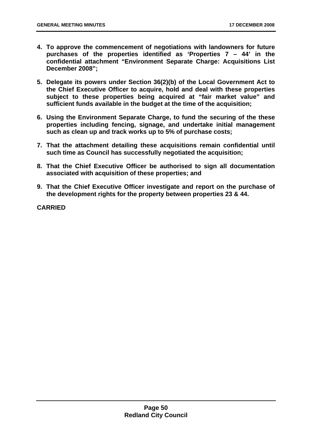- **4. To approve the commencement of negotiations with landowners for future purchases of the properties identified as 'Properties 7 – 44' in the confidential attachment "Environment Separate Charge: Acquisitions List December 2008";**
- **5. Delegate its powers under Section 36(2)(b) of the Local Government Act to the Chief Executive Officer to acquire, hold and deal with these properties subject to these properties being acquired at "fair market value" and sufficient funds available in the budget at the time of the acquisition;**
- **6. Using the Environment Separate Charge, to fund the securing of the these properties including fencing, signage, and undertake initial management such as clean up and track works up to 5% of purchase costs;**
- **7. That the attachment detailing these acquisitions remain confidential until such time as Council has successfully negotiated the acquisition;**
- **8. That the Chief Executive Officer be authorised to sign all documentation associated with acquisition of these properties; and**
- **9. That the Chief Executive Officer investigate and report on the purchase of the development rights for the property between properties 23 & 44.**

**CARRIED**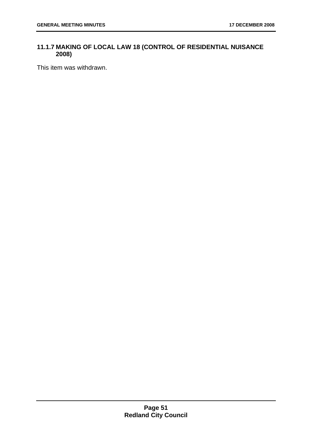# **11.1.7 MAKING OF LOCAL LAW 18 (CONTROL OF RESIDENTIAL NUISANCE 2008)**

This item was withdrawn.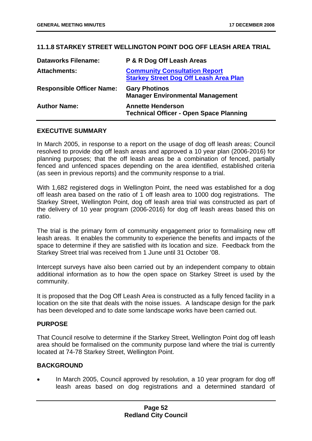# **11.1.8 STARKEY STREET WELLINGTON POINT DOG OFF LEASH AREA TRIAL**

| <b>Dataworks Filename:</b>       | P & R Dog Off Leash Areas                                                             |
|----------------------------------|---------------------------------------------------------------------------------------|
| <b>Attachments:</b>              | <b>Community Consultation Report</b><br><b>Starkey Street Dog Off Leash Area Plan</b> |
| <b>Responsible Officer Name:</b> | <b>Gary Photinos</b><br><b>Manager Environmental Management</b>                       |
| <b>Author Name:</b>              | <b>Annette Henderson</b><br><b>Technical Officer - Open Space Planning</b>            |

## **EXECUTIVE SUMMARY**

In March 2005, in response to a report on the usage of dog off leash areas; Council resolved to provide dog off leash areas and approved a 10 year plan (2006-2016) for planning purposes; that the off leash areas be a combination of fenced, partially fenced and unfenced spaces depending on the area identified, established criteria (as seen in previous reports) and the community response to a trial.

With 1,682 registered dogs in Wellington Point, the need was established for a dog off leash area based on the ratio of 1 off leash area to 1000 dog registrations. The Starkey Street, Wellington Point, dog off leash area trial was constructed as part of the delivery of 10 year program (2006-2016) for dog off leash areas based this on ratio.

The trial is the primary form of community engagement prior to formalising new off leash areas. It enables the community to experience the benefits and impacts of the space to determine if they are satisfied with its location and size. Feedback from the Starkey Street trial was received from 1 June until 31 October '08.

Intercept surveys have also been carried out by an independent company to obtain additional information as to how the open space on Starkey Street is used by the community.

It is proposed that the Dog Off Leash Area is constructed as a fully fenced facility in a location on the site that deals with the noise issues. A landscape design for the park has been developed and to date some landscape works have been carried out.

## **PURPOSE**

That Council resolve to determine if the Starkey Street, Wellington Point dog off leash area should be formalised on the community purpose land where the trial is currently located at 74-78 Starkey Street, Wellington Point.

# **BACKGROUND**

• In March 2005, Council approved by resolution, a 10 year program for dog off leash areas based on dog registrations and a determined standard of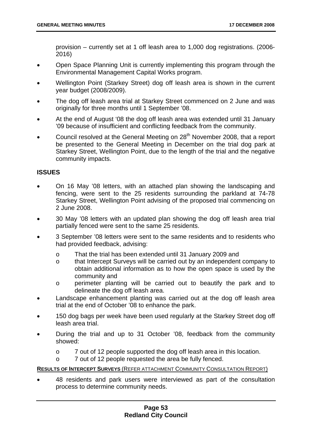provision – currently set at 1 off leash area to 1,000 dog registrations. (2006- 2016)

- Open Space Planning Unit is currently implementing this program through the Environmental Management Capital Works program.
- Wellington Point (Starkey Street) dog off leash area is shown in the current year budget (2008/2009).
- The dog off leash area trial at Starkey Street commenced on 2 June and was originally for three months until 1 September '08.
- At the end of August '08 the dog off leash area was extended until 31 January '09 because of insufficient and conflicting feedback from the community.
- Council resolved at the General Meeting on 28<sup>th</sup> November 2008, that a report be presented to the General Meeting in December on the trial dog park at Starkey Street, Wellington Point, due to the length of the trial and the negative community impacts.

## **ISSUES**

- On 16 May '08 letters, with an attached plan showing the landscaping and fencing, were sent to the 25 residents surrounding the parkland at 74-78 Starkey Street, Wellington Point advising of the proposed trial commencing on 2 June 2008.
- 30 May '08 letters with an updated plan showing the dog off leash area trial partially fenced were sent to the same 25 residents.
- 3 September '08 letters were sent to the same residents and to residents who had provided feedback, advising:
	- o That the trial has been extended until 31 January 2009 and
	- o that Intercept Surveys will be carried out by an independent company to obtain additional information as to how the open space is used by the community and
	- o perimeter planting will be carried out to beautify the park and to delineate the dog off leash area.
- Landscape enhancement planting was carried out at the dog off leash area trial at the end of October '08 to enhance the park.
- 150 dog bags per week have been used regularly at the Starkey Street dog off leash area trial.
- During the trial and up to 31 October '08, feedback from the community showed:
	- o 7 out of 12 people supported the dog off leash area in this location.
	- o 7 out of 12 people requested the area be fully fenced.

## <sup>U</sup>**RESULTS OF INTERCEPT SURVEYS** (REFER ATTACHMENT COMMUNITY CONSULTATION REPORT)

• 48 residents and park users were interviewed as part of the consultation process to determine community needs.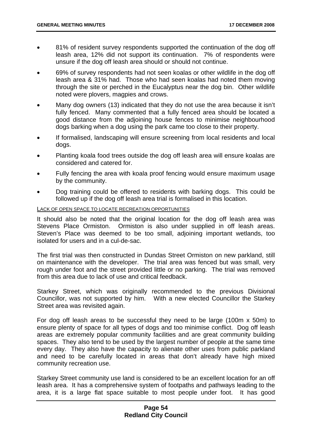- 81% of resident survey respondents supported the continuation of the dog off leash area, 12% did not support its continuation. 7% of respondents were unsure if the dog off leash area should or should not continue.
- 69% of survey respondents had not seen koalas or other wildlife in the dog off leash area & 31% had. Those who had seen koalas had noted them moving through the site or perched in the Eucalyptus near the dog bin. Other wildlife noted were plovers, magpies and crows.
- Many dog owners (13) indicated that they do not use the area because it isn't fully fenced. Many commented that a fully fenced area should be located a good distance from the adjoining house fences to minimise neighbourhood dogs barking when a dog using the park came too close to their property.
- If formalised, landscaping will ensure screening from local residents and local dogs.
- Planting koala food trees outside the dog off leash area will ensure koalas are considered and catered for.
- Fully fencing the area with koala proof fencing would ensure maximum usage by the community.
- Dog training could be offered to residents with barking dogs. This could be followed up if the dog off leash area trial is formalised in this location.

#### LACK OF OPEN SPACE TO LOCATE RECREATION OPPORTUNITIES

It should also be noted that the original location for the dog off leash area was Stevens Place Ormiston. Ormiston is also under supplied in off leash areas. Steven's Place was deemed to be too small, adjoining important wetlands, too isolated for users and in a cul-de-sac.

The first trial was then constructed in Dundas Street Ormiston on new parkland, still on maintenance with the developer. The trial area was fenced but was small, very rough under foot and the street provided little or no parking. The trial was removed from this area due to lack of use and critical feedback.

Starkey Street, which was originally recommended to the previous Divisional Councillor, was not supported by him. With a new elected Councillor the Starkey Street area was revisited again.

For dog off leash areas to be successful they need to be large (100m x 50m) to ensure plenty of space for all types of dogs and too minimise conflict. Dog off leash areas are extremely popular community facilities and are great community building spaces. They also tend to be used by the largest number of people at the same time every day. They also have the capacity to alienate other uses from public parkland and need to be carefully located in areas that don't already have high mixed community recreation use.

Starkey Street community use land is considered to be an excellent location for an off leash area. It has a comprehensive system of footpaths and pathways leading to the area, it is a large flat space suitable to most people under foot. It has good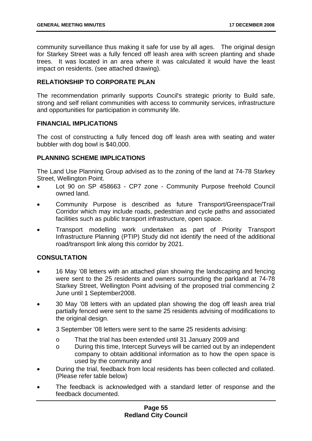community surveillance thus making it safe for use by all ages. The original design for Starkey Street was a fully fenced off leash area with screen planting and shade trees. It was located in an area where it was calculated it would have the least impact on residents. (see attached drawing).

# **RELATIONSHIP TO CORPORATE PLAN**

The recommendation primarily supports Council's strategic priority to Build safe, strong and self reliant communities with access to community services, infrastructure and opportunities for participation in community life.

# **FINANCIAL IMPLICATIONS**

The cost of constructing a fully fenced dog off leash area with seating and water bubbler with dog bowl is \$40,000.

## **PLANNING SCHEME IMPLICATIONS**

The Land Use Planning Group advised as to the zoning of the land at 74-78 Starkey Street, Wellington Point.

- Lot 90 on SP 458663 CP7 zone Community Purpose freehold Council owned land.
- Community Purpose is described as future Transport/Greenspace/Trail Corridor which may include roads, pedestrian and cycle paths and associated facilities such as public transport infrastructure, open space.
- Transport modelling work undertaken as part of Priority Transport Infrastructure Planning (PTIP) Study did not identify the need of the additional road/transport link along this corridor by 2021.

# **CONSULTATION**

- 16 May '08 letters with an attached plan showing the landscaping and fencing were sent to the 25 residents and owners surrounding the parkland at 74-78 Starkey Street, Wellington Point advising of the proposed trial commencing 2 June until 1 September2008.
- 30 May '08 letters with an updated plan showing the dog off leash area trial partially fenced were sent to the same 25 residents advising of modifications to the original design.
- 3 September '08 letters were sent to the same 25 residents advising:
	- o That the trial has been extended until 31 January 2009 and
	- o During this time, Intercept Surveys will be carried out by an independent company to obtain additional information as to how the open space is used by the community and
- During the trial, feedback from local residents has been collected and collated. (Please refer table below)
- The feedback is acknowledged with a standard letter of response and the feedback documented.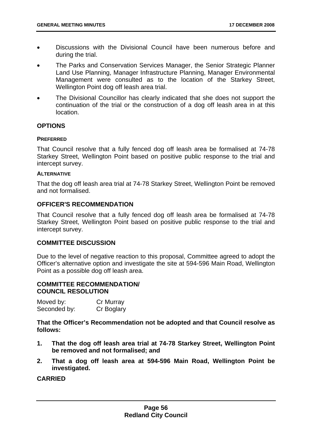- Discussions with the Divisional Council have been numerous before and during the trial.
- The Parks and Conservation Services Manager, the Senior Strategic Planner Land Use Planning, Manager Infrastructure Planning, Manager Environmental Management were consulted as to the location of the Starkey Street, Wellington Point dog off leash area trial.
- The Divisional Councillor has clearly indicated that she does not support the continuation of the trial or the construction of a dog off leash area in at this location.

## **OPTIONS**

#### **PREFERRED**

That Council resolve that a fully fenced dog off leash area be formalised at 74-78 Starkey Street, Wellington Point based on positive public response to the trial and intercept survey.

#### **ALTERNATIVE**

That the dog off leash area trial at 74-78 Starkey Street, Wellington Point be removed and not formalised.

# **OFFICER'S RECOMMENDATION**

That Council resolve that a fully fenced dog off leash area be formalised at 74-78 Starkey Street, Wellington Point based on positive public response to the trial and intercept survey.

## **COMMITTEE DISCUSSION**

Due to the level of negative reaction to this proposal, Committee agreed to adopt the Officer's alternative option and investigate the site at 594-596 Main Road, Wellington Point as a possible dog off leash area.

## **COMMITTEE RECOMMENDATION/ COUNCIL RESOLUTION**

| Moved by:    | Cr Murray  |
|--------------|------------|
| Seconded by: | Cr Boglary |

**That the Officer's Recommendation not be adopted and that Council resolve as follows:** 

- **1. That the dog off leash area trial at 74-78 Starkey Street, Wellington Point be removed and not formalised; and**
- **2. That a dog off leash area at 594-596 Main Road, Wellington Point be investigated.**

## **CARRIED**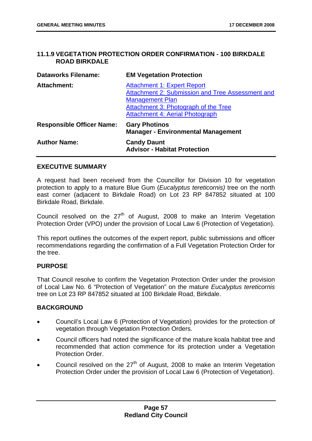## **11.1.9 VEGETATION PROTECTION ORDER CONFIRMATION - 100 BIRKDALE ROAD BIRKDALE**

| <b>Dataworks Filename:</b>       | <b>EM Vegetation Protection</b>                                                                                                                                                                    |
|----------------------------------|----------------------------------------------------------------------------------------------------------------------------------------------------------------------------------------------------|
| <b>Attachment:</b>               | <b>Attachment 1: Expert Report</b><br>Attachment 2: Submission and Tree Assessment and<br><b>Management Plan</b><br>Attachment 3: Photograph of the Tree<br><b>Attachment 4: Aerial Photograph</b> |
| <b>Responsible Officer Name:</b> | <b>Gary Photinos</b><br><b>Manager - Environmental Management</b>                                                                                                                                  |
| <b>Author Name:</b>              | <b>Candy Daunt</b><br><b>Advisor - Habitat Protection</b>                                                                                                                                          |

## **EXECUTIVE SUMMARY**

A request had been received from the Councillor for Division 10 for vegetation protection to apply to a mature Blue Gum (*Eucalyptus tereticornis)* tree on the north east corner (adjacent to Birkdale Road) on Lot 23 RP 847852 situated at 100 Birkdale Road, Birkdale.

Council resolved on the  $27<sup>th</sup>$  of August, 2008 to make an Interim Vegetation Protection Order (VPO) under the provision of Local Law 6 (Protection of Vegetation).

This report outlines the outcomes of the expert report, public submissions and officer recommendations regarding the confirmation of a Full Vegetation Protection Order for the tree.

## **PURPOSE**

That Council resolve to confirm the Vegetation Protection Order under the provision of Local Law No. 6 "Protection of Vegetation" on the mature *Eucalyptus tereticornis* tree on Lot 23 RP 847852 situated at 100 Birkdale Road, Birkdale.

# **BACKGROUND**

- Council's Local Law 6 (Protection of Vegetation) provides for the protection of vegetation through Vegetation Protection Orders.
- Council officers had noted the significance of the mature koala habitat tree and recommended that action commence for its protection under a Vegetation Protection Order.
- Council resolved on the  $27<sup>th</sup>$  of August, 2008 to make an Interim Vegetation Protection Order under the provision of Local Law 6 (Protection of Vegetation).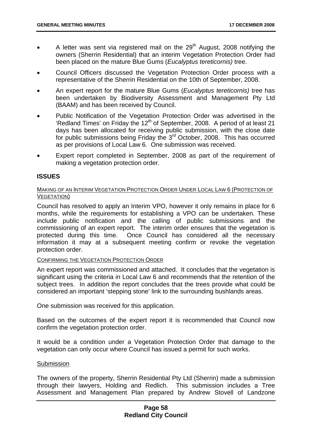- A letter was sent via registered mail on the  $29<sup>th</sup>$  August, 2008 notifying the owners (Sherrin Residential) that an interim Vegetation Protection Order had been placed on the mature Blue Gums (*Eucalyptus tereticornis)* tree.
- Council Officers discussed the Vegetation Protection Order process with a representative of the Sherrin Residential on the 10th of September, 2008.
- An expert report for the mature Blue Gums (*Eucalyptus tereticornis)* tree has been undertaken by Biodiversity Assessment and Management Pty Ltd (BAAM) and has been received by Council.
- Public Notification of the Vegetation Protection Order was advertised in the 'Redland Times' on Friday the 12<sup>th</sup> of September, 2008. A period of at least 21 days has been allocated for receiving public submission, with the close date for public submissions being Friday the  $3<sup>rd</sup>$  October, 2008. This has occurred as per provisions of Local Law 6. One submission was received.
- Expert report completed in September, 2008 as part of the requirement of making a vegetation protection order.

## **ISSUES**

### MAKING OF AN INTERIM VEGETATION PROTECTION ORDER UNDER LOCAL LAW 6 (PROTECTION OF VEGETATION)

Council has resolved to apply an Interim VPO, however it only remains in place for 6 months, while the requirements for establishing a VPO can be undertaken. These include public notification and the calling of public submissions and the commissioning of an expert report. The interim order ensures that the vegetation is protected during this time. Once Council has considered all the necessary information it may at a subsequent meeting confirm or revoke the vegetation protection order.

## CONFIRMING THE VEGETATION PROTECTION ORDER

An expert report was commissioned and attached. It concludes that the vegetation is significant using the criteria in Local Law 6 and recommends that the retention of the subject trees. In addition the report concludes that the trees provide what could be considered an important 'stepping stone' link to the surrounding bushlands areas.

One submission was received for this application.

Based on the outcomes of the expert report it is recommended that Council now confirm the vegetation protection order.

It would be a condition under a Vegetation Protection Order that damage to the vegetation can only occur where Council has issued a permit for such works.

#### Submission

The owners of the property, Sherrin Residential Pty Ltd (Sherrin) made a submission through their lawyers, Holding and Redlich. This submission includes a Tree Assessment and Management Plan prepared by Andrew Stovell of Landzone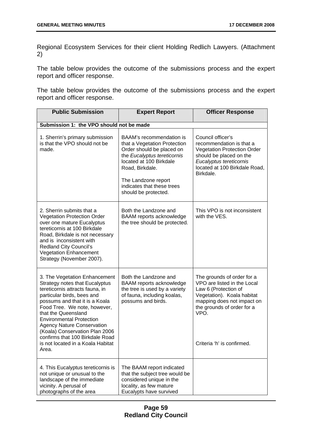Regional Ecosystem Services for their client Holding Redlich Lawyers. (Attachment 2)

The table below provides the outcome of the submissions process and the expert report and officer response.

The table below provides the outcome of the submissions process and the expert report and officer response.

| <b>Public Submission</b>                                                                                                                                                                                                                                                                                                                                                                                                    | <b>Expert Report</b>                                                                                                                                                                                                                            | <b>Officer Response</b>                                                                                                                                                                                           |
|-----------------------------------------------------------------------------------------------------------------------------------------------------------------------------------------------------------------------------------------------------------------------------------------------------------------------------------------------------------------------------------------------------------------------------|-------------------------------------------------------------------------------------------------------------------------------------------------------------------------------------------------------------------------------------------------|-------------------------------------------------------------------------------------------------------------------------------------------------------------------------------------------------------------------|
| Submission 1: the VPO should not be made                                                                                                                                                                                                                                                                                                                                                                                    |                                                                                                                                                                                                                                                 |                                                                                                                                                                                                                   |
| 1. Sherrin's primary submission<br>is that the VPO should not be<br>made.                                                                                                                                                                                                                                                                                                                                                   | BAAM's recommendation is<br>that a Vegetation Protection<br>Order should be placed on<br>the Eucalyptus tereticornis<br>located at 100 Birkdale<br>Road, Birkdale.<br>The Landzone report<br>indicates that these trees<br>should be protected. | Council officer's<br>recommendation is that a<br><b>Vegetation Protection Order</b><br>should be placed on the<br>Eucalyptus tereticornis<br>located at 100 Birkdale Road,<br>Birkdale.                           |
| 2. Sherrin submits that a<br><b>Vegetation Protection Order</b><br>over one mature Eucalyptus<br>tereticornis at 100 Birkdale<br>Road, Birkdale is not necessary<br>and is inconsistent with<br><b>Redland City Council's</b><br><b>Vegetation Enhancement</b><br>Strategy (November 2007).                                                                                                                                 | Both the Landzone and<br>BAAM reports acknowledge<br>the tree should be protected.                                                                                                                                                              | This VPO is not inconsistent<br>with the VES.                                                                                                                                                                     |
| 3. The Vegetation Enhancement<br><b>Strategy notes that Eucalyptus</b><br>tereticornis attracts fauna, in<br>particular birds, bees and<br>possums and that it is a Koala<br>Food Tree. We note, however,<br>that the Queensland<br><b>Environmental Protection</b><br><b>Agency Nature Conservation</b><br>(Koala) Conservation Plan 2006<br>confirms that 100 Birkdale Road<br>is not located in a Koala Habitat<br>Area. | Both the Landzone and<br>BAAM reports acknowledge<br>the tree is used by a variety<br>of fauna, including koalas,<br>possums and birds.                                                                                                         | The grounds of order for a<br>VPO are listed in the Local<br>Law 6 (Protection of<br>Vegetation). Koala habitat<br>mapping does not impact on<br>the grounds of order for a<br>VPO.<br>Criteria 'h' is confirmed. |
| 4. This Eucalyptus tereticornis is<br>not unique or unusual to the<br>landscape of the immediate<br>vicinity. A perusal of<br>photographs of the area                                                                                                                                                                                                                                                                       | The BAAM report indicated<br>that the subject tree would be<br>considered unique in the<br>locality, as few mature<br>Eucalypts have survived                                                                                                   |                                                                                                                                                                                                                   |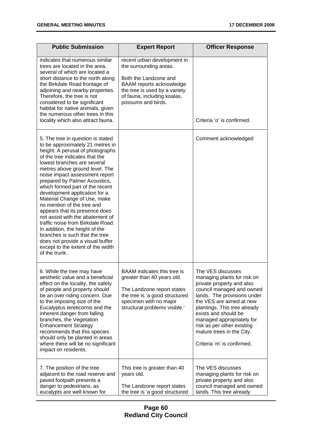| <b>Public Submission</b>                                                                                                                                                                                                                                                                                                                                                                                                                                                                                                                                                                                                                                                                   | <b>Expert Report</b>                                                                                                                                                                             | <b>Officer Response</b>                                                                                                                                                                                                                                                                                                                             |
|--------------------------------------------------------------------------------------------------------------------------------------------------------------------------------------------------------------------------------------------------------------------------------------------------------------------------------------------------------------------------------------------------------------------------------------------------------------------------------------------------------------------------------------------------------------------------------------------------------------------------------------------------------------------------------------------|--------------------------------------------------------------------------------------------------------------------------------------------------------------------------------------------------|-----------------------------------------------------------------------------------------------------------------------------------------------------------------------------------------------------------------------------------------------------------------------------------------------------------------------------------------------------|
| indicates that numerous similar<br>trees are located in the area,<br>several of which are located a<br>short distance to the north along<br>the Birkdale Road frontage of<br>adjoining and nearby properties.<br>Therefore, the tree is not<br>considered to be significant<br>habitat for native animals, given<br>the numerous other trees in this<br>locality which also attract fauna.                                                                                                                                                                                                                                                                                                 | recent urban development in<br>the surrounding areas.<br>Both the Landzone and<br>BAAM reports acknowledge<br>the tree is used by a variety<br>of fauna, including koalas,<br>possums and birds. | Criteria 'o' is confirmed.                                                                                                                                                                                                                                                                                                                          |
| 5. The tree in question is stated<br>to be approximately 21 metres in<br>height. A perusal of photographs<br>of the tree indicates that the<br>lowest branches are several<br>metres above ground level. The<br>noise impact assessment report<br>prepared by Palmer Acoustics,<br>which formed part of the recent<br>development application for a<br>Material Change of Use, make<br>no mention of the tree and<br>appears that its presence does<br>not assist with the abatement of<br>traffic noise from Birkdale Road.<br>In addition, the height of the<br>branches is such that the tree<br>does not provide a visual buffer<br>except to the extent of the width<br>of the trunk. |                                                                                                                                                                                                  | Comment acknowledged                                                                                                                                                                                                                                                                                                                                |
| 6. While the tree may have<br>aesthetic value and a beneficial<br>effect on the locality, the safety<br>of people and property should<br>be an over-riding concern. Due<br>to the imposing size of the<br>Eucalyptus tereticornis and the<br>inherent danger from falling<br>branches, the Vegetation<br><b>Enhancement Strategy</b><br>recommends that this species<br>should only be planted in areas<br>where there will be no significant<br>impact on residents.                                                                                                                                                                                                                      | BAAM indicates this tree is<br>greater than 40 years old.<br>The Landzone report states<br>the tree is 'a good structured<br>specimen with no major<br>structural problems visible.'             | The VES discusses<br>managing plants for risk on<br>private property and also<br>council managed and owned<br>lands. The provisions under<br>the VES are aimed at new<br>plantings. This tree already<br>exists and should be<br>managed appropriately for<br>risk as per other existing<br>mature trees in the City.<br>Criteria 'm' is confirmed. |
| 7. The position of the tree<br>adjacent to the road reserve and<br>paved footpath presents a<br>danger to pedestrians, as<br>eucalypts are well known for                                                                                                                                                                                                                                                                                                                                                                                                                                                                                                                                  | This tree is greater than 40<br>years old.<br>The Landzone report states<br>the tree is 'a good structured                                                                                       | The VES discusses<br>managing plants for risk on<br>private property and also<br>council managed and owned<br>lands. This tree already                                                                                                                                                                                                              |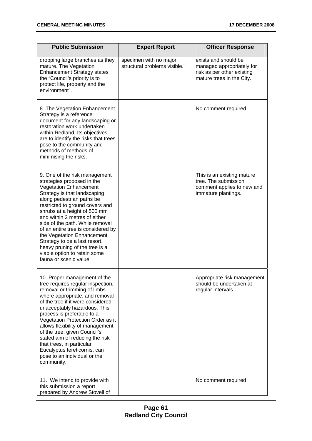| <b>Public Submission</b>                                                                                                                                                                                                                                                                                                                                                                                                                                                                          | <b>Expert Report</b>                                    | <b>Officer Response</b>                                                                                      |
|---------------------------------------------------------------------------------------------------------------------------------------------------------------------------------------------------------------------------------------------------------------------------------------------------------------------------------------------------------------------------------------------------------------------------------------------------------------------------------------------------|---------------------------------------------------------|--------------------------------------------------------------------------------------------------------------|
| dropping large branches as they<br>mature. The Vegetation<br><b>Enhancement Strategy states</b><br>the "Council's priority is to<br>protect life, property and the<br>environment".                                                                                                                                                                                                                                                                                                               | specimen with no major<br>structural problems visible.' | exists and should be<br>managed appropriately for<br>risk as per other existing<br>mature trees in the City. |
| 8. The Vegetation Enhancement<br>Strategy is a reference<br>document for any landscaping or<br>restoration work undertaken<br>within Redland. Its objectives<br>are to identify the risks that trees<br>pose to the community and<br>methods of methods of<br>minimising the risks.                                                                                                                                                                                                               |                                                         | No comment required                                                                                          |
| 9. One of the risk management<br>strategies proposed in the<br><b>Vegetation Enhancement</b><br>Strategy is that landscaping<br>along pedestrian paths be<br>restricted to ground covers and<br>shrubs at a height of 500 mm<br>and within 2 metres of either<br>side of the path. While removal<br>of an entire tree is considered by<br>the Vegetation Enhancement<br>Strategy to be a last resort,<br>heavy pruning of the tree is a<br>viable option to retain some<br>fauna or scenic value. |                                                         | This is an existing mature<br>tree. The submission<br>comment applies to new and<br>immature plantings.      |
| 10. Proper management of the<br>tree requires regular inspection,<br>removal or trimming of limbs<br>where appropriate, and removal<br>of the tree if it were considered<br>unacceptably hazardous. This<br>process is preferable to a<br>Vegetation Protection Order as it<br>allows flexibility of management<br>of the tree, given Council's<br>stated aim of reducing the risk<br>that trees, in particular<br>Eucalyptus tereticornis, can<br>pose to an individual or the<br>community.     |                                                         | Appropriate risk management<br>should be undertaken at<br>regular intervals.                                 |
| 11. We intend to provide with<br>this submission a report<br>prepared by Andrew Stovell of                                                                                                                                                                                                                                                                                                                                                                                                        |                                                         | No comment required                                                                                          |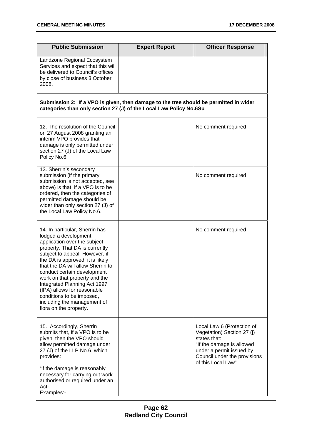| <b>Public Submission</b>                                                                                                                                                                                                                                                                                                                                                                                                                                 | <b>Expert Report</b> | <b>Officer Response</b>                                                                                                                                                                 |  |  |
|----------------------------------------------------------------------------------------------------------------------------------------------------------------------------------------------------------------------------------------------------------------------------------------------------------------------------------------------------------------------------------------------------------------------------------------------------------|----------------------|-----------------------------------------------------------------------------------------------------------------------------------------------------------------------------------------|--|--|
| Landzone Regional Ecosystem<br>Services and expect that this will<br>be delivered to Council's offices<br>by close of business 3 October<br>2008.                                                                                                                                                                                                                                                                                                        |                      |                                                                                                                                                                                         |  |  |
| Submission 2: If a VPO is given, then damage to the tree should be permitted in wider<br>categories than only section 27 (J) of the Local Law Policy No.6Su                                                                                                                                                                                                                                                                                              |                      |                                                                                                                                                                                         |  |  |
| 12. The resolution of the Council<br>on 27 August 2008 granting an<br>interim VPO provides that<br>damage is only permitted under<br>section 27 (J) of the Local Law<br>Policy No.6.                                                                                                                                                                                                                                                                     |                      | No comment required                                                                                                                                                                     |  |  |
| 13. Sherrin's secondary<br>submission (if the primary<br>submission is not accepted, see<br>above) is that, if a VPO is to be<br>ordered, then the categories of<br>permitted damage should be<br>wider than only section 27 (J) of<br>the Local Law Policy No.6.                                                                                                                                                                                        |                      | No comment required                                                                                                                                                                     |  |  |
| 14. In particular, Sherrin has<br>lodged a development<br>application over the subject<br>property. That DA is currently<br>subject to appeal. However, if<br>the DA is approved, it is likely<br>that the DA will allow Sherrin to<br>conduct certain development<br>work on that property and the<br>Integrated Planning Act 1997<br>(IPA) allows for reasonable<br>conditions to be imposed,<br>including the management of<br>flora on the property. |                      | No comment required                                                                                                                                                                     |  |  |
| 15. Accordingly, Sherrin<br>submits that, if a VPO is to be<br>given, then the VPO should<br>allow permitted damage under<br>27 (J) of the LLP No.6, which<br>provides:<br>"if the damage is reasonably<br>necessary for carrying out work<br>authorised or required under an<br>Act-<br>Examples:-                                                                                                                                                      |                      | Local Law 6 (Protection of<br>Vegetation) Section 27 (j)<br>states that:<br>"If the damage is allowed<br>under a permit issued by<br>Council under the provisions<br>of this Local Law" |  |  |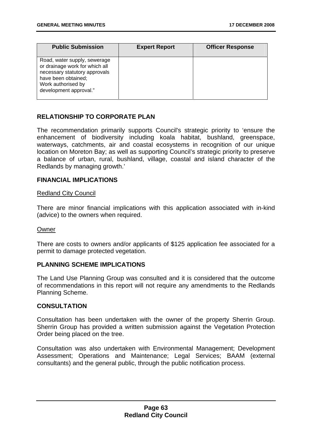| <b>Public Submission</b>                                                                                                                                               | <b>Expert Report</b> | <b>Officer Response</b> |
|------------------------------------------------------------------------------------------------------------------------------------------------------------------------|----------------------|-------------------------|
| Road, water supply, sewerage<br>or drainage work for which all<br>necessary statutory approvals<br>have been obtained;<br>Work authorised by<br>development approval." |                      |                         |

# **RELATIONSHIP TO CORPORATE PLAN**

The recommendation primarily supports Council's strategic priority to 'ensure the enhancement of biodiversity including koala habitat, bushland, greenspace, waterways, catchments, air and coastal ecosystems in recognition of our unique location on Moreton Bay; as well as supporting Council's strategic priority to preserve a balance of urban, rural, bushland, village, coastal and island character of the Redlands by managing growth.'

## **FINANCIAL IMPLICATIONS**

#### **Redland City Council**

There are minor financial implications with this application associated with in-kind (advice) to the owners when required.

## Owner

There are costs to owners and/or applicants of \$125 application fee associated for a permit to damage protected vegetation.

## **PLANNING SCHEME IMPLICATIONS**

The Land Use Planning Group was consulted and it is considered that the outcome of recommendations in this report will not require any amendments to the Redlands Planning Scheme.

## **CONSULTATION**

Consultation has been undertaken with the owner of the property Sherrin Group. Sherrin Group has provided a written submission against the Vegetation Protection Order being placed on the tree.

Consultation was also undertaken with Environmental Management; Development Assessment; Operations and Maintenance; Legal Services; BAAM (external consultants) and the general public, through the public notification process.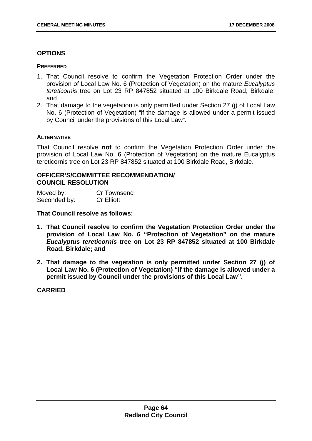## **OPTIONS**

### **PREFERRED**

- 1. That Council resolve to confirm the Vegetation Protection Order under the provision of Local Law No. 6 (Protection of Vegetation) on the mature *Eucalyptus tereticornis* tree on Lot 23 RP 847852 situated at 100 Birkdale Road, Birkdale; and
- 2. That damage to the vegetation is only permitted under Section 27 (j) of Local Law No. 6 (Protection of Vegetation) "if the damage is allowed under a permit issued by Council under the provisions of this Local Law".

## **ALTERNATIVE**

That Council resolve **not** to confirm the Vegetation Protection Order under the provision of Local Law No. 6 (Protection of Vegetation) on the mature Eucalyptus tereticornis tree on Lot 23 RP 847852 situated at 100 Birkdale Road, Birkdale.

## 76B**OFFICER'S/COMMITTEE RECOMMENDATION/ COUNCIL RESOLUTION**

| Moved by:    | Cr Townsend       |
|--------------|-------------------|
| Seconded by: | <b>Cr Elliott</b> |

**That Council resolve as follows:** 

- **1. That Council resolve to confirm the Vegetation Protection Order under the provision of Local Law No. 6 "Protection of Vegetation" on the mature**  *Eucalyptus tereticornis* **tree on Lot 23 RP 847852 situated at 100 Birkdale Road, Birkdale; and**
- **2. That damage to the vegetation is only permitted under Section 27 (j) of Local Law No. 6 (Protection of Vegetation) "if the damage is allowed under a permit issued by Council under the provisions of this Local Law".**

## **CARRIED**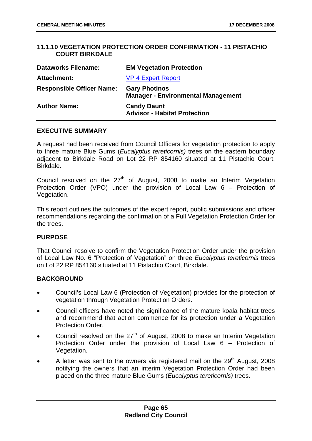# **11.1.10 VEGETATION PROTECTION ORDER CONFIRMATION - 11 PISTACHIO COURT BIRKDALE**

| <b>Dataworks Filename:</b>       | <b>EM Vegetation Protection</b>                                   |
|----------------------------------|-------------------------------------------------------------------|
| <b>Attachment:</b>               | <b>VP 4 Expert Report</b>                                         |
| <b>Responsible Officer Name:</b> | <b>Gary Photinos</b><br><b>Manager - Environmental Management</b> |
| <b>Author Name:</b>              | <b>Candy Daunt</b><br><b>Advisor - Habitat Protection</b>         |

### **EXECUTIVE SUMMARY**

A request had been received from Council Officers for vegetation protection to apply to three mature Blue Gums (*Eucalyptus tereticornis)* trees on the eastern boundary adjacent to Birkdale Road on Lot 22 RP 854160 situated at 11 Pistachio Court, Birkdale.

Council resolved on the  $27<sup>th</sup>$  of August, 2008 to make an Interim Vegetation Protection Order (VPO) under the provision of Local Law 6 – Protection of Vegetation.

This report outlines the outcomes of the expert report, public submissions and officer recommendations regarding the confirmation of a Full Vegetation Protection Order for the trees.

## **PURPOSE**

That Council resolve to confirm the Vegetation Protection Order under the provision of Local Law No. 6 "Protection of Vegetation" on three *Eucalyptus tereticornis* trees on Lot 22 RP 854160 situated at 11 Pistachio Court, Birkdale.

## **BACKGROUND**

- Council's Local Law 6 (Protection of Vegetation) provides for the protection of vegetation through Vegetation Protection Orders.
- Council officers have noted the significance of the mature koala habitat trees and recommend that action commence for its protection under a Vegetation Protection Order.
- Council resolved on the  $27<sup>th</sup>$  of August, 2008 to make an Interim Vegetation Protection Order under the provision of Local Law 6 – Protection of Vegetation.
- A letter was sent to the owners via registered mail on the  $29<sup>th</sup>$  August, 2008 notifying the owners that an interim Vegetation Protection Order had been placed on the three mature Blue Gums (*Eucalyptus tereticornis)* trees.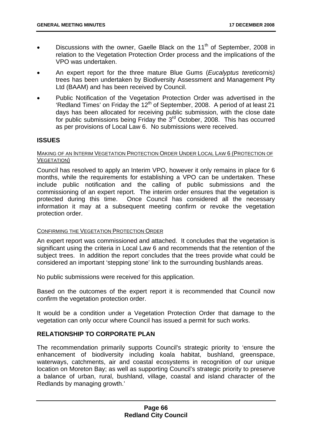- Discussions with the owner, Gaelle Black on the 11<sup>th</sup> of September, 2008 in relation to the Vegetation Protection Order process and the implications of the VPO was undertaken.
- An expert report for the three mature Blue Gums (*Eucalyptus tereticornis)* trees has been undertaken by Biodiversity Assessment and Management Pty Ltd (BAAM) and has been received by Council.
- Public Notification of the Vegetation Protection Order was advertised in the 'Redland Times' on Friday the  $12<sup>th</sup>$  of September, 2008. A period of at least 21 days has been allocated for receiving public submission, with the close date for public submissions being Friday the 3<sup>rd</sup> October, 2008. This has occurred as per provisions of Local Law 6. No submissions were received.

## **ISSUES**

### <sup>U</sup>MAKING OF AN INTERIM VEGETATION PROTECTION ORDER UNDER LOCAL LAW 6 (PROTECTION OF VEGETATION)

Council has resolved to apply an Interim VPO, however it only remains in place for 6 months, while the requirements for establishing a VPO can be undertaken. These include public notification and the calling of public submissions and the commissioning of an expert report. The interim order ensures that the vegetation is protected during this time. Once Council has considered all the necessary information it may at a subsequent meeting confirm or revoke the vegetation protection order.

## CONFIRMING THE VEGETATION PROTECTION ORDER

An expert report was commissioned and attached. It concludes that the vegetation is significant using the criteria in Local Law 6 and recommends that the retention of the subject trees. In addition the report concludes that the trees provide what could be considered an important 'stepping stone' link to the surrounding bushlands areas.

No public submissions were received for this application.

Based on the outcomes of the expert report it is recommended that Council now confirm the vegetation protection order.

It would be a condition under a Vegetation Protection Order that damage to the vegetation can only occur where Council has issued a permit for such works.

## **RELATIONSHIP TO CORPORATE PLAN**

The recommendation primarily supports Council's strategic priority to 'ensure the enhancement of biodiversity including koala habitat, bushland, greenspace, waterways, catchments, air and coastal ecosystems in recognition of our unique location on Moreton Bay; as well as supporting Council's strategic priority to preserve a balance of urban, rural, bushland, village, coastal and island character of the Redlands by managing growth.'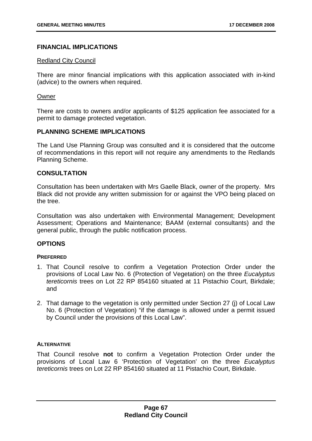## **FINANCIAL IMPLICATIONS**

### **Redland City Council**

There are minor financial implications with this application associated with in-kind (advice) to the owners when required.

### Owner

There are costs to owners and/or applicants of \$125 application fee associated for a permit to damage protected vegetation.

## **PLANNING SCHEME IMPLICATIONS**

The Land Use Planning Group was consulted and it is considered that the outcome of recommendations in this report will not require any amendments to the Redlands Planning Scheme.

## **CONSULTATION**

Consultation has been undertaken with Mrs Gaelle Black, owner of the property. Mrs Black did not provide any written submission for or against the VPO being placed on the tree.

Consultation was also undertaken with Environmental Management; Development Assessment; Operations and Maintenance; BAAM (external consultants) and the general public, through the public notification process.

## **OPTIONS**

#### **PREFERRED**

- 1. That Council resolve to confirm a Vegetation Protection Order under the provisions of Local Law No. 6 (Protection of Vegetation) on the three *Eucalyptus tereticornis* trees on Lot 22 RP 854160 situated at 11 Pistachio Court, Birkdale; and
- 2. That damage to the vegetation is only permitted under Section 27 (j) of Local Law No. 6 (Protection of Vegetation) "if the damage is allowed under a permit issued by Council under the provisions of this Local Law".

## **ALTERNATIVE**

That Council resolve **not** to confirm a Vegetation Protection Order under the provisions of Local Law 6 'Protection of Vegetation' on the three *Eucalyptus tereticornis* trees on Lot 22 RP 854160 situated at 11 Pistachio Court, Birkdale.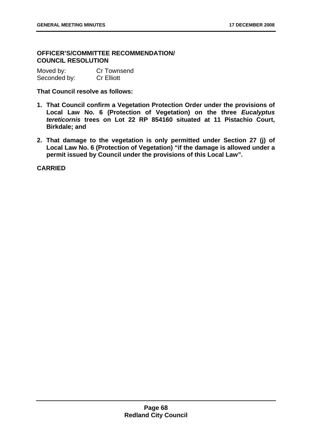# 7B**OFFICER'S/COMMITTEE RECOMMENDATION/ COUNCIL RESOLUTION**

| Moved by:    | <b>Cr Townsend</b> |
|--------------|--------------------|
| Seconded by: | <b>Cr Elliott</b>  |

#### **That Council resolve as follows:**

- **1. That Council confirm a Vegetation Protection Order under the provisions of Local Law No. 6 (Protection of Vegetation) on the three** *Eucalyptus tereticornis* **trees on Lot 22 RP 854160 situated at 11 Pistachio Court, Birkdale; and**
- **2. That damage to the vegetation is only permitted under Section 27 (j) of Local Law No. 6 (Protection of Vegetation) "if the damage is allowed under a permit issued by Council under the provisions of this Local Law".**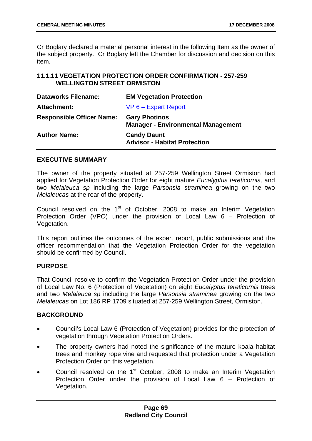Cr Boglary declared a material personal interest in the following Item as the owner of the subject property. Cr Boglary left the Chamber for discussion and decision on this item.

### **11.1.11** 48B**VEGETATION PROTECTION ORDER CONFIRMATION - 257-259 WELLINGTON STREET ORMISTON**

| <b>Dataworks Filename:</b>       | <b>EM Vegetation Protection</b>                                   |
|----------------------------------|-------------------------------------------------------------------|
| <b>Attachment:</b>               | $VP 6 - Expert Report$                                            |
| <b>Responsible Officer Name:</b> | <b>Gary Photinos</b><br><b>Manager - Environmental Management</b> |
| <b>Author Name:</b>              | <b>Candy Daunt</b><br><b>Advisor - Habitat Protection</b>         |

### **EXECUTIVE SUMMARY**

The owner of the property situated at 257-259 Wellington Street Ormiston had applied for Vegetation Protection Order for eight mature *Eucalyptus tereticornis,* and two *Melaleuca sp* including the large *Parsonsia straminea* growing on the two *Melaleucas* at the rear of the property.

Council resolved on the  $1<sup>st</sup>$  of October, 2008 to make an Interim Vegetation Protection Order (VPO) under the provision of Local Law 6 – Protection of Vegetation.

This report outlines the outcomes of the expert report, public submissions and the officer recommendation that the Vegetation Protection Order for the vegetation should be confirmed by Council.

#### **PURPOSE**

That Council resolve to confirm the Vegetation Protection Order under the provision of Local Law No. 6 (Protection of Vegetation) on eight *Eucalyptus tereticornis* trees and two *Melaleuca sp* including the large *Parsonsia straminea* growing on the two *Melaleucas* on Lot 186 RP 1709 situated at 257-259 Wellington Street, Ormiston.

## **BACKGROUND**

- Council's Local Law 6 (Protection of Vegetation) provides for the protection of vegetation through Vegetation Protection Orders.
- The property owners had noted the significance of the mature koala habitat trees and monkey rope vine and requested that protection under a Vegetation Protection Order on this vegetation.
- Council resolved on the  $1<sup>st</sup>$  October, 2008 to make an Interim Vegetation Protection Order under the provision of Local Law 6 – Protection of Vegetation.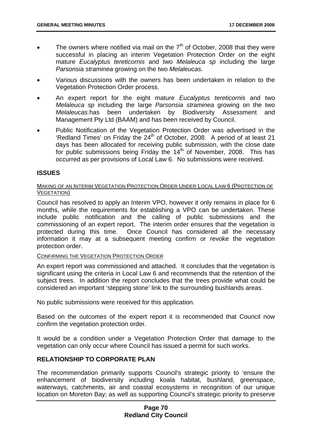- The owners where notified via mail on the  $7<sup>th</sup>$  of October, 2008 that they were successful in placing an interim Vegetation Protection Order on the eight mature *Eucalyptus tereticornis* and two *Melaleuca sp* including the large *Parsonsia straminea* growing on the two *Melaleucas.*
- Various discussions with the owners has been undertaken in relation to the Vegetation Protection Order process.
- An expert report for the eight mature *Eucalyptus tereticornis* and two *Melaleuca sp* including the large *Parsonsia straminea* growing on the two *Melaleucas.*has been undertaken by Biodiversity Assessment and Management Pty Ltd (BAAM) and has been received by Council.
- Public Notification of the Vegetation Protection Order was advertised in the 'Redland Times' on Friday the  $24<sup>th</sup>$  of October, 2008. A period of at least 21 days has been allocated for receiving public submission, with the close date for public submissions being Friday the  $14<sup>th</sup>$  of November, 2008. This has occurred as per provisions of Local Law 6. No submissions were received.

### **ISSUES**

#### MAKING OF AN INTERIM VEGETATION PROTECTION ORDER UNDER LOCAL LAW 6 (PROTECTION OF VEGETATION)

Council has resolved to apply an Interim VPO, however it only remains in place for 6 months, while the requirements for establishing a VPO can be undertaken. These include public notification and the calling of public submissions and the commissioning of an expert report. The interim order ensures that the vegetation is protected during this time. Once Council has considered all the necessary information it may at a subsequent meeting confirm or revoke the vegetation protection order.

#### CONFIRMING THE VEGETATION PROTECTION ORDER

An expert report was commissioned and attached. It concludes that the vegetation is significant using the criteria in Local Law 6 and recommends that the retention of the subject trees. In addition the report concludes that the trees provide what could be considered an important 'stepping stone' link to the surrounding bushlands areas.

No public submissions were received for this application.

Based on the outcomes of the expert report it is recommended that Council now confirm the vegetation protection order.

It would be a condition under a Vegetation Protection Order that damage to the vegetation can only occur where Council has issued a permit for such works.

#### **RELATIONSHIP TO CORPORATE PLAN**

The recommendation primarily supports Council's strategic priority to 'ensure the enhancement of biodiversity including koala habitat, bushland, greenspace, waterways, catchments, air and coastal ecosystems in recognition of our unique location on Moreton Bay; as well as supporting Council's strategic priority to preserve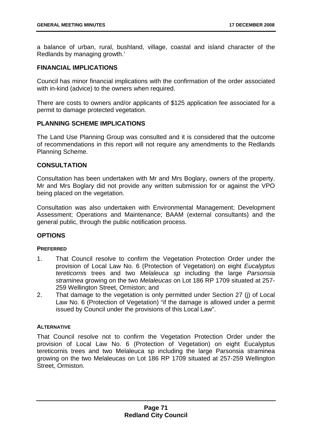a balance of urban, rural, bushland, village, coastal and island character of the Redlands by managing growth.'

### **FINANCIAL IMPLICATIONS**

Council has minor financial implications with the confirmation of the order associated with in-kind (advice) to the owners when required.

There are costs to owners and/or applicants of \$125 application fee associated for a permit to damage protected vegetation.

### **PLANNING SCHEME IMPLICATIONS**

The Land Use Planning Group was consulted and it is considered that the outcome of recommendations in this report will not require any amendments to the Redlands Planning Scheme.

### **CONSULTATION**

Consultation has been undertaken with Mr and Mrs Boglary, owners of the property. Mr and Mrs Boglary did not provide any written submission for or against the VPO being placed on the vegetation.

Consultation was also undertaken with Environmental Management; Development Assessment; Operations and Maintenance; BAAM (external consultants) and the general public, through the public notification process.

## **OPTIONS**

#### **PREFERRED**

- 1. That Council resolve to confirm the Vegetation Protection Order under the provision of Local Law No. 6 (Protection of Vegetation) on eight *Eucalyptus tereticornis* trees and two *Melaleuca sp* including the large *Parsonsia straminea* growing on the two *Melaleucas* on Lot 186 RP 1709 situated at 257- 259 Wellington Street, Ormiston; and
- 2. That damage to the vegetation is only permitted under Section 27 (j) of Local Law No. 6 (Protection of Vegetation) "if the damage is allowed under a permit issued by Council under the provisions of this Local Law".

#### **ALTERNATIVE**

That Council resolve not to confirm the Vegetation Protection Order under the provision of Local Law No. 6 (Protection of Vegetation) on eight Eucalyptus tereticornis trees and two Melaleuca sp including the large Parsonsia straminea growing on the two Melaleucas on Lot 186 RP 1709 situated at 257-259 Wellington Street, Ormiston.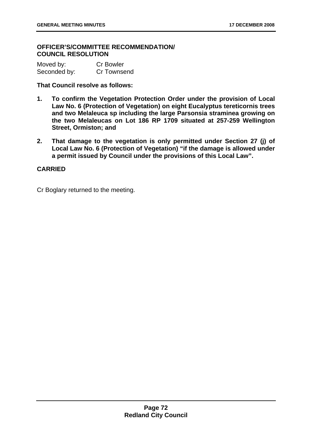### 78B**OFFICER'S/COMMITTEE RECOMMENDATION/ COUNCIL RESOLUTION**

| Moved by:    | <b>Cr Bowler</b> |
|--------------|------------------|
| Seconded by: | Cr Townsend      |

**That Council resolve as follows:** 

- **1. To confirm the Vegetation Protection Order under the provision of Local Law No. 6 (Protection of Vegetation) on eight Eucalyptus tereticornis trees and two Melaleuca sp including the large Parsonsia straminea growing on the two Melaleucas on Lot 186 RP 1709 situated at 257-259 Wellington Street, Ormiston; and**
- **2. That damage to the vegetation is only permitted under Section 27 (j) of Local Law No. 6 (Protection of Vegetation) "if the damage is allowed under a permit issued by Council under the provisions of this Local Law".**

# **CARRIED**

Cr Boglary returned to the meeting.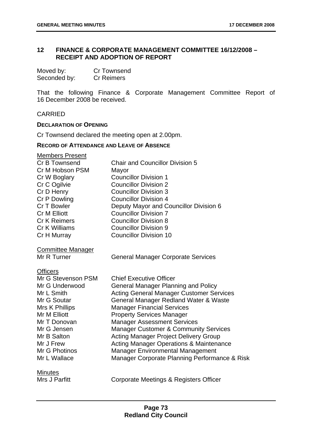# 12 FINANCE & CORPORATE MANAGEMENT COMMITTEE 16/12/2008 -**RECEIPT AND ADOPTION OF REPORT**

| Moved by:    | <b>Cr Townsend</b> |
|--------------|--------------------|
| Seconded by: | <b>Cr Reimers</b>  |

That the following Finance & Corporate Management Committee Report of 16 December 2008 be received.

#### CARRIED

#### **DECLARATION OF OPENING**

Cr Townsend declared the meeting open at 2.00pm.

#### **RECORD OF ATTENDANCE AND LEAVE OF ABSENCE**

| <b>Members Present</b>   |                                                    |
|--------------------------|----------------------------------------------------|
| Cr B Townsend            | <b>Chair and Councillor Division 5</b>             |
| Cr M Hobson PSM          | Mayor                                              |
| Cr W Boglary             | <b>Councillor Division 1</b>                       |
| Cr C Ogilvie             | <b>Councillor Division 2</b>                       |
| Cr D Henry               | <b>Councillor Division 3</b>                       |
| Cr P Dowling             | <b>Councillor Division 4</b>                       |
| Cr T Bowler              | Deputy Mayor and Councillor Division 6             |
| <b>Cr M Elliott</b>      | <b>Councillor Division 7</b>                       |
| <b>Cr K Reimers</b>      | <b>Councillor Division 8</b>                       |
| Cr K Williams            | <b>Councillor Division 9</b>                       |
| Cr H Murray              | <b>Councillor Division 10</b>                      |
| <b>Committee Manager</b> |                                                    |
| Mr R Turner              | <b>General Manager Corporate Services</b>          |
| <b>Officers</b>          |                                                    |
| Mr G Stevenson PSM       | <b>Chief Executive Officer</b>                     |
| Mr G Underwood           | <b>General Manager Planning and Policy</b>         |
| Mr L Smith               | <b>Acting General Manager Customer Services</b>    |
| Mr G Soutar              | General Manager Redland Water & Waste              |
| Mrs K Phillips           | <b>Manager Financial Services</b>                  |
| Mr M Elliott             | <b>Property Services Manager</b>                   |
| Mr T Donovan             | <b>Manager Assessment Services</b>                 |
| Mr G Jensen              | <b>Manager Customer &amp; Community Services</b>   |
| Mr B Salton              | <b>Acting Manager Project Delivery Group</b>       |
| Mr J Frew                | <b>Acting Manager Operations &amp; Maintenance</b> |
| Mr G Photinos            | <b>Manager Environmental Management</b>            |
| Mr L Wallace             | Manager Corporate Planning Performance & Risk      |
| <b>Minutes</b>           |                                                    |
| Mrs J Parfitt            | Corporate Meetings & Registers Officer             |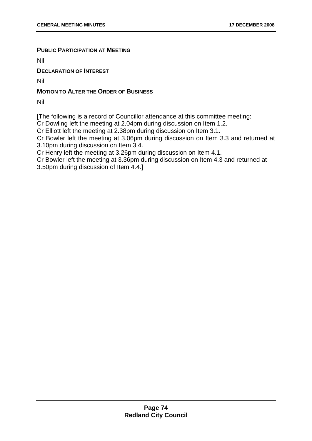### **PUBLIC PARTICIPATION AT MEETING**

Nil

**DECLARATION OF INTEREST**

Nil

## **MOTION TO ALTER THE ORDER OF BUSINESS**

Nil

[The following is a record of Councillor attendance at this committee meeting:

Cr Dowling left the meeting at 2.04pm during discussion on Item 1.2.

Cr Elliott left the meeting at 2.38pm during discussion on Item 3.1.

Cr Bowler left the meeting at 3.06pm during discussion on Item 3.3 and returned at 3.10pm during discussion on Item 3.4.

Cr Henry left the meeting at 3.26pm during discussion on Item 4.1.

Cr Bowler left the meeting at 3.36pm during discussion on Item 4.3 and returned at 3.50pm during discussion of Item 4.4.]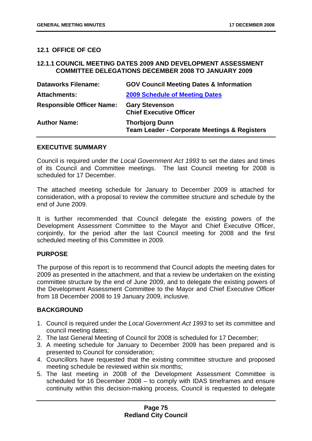## **12.1 OFFICE OF CEO**

#### **12.1.1 COUNCIL MEETING DATES 2009 AND DEVELOPMENT ASSESSMENT COMMITTEE DELEGATIONS DECEMBER 2008 TO JANUARY 2009**

| <b>Dataworks Filename:</b>       | <b>GOV Council Meeting Dates &amp; Information</b>                               |
|----------------------------------|----------------------------------------------------------------------------------|
| <b>Attachments:</b>              | <b>2009 Schedule of Meeting Dates</b>                                            |
| <b>Responsible Officer Name:</b> | <b>Gary Stevenson</b><br><b>Chief Executive Officer</b>                          |
| <b>Author Name:</b>              | <b>Thorbjorg Dunn</b><br><b>Team Leader - Corporate Meetings &amp; Registers</b> |

#### **EXECUTIVE SUMMARY**

Council is required under the *Local Government Act 1993* to set the dates and times of its Council and Committee meetings. The last Council meeting for 2008 is scheduled for 17 December.

The attached meeting schedule for January to December 2009 is attached for consideration, with a proposal to review the committee structure and schedule by the end of June 2009.

It is further recommended that Council delegate the existing powers of the Development Assessment Committee to the Mayor and Chief Executive Officer, conjointly, for the period after the last Council meeting for 2008 and the first scheduled meeting of this Committee in 2009.

#### **PURPOSE**

The purpose of this report is to recommend that Council adopts the meeting dates for 2009 as presented in the attachment, and that a review be undertaken on the existing committee structure by the end of June 2009, and to delegate the existing powers of the Development Assessment Committee to the Mayor and Chief Executive Officer from 18 December 2008 to 19 January 2009, inclusive.

#### **BACKGROUND**

- 1. Council is required under the *Local Government Act 1993* to set its committee and council meeting dates;
- 2. The last General Meeting of Council for 2008 is scheduled for 17 December;
- 3. A meeting schedule for January to December 2009 has been prepared and is presented to Council for consideration;
- 4. Councillors have requested that the existing committee structure and proposed meeting schedule be reviewed within six months;
- 5. The last meeting in 2008 of the Development Assessment Committee is scheduled for 16 December 2008 – to comply with IDAS timeframes and ensure continuity within this decision-making process, Council is requested to delegate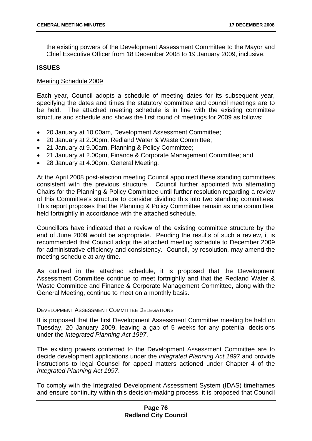the existing powers of the Development Assessment Committee to the Mayor and Chief Executive Officer from 18 December 2008 to 19 January 2009, inclusive.

#### **ISSUES**

#### Meeting Schedule 2009

Each year, Council adopts a schedule of meeting dates for its subsequent year, specifying the dates and times the statutory committee and council meetings are to be held. The attached meeting schedule is in line with the existing committee structure and schedule and shows the first round of meetings for 2009 as follows:

- 20 January at 10.00am, Development Assessment Committee;
- 20 January at 2.00pm, Redland Water & Waste Committee;
- 21 January at 9.00am, Planning & Policy Committee;
- 21 January at 2.00pm, Finance & Corporate Management Committee; and
- 28 January at 4.00pm, General Meeting.

At the April 2008 post-election meeting Council appointed these standing committees consistent with the previous structure. Council further appointed two alternating Chairs for the Planning & Policy Committee until further resolution regarding a review of this Committee's structure to consider dividing this into two standing committees. This report proposes that the Planning & Policy Committee remain as one committee, held fortnightly in accordance with the attached schedule.

Councillors have indicated that a review of the existing committee structure by the end of June 2009 would be appropriate. Pending the results of such a review, it is recommended that Council adopt the attached meeting schedule to December 2009 for administrative efficiency and consistency. Council, by resolution, may amend the meeting schedule at any time.

As outlined in the attached schedule, it is proposed that the Development Assessment Committee continue to meet fortnightly and that the Redland Water & Waste Committee and Finance & Corporate Management Committee, along with the General Meeting, continue to meet on a monthly basis.

#### <sup>U</sup>DEVELOPMENT ASSESSMENT COMMITTEE DELEGATIONS

It is proposed that the first Development Assessment Committee meeting be held on Tuesday, 20 January 2009, leaving a gap of 5 weeks for any potential decisions under the *Integrated Planning Act 1997*.

The existing powers conferred to the Development Assessment Committee are to decide development applications under the *Integrated Planning Act 1997* and provide instructions to legal Counsel for appeal matters actioned under Chapter 4 of the *Integrated Planning Act 1997*.

To comply with the Integrated Development Assessment System (IDAS) timeframes and ensure continuity within this decision-making process, it is proposed that Council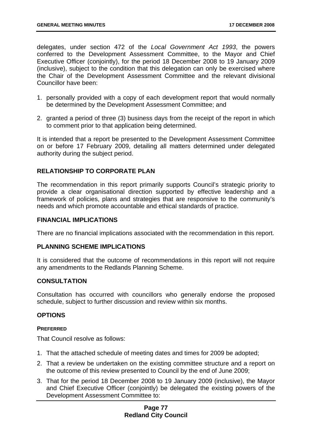delegates, under section 472 of the *Local Government Act 1993*, the powers conferred to the Development Assessment Committee, to the Mayor and Chief Executive Officer (conjointly), for the period 18 December 2008 to 19 January 2009 (inclusive), subject to the condition that this delegation can only be exercised where the Chair of the Development Assessment Committee and the relevant divisional Councillor have been:

- 1. personally provided with a copy of each development report that would normally be determined by the Development Assessment Committee; and
- 2. granted a period of three (3) business days from the receipt of the report in which to comment prior to that application being determined.

It is intended that a report be presented to the Development Assessment Committee on or before 17 February 2009, detailing all matters determined under delegated authority during the subject period.

## **RELATIONSHIP TO CORPORATE PLAN**

The recommendation in this report primarily supports Council's strategic priority to provide a clear organisational direction supported by effective leadership and a framework of policies, plans and strategies that are responsive to the community's needs and which promote accountable and ethical standards of practice.

#### **FINANCIAL IMPLICATIONS**

There are no financial implications associated with the recommendation in this report.

#### **PLANNING SCHEME IMPLICATIONS**

It is considered that the outcome of recommendations in this report will not require any amendments to the Redlands Planning Scheme.

#### **CONSULTATION**

Consultation has occurred with councillors who generally endorse the proposed schedule, subject to further discussion and review within six months.

#### **OPTIONS**

#### **PREFERRED**

That Council resolve as follows:

- 1. That the attached schedule of meeting dates and times for 2009 be adopted;
- 2. That a review be undertaken on the existing committee structure and a report on the outcome of this review presented to Council by the end of June 2009;
- 3. That for the period 18 December 2008 to 19 January 2009 (inclusive), the Mayor and Chief Executive Officer (conjointly) be delegated the existing powers of the Development Assessment Committee to:

### **Page 77 Redland City Council**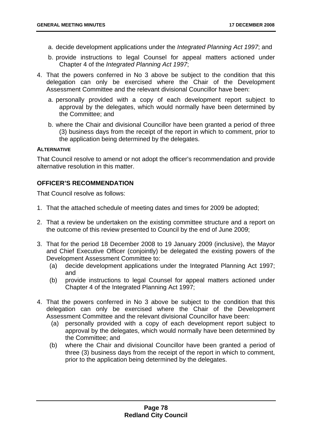- a. decide development applications under the *Integrated Planning Act 1997*; and
- b. provide instructions to legal Counsel for appeal matters actioned under Chapter 4 of the *Integrated Planning Act 1997*;
- 4. That the powers conferred in No 3 above be subject to the condition that this delegation can only be exercised where the Chair of the Development Assessment Committee and the relevant divisional Councillor have been:
	- a. personally provided with a copy of each development report subject to approval by the delegates, which would normally have been determined by the Committee; and
	- b. where the Chair and divisional Councillor have been granted a period of three (3) business days from the receipt of the report in which to comment, prior to the application being determined by the delegates.

#### **ALTERNATIVE**

That Council resolve to amend or not adopt the officer's recommendation and provide alternative resolution in this matter.

## **OFFICER'S RECOMMENDATION**

That Council resolve as follows:

- 1. That the attached schedule of meeting dates and times for 2009 be adopted;
- 2. That a review be undertaken on the existing committee structure and a report on the outcome of this review presented to Council by the end of June 2009;
- 3. That for the period 18 December 2008 to 19 January 2009 (inclusive), the Mayor and Chief Executive Officer (conjointly) be delegated the existing powers of the Development Assessment Committee to:
	- (a) decide development applications under the Integrated Planning Act 1997; and
	- (b) provide instructions to legal Counsel for appeal matters actioned under Chapter 4 of the Integrated Planning Act 1997;
- 4. That the powers conferred in No 3 above be subject to the condition that this delegation can only be exercised where the Chair of the Development Assessment Committee and the relevant divisional Councillor have been:
	- (a) personally provided with a copy of each development report subject to approval by the delegates, which would normally have been determined by the Committee; and
	- (b) where the Chair and divisional Councillor have been granted a period of three (3) business days from the receipt of the report in which to comment, prior to the application being determined by the delegates.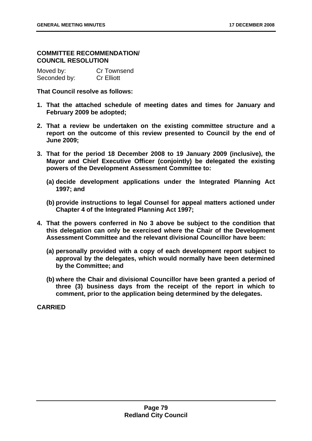### **COMMITTEE RECOMMENDATION/ COUNCIL RESOLUTION**

| Moved by:    | Cr Townsend       |
|--------------|-------------------|
| Seconded by: | <b>Cr Elliott</b> |

**That Council resolve as follows:** 

- **1. That the attached schedule of meeting dates and times for January and February 2009 be adopted;**
- **2. That a review be undertaken on the existing committee structure and a report on the outcome of this review presented to Council by the end of June 2009;**
- **3. That for the period 18 December 2008 to 19 January 2009 (inclusive), the Mayor and Chief Executive Officer (conjointly) be delegated the existing powers of the Development Assessment Committee to:** 
	- **(a) decide development applications under the Integrated Planning Act 1997; and**
	- **(b) provide instructions to legal Counsel for appeal matters actioned under Chapter 4 of the Integrated Planning Act 1997;**
- **4. That the powers conferred in No 3 above be subject to the condition that this delegation can only be exercised where the Chair of the Development Assessment Committee and the relevant divisional Councillor have been:** 
	- **(a) personally provided with a copy of each development report subject to approval by the delegates, which would normally have been determined by the Committee; and**
	- **(b) where the Chair and divisional Councillor have been granted a period of three (3) business days from the receipt of the report in which to comment, prior to the application being determined by the delegates.**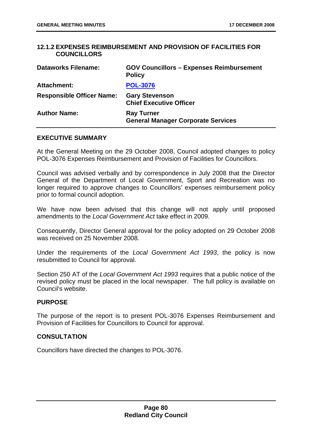### **12.1.2 EXPENSES REIMBURSEMENT AND PROVISION OF FACILITIES FOR COUNCILLORS**

| <b>Dataworks Filename:</b>       | <b>GOV Councillors - Expenses Reimbursement</b><br><b>Policy</b> |
|----------------------------------|------------------------------------------------------------------|
| <b>Attachment:</b>               | <b>POL-3076</b>                                                  |
| <b>Responsible Officer Name:</b> | <b>Gary Stevenson</b><br><b>Chief Executive Officer</b>          |
| <b>Author Name:</b>              | <b>Ray Turner</b><br><b>General Manager Corporate Services</b>   |

#### **EXECUTIVE SUMMARY**

At the General Meeting on the 29 October 2008, Council adopted changes to policy POL-3076 Expenses Reimbursement and Provision of Facilities for Councillors.

Council was advised verbally and by correspondence in July 2008 that the Director General of the Department of Local Government, Sport and Recreation was no longer required to approve changes to Councillors' expenses reimbursement policy prior to formal council adoption.

We have now been advised that this change will not apply until proposed amendments to the *Local Government Act* take effect in 2009.

Consequently, Director General approval for the policy adopted on 29 October 2008 was received on 25 November 2008.

Under the requirements of the *Local Government Act 1993*, the policy is now resubmitted to Council for approval.

Section 250 AT of the *Local Government Act 1993* requires that a public notice of the revised policy must be placed in the local newspaper. The full policy is available on Council's website.

## **PURPOSE**

The purpose of the report is to present POL-3076 Expenses Reimbursement and Provision of Facilities for Councillors to Council for approval.

#### **CONSULTATION**

Councillors have directed the changes to POL-3076.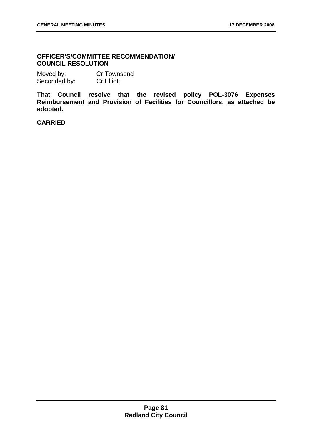### 80B**OFFICER'S/COMMITTEE RECOMMENDATION/ COUNCIL RESOLUTION**

Moved by: Cr Townsend Seconded by: Cr Elliott

**That Council resolve that the revised policy POL-3076 Expenses Reimbursement and Provision of Facilities for Councillors, as attached be adopted.**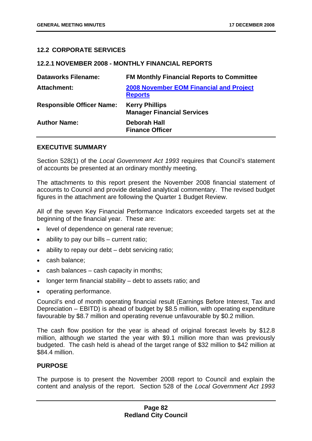### **12.2 CORPORATE SERVICES**

#### **12.2.1 NOVEMBER 2008 - MONTHLY FINANCIAL REPORTS**

| <b>Dataworks Filename:</b>       | <b>FM Monthly Financial Reports to Committee</b>                 |
|----------------------------------|------------------------------------------------------------------|
| Attachment:                      | <b>2008 November EOM Financial and Project</b><br><b>Reports</b> |
| <b>Responsible Officer Name:</b> | <b>Kerry Phillips</b><br><b>Manager Financial Services</b>       |
| <b>Author Name:</b>              | <b>Deborah Hall</b><br><b>Finance Officer</b>                    |

#### **EXECUTIVE SUMMARY**

Section 528(1) of the *Local Government Act 1993* requires that Council's statement of accounts be presented at an ordinary monthly meeting.

The attachments to this report present the November 2008 financial statement of accounts to Council and provide detailed analytical commentary. The revised budget figures in the attachment are following the Quarter 1 Budget Review.

All of the seven Key Financial Performance Indicators exceeded targets set at the beginning of the financial year. These are:

- level of dependence on general rate revenue;
- ability to pay our bills  $-$  current ratio;
- ability to repay our debt debt servicing ratio;
- cash balance;
- cash balances cash capacity in months;
- longer term financial stability debt to assets ratio; and
- operating performance.

Council's end of month operating financial result (Earnings Before Interest, Tax and Depreciation – EBITD) is ahead of budget by \$8.5 million, with operating expenditure favourable by \$8.7 million and operating revenue unfavourable by \$0.2 million.

The cash flow position for the year is ahead of original forecast levels by \$12.8 million, although we started the year with \$9.1 million more than was previously budgeted. The cash held is ahead of the target range of \$32 million to \$42 million at \$84.4 million.

#### **PURPOSE**

The purpose is to present the November 2008 report to Council and explain the content and analysis of the report. Section 528 of the *Local Government Act 1993*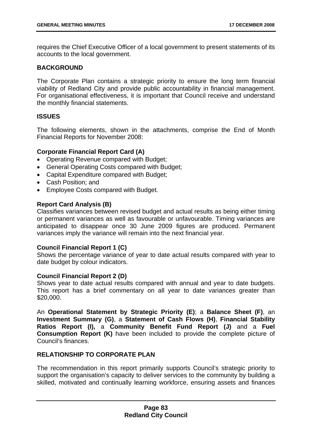requires the Chief Executive Officer of a local government to present statements of its accounts to the local government.

### **BACKGROUND**

The Corporate Plan contains a strategic priority to ensure the long term financial viability of Redland City and provide public accountability in financial management. For organisational effectiveness, it is important that Council receive and understand the monthly financial statements.

### **ISSUES**

The following elements, shown in the attachments, comprise the End of Month Financial Reports for November 2008:

### **Corporate Financial Report Card (A)**

- Operating Revenue compared with Budget;
- General Operating Costs compared with Budget;
- Capital Expenditure compared with Budget;
- Cash Position; and
- Employee Costs compared with Budget.

### **Report Card Analysis (B)**

Classifies variances between revised budget and actual results as being either timing or permanent variances as well as favourable or unfavourable. Timing variances are anticipated to disappear once 30 June 2009 figures are produced. Permanent variances imply the variance will remain into the next financial year.

## **Council Financial Report 1 (C)**

Shows the percentage variance of year to date actual results compared with year to date budget by colour indicators.

#### **Council Financial Report 2 (D)**

Shows year to date actual results compared with annual and year to date budgets. This report has a brief commentary on all year to date variances greater than \$20,000.

An **Operational Statement by Strategic Priority (E)**; a **Balance Sheet (F)**, an **Investment Summary (G)**, a **Statement of Cash Flows (H)**, **Financial Stability Ratios Report (I),** a **Community Benefit Fund Report (J)** and a **Fuel Consumption Report (K)** have been included to provide the complete picture of Council's finances.

#### **RELATIONSHIP TO CORPORATE PLAN**

The recommendation in this report primarily supports Council's strategic priority to support the organisation's capacity to deliver services to the community by building a skilled, motivated and continually learning workforce, ensuring assets and finances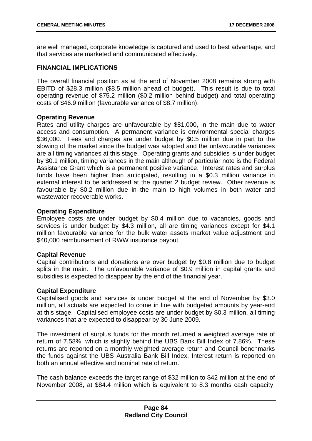are well managed, corporate knowledge is captured and used to best advantage, and that services are marketed and communicated effectively.

### **FINANCIAL IMPLICATIONS**

The overall financial position as at the end of November 2008 remains strong with EBITD of \$28.3 million (\$8.5 million ahead of budget). This result is due to total operating revenue of \$75.2 million (\$0.2 million behind budget) and total operating costs of \$46.9 million (favourable variance of \$8.7 million).

### **Operating Revenue**

Rates and utility charges are unfavourable by \$81,000, in the main due to water access and consumption. A permanent variance is environmental special charges \$36,000. Fees and charges are under budget by \$0.5 million due in part to the slowing of the market since the budget was adopted and the unfavourable variances are all timing variances at this stage. Operating grants and subsidies is under budget by \$0.1 million, timing variances in the main although of particular note is the Federal Assistance Grant which is a permanent positive variance. Interest rates and surplus funds have been higher than anticipated, resulting in a \$0.3 million variance in external interest to be addressed at the quarter 2 budget review. Other revenue is favourable by \$0.2 million due in the main to high volumes in both water and wastewater recoverable works.

### **Operating Expenditure**

Employee costs are under budget by \$0.4 million due to vacancies, goods and services is under budget by \$4.3 million, all are timing variances except for \$4.1 million favourable variance for the bulk water assets market value adjustment and \$40,000 reimbursement of RWW insurance payout.

#### **Capital Revenue**

Capital contributions and donations are over budget by \$0.8 million due to budget splits in the main. The unfavourable variance of \$0.9 million in capital grants and subsidies is expected to disappear by the end of the financial year.

#### **Capital Expenditure**

Capitalised goods and services is under budget at the end of November by \$3.0 million, all actuals are expected to come in line with budgeted amounts by year-end at this stage. Capitalised employee costs are under budget by \$0.3 million, all timing variances that are expected to disappear by 30 June 2009.

The investment of surplus funds for the month returned a weighted average rate of return of 7.58%, which is slightly behind the UBS Bank Bill Index of 7.86%. These returns are reported on a monthly weighted average return and Council benchmarks the funds against the UBS Australia Bank Bill Index. Interest return is reported on both an annual effective and nominal rate of return.

The cash balance exceeds the target range of \$32 million to \$42 million at the end of November 2008, at \$84.4 million which is equivalent to 8.3 months cash capacity.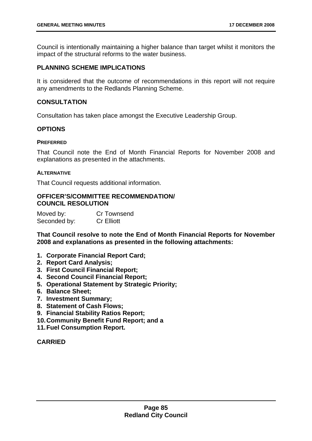Council is intentionally maintaining a higher balance than target whilst it monitors the impact of the structural reforms to the water business.

### **PLANNING SCHEME IMPLICATIONS**

It is considered that the outcome of recommendations in this report will not require any amendments to the Redlands Planning Scheme.

### **CONSULTATION**

Consultation has taken place amongst the Executive Leadership Group.

### **OPTIONS**

#### **PREFERRED**

That Council note the End of Month Financial Reports for November 2008 and explanations as presented in the attachments.

#### **ALTERNATIVE**

That Council requests additional information.

#### 81B**OFFICER'S/COMMITTEE RECOMMENDATION/ COUNCIL RESOLUTION**

Moved by: Cr Townsend Seconded by: Cr Elliott

**That Council resolve to note the End of Month Financial Reports for November 2008 and explanations as presented in the following attachments:** 

- **1. Corporate Financial Report Card;**
- **2. Report Card Analysis;**
- **3. First Council Financial Report;**
- **4. Second Council Financial Report;**
- **5. Operational Statement by Strategic Priority;**
- **6. Balance Sheet;**
- **7. Investment Summary;**
- **8. Statement of Cash Flows;**
- **9. Financial Stability Ratios Report;**
- **10. Community Benefit Fund Report; and a**
- **11. Fuel Consumption Report.**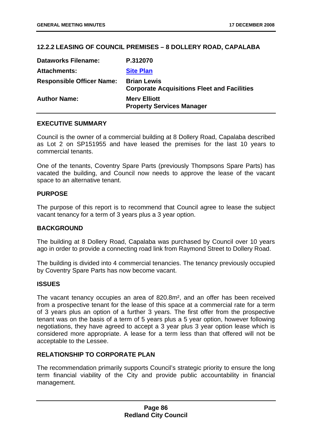# **12.2.2 LEASING OF COUNCIL PREMISES – 8 DOLLERY ROAD, CAPALABA**

| <b>Dataworks Filename:</b>       | P.312070                                                                 |
|----------------------------------|--------------------------------------------------------------------------|
| <b>Attachments:</b>              | <b>Site Plan</b>                                                         |
| <b>Responsible Officer Name:</b> | <b>Brian Lewis</b><br><b>Corporate Acquisitions Fleet and Facilities</b> |
| <b>Author Name:</b>              | <b>Mery Elliott</b><br><b>Property Services Manager</b>                  |

### **EXECUTIVE SUMMARY**

Council is the owner of a commercial building at 8 Dollery Road, Capalaba described as Lot 2 on SP151955 and have leased the premises for the last 10 years to commercial tenants.

One of the tenants, Coventry Spare Parts (previously Thompsons Spare Parts) has vacated the building, and Council now needs to approve the lease of the vacant space to an alternative tenant.

#### **PURPOSE**

The purpose of this report is to recommend that Council agree to lease the subject vacant tenancy for a term of 3 years plus a 3 year option.

#### **BACKGROUND**

The building at 8 Dollery Road, Capalaba was purchased by Council over 10 years ago in order to provide a connecting road link from Raymond Street to Dollery Road.

The building is divided into 4 commercial tenancies. The tenancy previously occupied by Coventry Spare Parts has now become vacant.

#### **ISSUES**

The vacant tenancy occupies an area of 820.8m², and an offer has been received from a prospective tenant for the lease of this space at a commercial rate for a term of 3 years plus an option of a further 3 years. The first offer from the prospective tenant was on the basis of a term of 5 years plus a 5 year option, however following negotiations, they have agreed to accept a 3 year plus 3 year option lease which is considered more appropriate. A lease for a term less than that offered will not be acceptable to the Lessee.

#### **RELATIONSHIP TO CORPORATE PLAN**

The recommendation primarily supports Council's strategic priority to ensure the long term financial viability of the City and provide public accountability in financial management.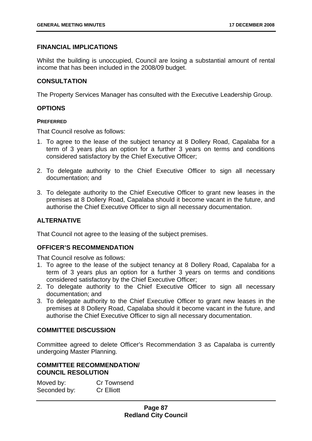### **FINANCIAL IMPLICATIONS**

Whilst the building is unoccupied, Council are losing a substantial amount of rental income that has been included in the 2008/09 budget.

### **CONSULTATION**

The Property Services Manager has consulted with the Executive Leadership Group.

#### **OPTIONS**

#### **PREFERRED**

That Council resolve as follows:

- 1. To agree to the lease of the subject tenancy at 8 Dollery Road, Capalaba for a term of 3 years plus an option for a further 3 years on terms and conditions considered satisfactory by the Chief Executive Officer;
- 2. To delegate authority to the Chief Executive Officer to sign all necessary documentation; and
- 3. To delegate authority to the Chief Executive Officer to grant new leases in the premises at 8 Dollery Road, Capalaba should it become vacant in the future, and authorise the Chief Executive Officer to sign all necessary documentation.

## **ALTERNATIVE**

That Council not agree to the leasing of the subject premises.

#### **OFFICER'S RECOMMENDATION**

That Council resolve as follows:

- 1. To agree to the lease of the subject tenancy at 8 Dollery Road, Capalaba for a term of 3 years plus an option for a further 3 years on terms and conditions considered satisfactory by the Chief Executive Officer;
- 2. To delegate authority to the Chief Executive Officer to sign all necessary documentation; and
- 3. To delegate authority to the Chief Executive Officer to grant new leases in the premises at 8 Dollery Road, Capalaba should it become vacant in the future, and authorise the Chief Executive Officer to sign all necessary documentation.

### **COMMITTEE DISCUSSION**

Committee agreed to delete Officer's Recommendation 3 as Capalaba is currently undergoing Master Planning.

### **COMMITTEE RECOMMENDATION/ COUNCIL RESOLUTION**

Moved by: Cr Townsend Seconded by: Cr Elliott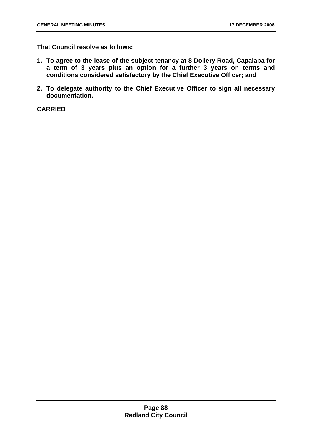**That Council resolve as follows:** 

- **1. To agree to the lease of the subject tenancy at 8 Dollery Road, Capalaba for a term of 3 years plus an option for a further 3 years on terms and conditions considered satisfactory by the Chief Executive Officer; and**
- **2. To delegate authority to the Chief Executive Officer to sign all necessary documentation.**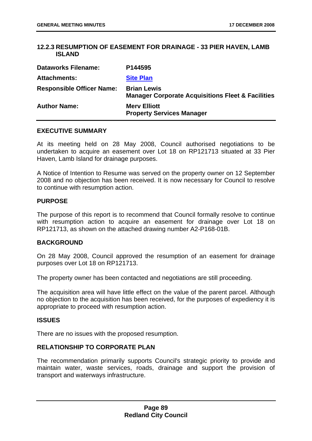### **12.2.3 RESUMPTION OF EASEMENT FOR DRAINAGE - 33 PIER HAVEN, LAMB ISLAND**

| <b>Dataworks Filename:</b>       | P144595                                                                            |
|----------------------------------|------------------------------------------------------------------------------------|
| <b>Attachments:</b>              | <b>Site Plan</b>                                                                   |
| <b>Responsible Officer Name:</b> | <b>Brian Lewis</b><br><b>Manager Corporate Acquisitions Fleet &amp; Facilities</b> |
| <b>Author Name:</b>              | <b>Mery Elliott</b><br><b>Property Services Manager</b>                            |

#### **EXECUTIVE SUMMARY**

At its meeting held on 28 May 2008, Council authorised negotiations to be undertaken to acquire an easement over Lot 18 on RP121713 situated at 33 Pier Haven, Lamb Island for drainage purposes.

A Notice of Intention to Resume was served on the property owner on 12 September 2008 and no objection has been received. It is now necessary for Council to resolve to continue with resumption action.

#### **PURPOSE**

The purpose of this report is to recommend that Council formally resolve to continue with resumption action to acquire an easement for drainage over Lot 18 on RP121713, as shown on the attached drawing number A2-P168-01B.

#### **BACKGROUND**

On 28 May 2008, Council approved the resumption of an easement for drainage purposes over Lot 18 on RP121713.

The property owner has been contacted and negotiations are still proceeding.

The acquisition area will have little effect on the value of the parent parcel. Although no objection to the acquisition has been received, for the purposes of expediency it is appropriate to proceed with resumption action.

#### **ISSUES**

There are no issues with the proposed resumption.

#### **RELATIONSHIP TO CORPORATE PLAN**

The recommendation primarily supports Council's strategic priority to provide and maintain water, waste services, roads, drainage and support the provision of transport and waterways infrastructure.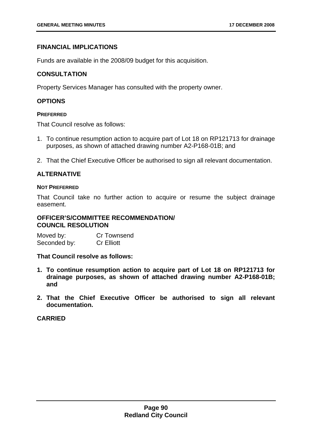### **FINANCIAL IMPLICATIONS**

Funds are available in the 2008/09 budget for this acquisition.

### **CONSULTATION**

Property Services Manager has consulted with the property owner.

### **OPTIONS**

#### **PREFERRED**

That Council resolve as follows:

- 1. To continue resumption action to acquire part of Lot 18 on RP121713 for drainage purposes, as shown of attached drawing number A2-P168-01B; and
- 2. That the Chief Executive Officer be authorised to sign all relevant documentation.

#### **ALTERNATIVE**

#### **NOT PREFERRED**

That Council take no further action to acquire or resume the subject drainage easement.

#### 83B**OFFICER'S/COMMITTEE RECOMMENDATION/ COUNCIL RESOLUTION**

Moved by: Cr Townsend Seconded by: Cr Elliott

**That Council resolve as follows:** 

- **1. To continue resumption action to acquire part of Lot 18 on RP121713 for drainage purposes, as shown of attached drawing number A2-P168-01B; and**
- **2. That the Chief Executive Officer be authorised to sign all relevant documentation.**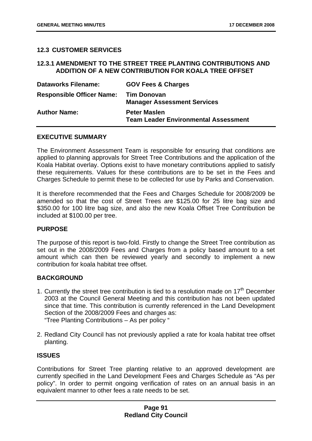### **12.3 CUSTOMER SERVICES**

#### **12.3.1 AMENDMENT TO THE STREET TREE PLANTING CONTRIBUTIONS AND ADDITION OF A NEW CONTRIBUTION FOR KOALA TREE OFFSET**

| <b>Dataworks Filename:</b>       | <b>GOV Fees &amp; Charges</b>                                      |
|----------------------------------|--------------------------------------------------------------------|
| <b>Responsible Officer Name:</b> | <b>Tim Donovan</b><br><b>Manager Assessment Services</b>           |
| <b>Author Name:</b>              | <b>Peter Maslen</b><br><b>Team Leader Environmental Assessment</b> |

#### **EXECUTIVE SUMMARY**

The Environment Assessment Team is responsible for ensuring that conditions are applied to planning approvals for Street Tree Contributions and the application of the Koala Habitat overlay. Options exist to have monetary contributions applied to satisfy these requirements. Values for these contributions are to be set in the Fees and Charges Schedule to permit these to be collected for use by Parks and Conservation.

It is therefore recommended that the Fees and Charges Schedule for 2008/2009 be amended so that the cost of Street Trees are \$125.00 for 25 litre bag size and \$350.00 for 100 litre bag size, and also the new Koala Offset Tree Contribution be included at \$100.00 per tree.

#### **PURPOSE**

The purpose of this report is two-fold. Firstly to change the Street Tree contribution as set out in the 2008/2009 Fees and Charges from a policy based amount to a set amount which can then be reviewed yearly and secondly to implement a new contribution for koala habitat tree offset.

### **BACKGROUND**

- 1. Currently the street tree contribution is tied to a resolution made on  $17<sup>th</sup>$  December 2003 at the Council General Meeting and this contribution has not been updated since that time. This contribution is currently referenced in the Land Development Section of the 2008/2009 Fees and charges as: "Tree Planting Contributions – As per policy "
- 2. Redland City Council has not previously applied a rate for koala habitat tree offset planting.

#### **ISSUES**

Contributions for Street Tree planting relative to an approved development are currently specified in the Land Development Fees and Charges Schedule as "As per policy". In order to permit ongoing verification of rates on an annual basis in an equivalent manner to other fees a rate needs to be set.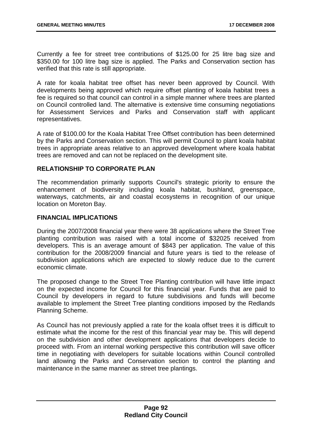Currently a fee for street tree contributions of \$125.00 for 25 litre bag size and \$350.00 for 100 litre bag size is applied. The Parks and Conservation section has verified that this rate is still appropriate.

A rate for koala habitat tree offset has never been approved by Council. With developments being approved which require offset planting of koala habitat trees a fee is required so that council can control in a simple manner where trees are planted on Council controlled land. The alternative is extensive time consuming negotiations for Assessment Services and Parks and Conservation staff with applicant representatives.

A rate of \$100.00 for the Koala Habitat Tree Offset contribution has been determined by the Parks and Conservation section. This will permit Council to plant koala habitat trees in appropriate areas relative to an approved development where koala habitat trees are removed and can not be replaced on the development site.

### **RELATIONSHIP TO CORPORATE PLAN**

The recommendation primarily supports Council's strategic priority to ensure the enhancement of biodiversity including koala habitat, bushland, greenspace, waterways, catchments, air and coastal ecosystems in recognition of our unique location on Moreton Bay.

### **FINANCIAL IMPLICATIONS**

During the 2007/2008 financial year there were 38 applications where the Street Tree planting contribution was raised with a total income of \$32025 received from developers. This is an average amount of \$843 per application. The value of this contribution for the 2008/2009 financial and future years is tied to the release of subdivision applications which are expected to slowly reduce due to the current economic climate.

The proposed change to the Street Tree Planting contribution will have little impact on the expected income for Council for this financial year. Funds that are paid to Council by developers in regard to future subdivisions and funds will become available to implement the Street Tree planting conditions imposed by the Redlands Planning Scheme.

As Council has not previously applied a rate for the koala offset trees it is difficult to estimate what the income for the rest of this financial year may be. This will depend on the subdivision and other development applications that developers decide to proceed with. From an internal working perspective this contribution will save officer time in negotiating with developers for suitable locations within Council controlled land allowing the Parks and Conservation section to control the planting and maintenance in the same manner as street tree plantings.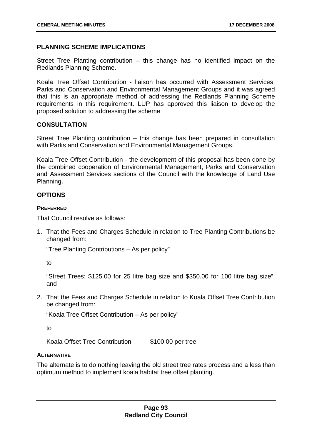### **PLANNING SCHEME IMPLICATIONS**

Street Tree Planting contribution – this change has no identified impact on the Redlands Planning Scheme.

Koala Tree Offset Contribution - liaison has occurred with Assessment Services, Parks and Conservation and Environmental Management Groups and it was agreed that this is an appropriate method of addressing the Redlands Planning Scheme requirements in this requirement. LUP has approved this liaison to develop the proposed solution to addressing the scheme

### **CONSULTATION**

Street Tree Planting contribution – this change has been prepared in consultation with Parks and Conservation and Environmental Management Groups.

Koala Tree Offset Contribution - the development of this proposal has been done by the combined cooperation of Environmental Management, Parks and Conservation and Assessment Services sections of the Council with the knowledge of Land Use Planning.

### **OPTIONS**

#### **PREFERRED**

That Council resolve as follows:

1. That the Fees and Charges Schedule in relation to Tree Planting Contributions be changed from:

"Tree Planting Contributions – As per policy"

to

"Street Trees: \$125.00 for 25 litre bag size and \$350.00 for 100 litre bag size"; and

2. That the Fees and Charges Schedule in relation to Koala Offset Tree Contribution be changed from:

"Koala Tree Offset Contribution – As per policy"

to

Koala Offset Tree Contribution \$100.00 per tree

#### **ALTERNATIVE**

The alternate is to do nothing leaving the old street tree rates process and a less than optimum method to implement koala habitat tree offset planting.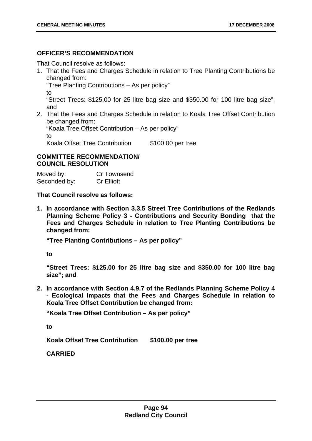### **OFFICER'S RECOMMENDATION**

That Council resolve as follows:

1. That the Fees and Charges Schedule in relation to Tree Planting Contributions be changed from:

"Tree Planting Contributions – As per policy"

to

"Street Trees: \$125.00 for 25 litre bag size and \$350.00 for 100 litre bag size"; and

2. That the Fees and Charges Schedule in relation to Koala Tree Offset Contribution be changed from:

"Koala Tree Offset Contribution – As per policy"

to

Koala Offset Tree Contribution \$100.00 per tree

### **COMMITTEE RECOMMENDATION/ COUNCIL RESOLUTION**

Moved by: Cr Townsend Seconded by: Cr Elliott

**That Council resolve as follows:** 

**1. In accordance with Section 3.3.5 Street Tree Contributions of the Redlands Planning Scheme Policy 3 - Contributions and Security Bonding that the Fees and Charges Schedule in relation to Tree Planting Contributions be changed from:** 

**"Tree Planting Contributions – As per policy"** 

**to** 

**"Street Trees: \$125.00 for 25 litre bag size and \$350.00 for 100 litre bag size"; and** 

**2. In accordance with Section 4.9.7 of the Redlands Planning Scheme Policy 4 - Ecological Impacts that the Fees and Charges Schedule in relation to Koala Tree Offset Contribution be changed from:** 

**"Koala Tree Offset Contribution – As per policy"** 

**to** 

**Koala Offset Tree Contribution \$100.00 per tree**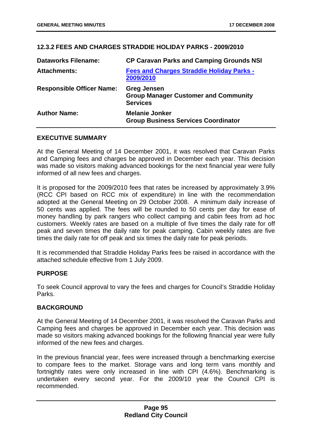# **12.3.2** 5B**FEES AND CHARGES STRADDIE HOLIDAY PARKS - 2009/2010**

| <b>Dataworks Filename:</b>       | <b>CP Caravan Parks and Camping Grounds NSI</b>                                      |
|----------------------------------|--------------------------------------------------------------------------------------|
| <b>Attachments:</b>              | <b>Fees and Charges Straddie Holiday Parks -</b><br>2009/2010                        |
| <b>Responsible Officer Name:</b> | <b>Greg Jensen</b><br><b>Group Manager Customer and Community</b><br><b>Services</b> |
| <b>Author Name:</b>              | <b>Melanie Jonker</b><br><b>Group Business Services Coordinator</b>                  |

### **EXECUTIVE SUMMARY**

At the General Meeting of 14 December 2001, it was resolved that Caravan Parks and Camping fees and charges be approved in December each year. This decision was made so visitors making advanced bookings for the next financial year were fully informed of all new fees and charges.

It is proposed for the 2009/2010 fees that rates be increased by approximately 3.9% (RCC CPI based on RCC mix of expenditure) in line with the recommendation adopted at the General Meeting on 29 October 2008. A minimum daily increase of 50 cents was applied. The fees will be rounded to 50 cents per day for ease of money handling by park rangers who collect camping and cabin fees from ad hoc customers. Weekly rates are based on a multiple of five times the daily rate for off peak and seven times the daily rate for peak camping. Cabin weekly rates are five times the daily rate for off peak and six times the daily rate for peak periods.

It is recommended that Straddie Holiday Parks fees be raised in accordance with the attached schedule effective from 1 July 2009.

#### **PURPOSE**

To seek Council approval to vary the fees and charges for Council's Straddie Holiday Parks.

## **BACKGROUND**

At the General Meeting of 14 December 2001, it was resolved the Caravan Parks and Camping fees and charges be approved in December each year. This decision was made so visitors making advanced bookings for the following financial year were fully informed of the new fees and charges.

In the previous financial year, fees were increased through a benchmarking exercise to compare fees to the market. Storage vans and long term vans monthly and fortnightly rates were only increased in line with CPI (4.6%). Benchmarking is undertaken every second year. For the 2009/10 year the Council CPI is recommended.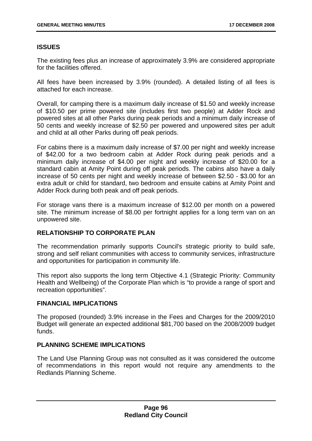## **ISSUES**

The existing fees plus an increase of approximately 3.9% are considered appropriate for the facilities offered.

All fees have been increased by 3.9% (rounded). A detailed listing of all fees is attached for each increase.

Overall, for camping there is a maximum daily increase of \$1.50 and weekly increase of \$10.50 per prime powered site (includes first two people) at Adder Rock and powered sites at all other Parks during peak periods and a minimum daily increase of 50 cents and weekly increase of \$2.50 per powered and unpowered sites per adult and child at all other Parks during off peak periods.

For cabins there is a maximum daily increase of \$7.00 per night and weekly increase of \$42.00 for a two bedroom cabin at Adder Rock during peak periods and a minimum daily increase of \$4.00 per night and weekly increase of \$20.00 for a standard cabin at Amity Point during off peak periods. The cabins also have a daily increase of 50 cents per night and weekly increase of between \$2.50 - \$3.00 for an extra adult or child for standard, two bedroom and ensuite cabins at Amity Point and Adder Rock during both peak and off peak periods.

For storage vans there is a maximum increase of \$12.00 per month on a powered site. The minimum increase of \$8.00 per fortnight applies for a long term van on an unpowered site.

## **RELATIONSHIP TO CORPORATE PLAN**

The recommendation primarily supports Council's strategic priority to build safe, strong and self reliant communities with access to community services, infrastructure and opportunities for participation in community life.

This report also supports the long term Objective 4.1 (Strategic Priority: Community Health and Wellbeing) of the Corporate Plan which is "to provide a range of sport and recreation opportunities".

#### **FINANCIAL IMPLICATIONS**

The proposed (rounded) 3.9% increase in the Fees and Charges for the 2009/2010 Budget will generate an expected additional \$81,700 based on the 2008/2009 budget funds.

#### **PLANNING SCHEME IMPLICATIONS**

The Land Use Planning Group was not consulted as it was considered the outcome of recommendations in this report would not require any amendments to the Redlands Planning Scheme.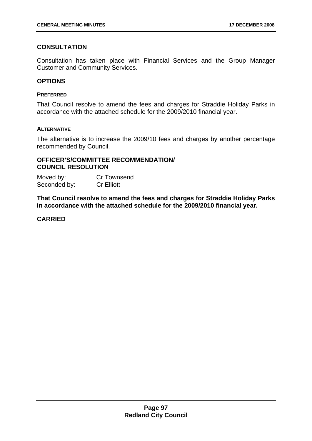## **CONSULTATION**

Consultation has taken place with Financial Services and the Group Manager Customer and Community Services.

#### **OPTIONS**

#### **PREFERRED**

That Council resolve to amend the fees and charges for Straddie Holiday Parks in accordance with the attached schedule for the 2009/2010 financial year.

#### **ALTERNATIVE**

The alternative is to increase the 2009/10 fees and charges by another percentage recommended by Council.

#### 85B**OFFICER'S/COMMITTEE RECOMMENDATION/ COUNCIL RESOLUTION**

Moved by: Cr Townsend Seconded by: Cr Elliott

**That Council resolve to amend the fees and charges for Straddie Holiday Parks in accordance with the attached schedule for the 2009/2010 financial year.**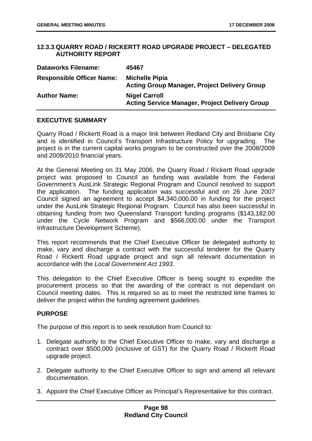### **12.3.3** 56B**QUARRY ROAD / RICKERTT ROAD UPGRADE PROJECT – DELEGATED AUTHORITY REPORT**

| <b>Dataworks Filename:</b>       | 45467                                                                         |
|----------------------------------|-------------------------------------------------------------------------------|
| <b>Responsible Officer Name:</b> | <b>Michelle Pipia</b><br><b>Acting Group Manager, Project Delivery Group</b>  |
| <b>Author Name:</b>              | <b>Nigel Carroll</b><br><b>Acting Service Manager, Project Delivery Group</b> |

### **EXECUTIVE SUMMARY**

Quarry Road / Rickertt Road is a major link between Redland City and Brisbane City and is identified in Council's Transport Infrastructure Policy for upgrading. The project is in the current capital works program to be constructed over the 2008/2009 and 2009/2010 financial years.

At the General Meeting on 31 May 2006, the Quarry Road / Rickertt Road upgrade project was proposed to Council as funding was available from the Federal Government's AusLink Strategic Regional Program and Council resolved to support the application. The funding application was successful and on 26 June 2007 Council signed an agreement to accept \$4,340,000.00 in funding for the project under the AusLink Strategic Regional Program. Council has also been successful in obtaining funding from two Queensland Transport funding programs (\$143,182.00 under the Cycle Network Program and \$566,000.00 under the Transport Infrastructure Development Scheme).

This report recommends that the Chief Executive Officer be delegated authority to make, vary and discharge a contract with the successful tenderer for the Quarry Road / Rickertt Road upgrade project and sign all relevant documentation in accordance with the *Local Government Act 1993*.

This delegation to the Chief Executive Officer is being sought to expedite the procurement process so that the awarding of the contract is not dependant on Council meeting dates. This is required so as to meet the restricted time frames to deliver the project within the funding agreement guidelines.

#### **PURPOSE**

The purpose of this report is to seek resolution from Council to:

- 1. Delegate authority to the Chief Executive Officer to make, vary and discharge a contract over \$500,000 (inclusive of GST) for the Quarry Road / Rickertt Road upgrade project.
- 2. Delegate authority to the Chief Executive Officer to sign and amend all relevant documentation.
- 3. Appoint the Chief Executive Officer as Principal's Representative for this contract.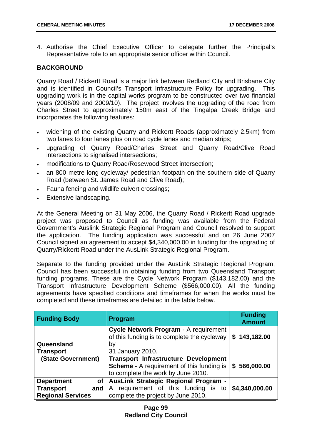4. Authorise the Chief Executive Officer to delegate further the Principal's Representative role to an appropriate senior officer within Council.

#### **BACKGROUND**

Quarry Road / Rickertt Road is a major link between Redland City and Brisbane City and is identified in Council's Transport Infrastructure Policy for upgrading. This upgrading work is in the capital works program to be constructed over two financial years (2008/09 and 2009/10). The project involves the upgrading of the road from Charles Street to approximately 150m east of the Tingalpa Creek Bridge and incorporates the following features:

- widening of the existing Quarry and Rickertt Roads (approximately 2.5km) from two lanes to four lanes plus on road cycle lanes and median strips;
- upgrading of Quarry Road/Charles Street and Quarry Road/Clive Road intersections to signalised intersections;
- modifications to Quarry Road/Rosewood Street intersection;
- an 800 metre long cycleway/ pedestrian footpath on the southern side of Quarry Road (between St. James Road and Clive Road);
- Fauna fencing and wildlife culvert crossings;
- Extensive landscaping.

At the General Meeting on 31 May 2006, the Quarry Road / Rickertt Road upgrade project was proposed to Council as funding was available from the Federal Government's Auslink Strategic Regional Program and Council resolved to support the application. The funding application was successful and on 26 June 2007 Council signed an agreement to accept \$4,340,000.00 in funding for the upgrading of Quarry/Rickertt Road under the AusLink Strategic Regional Program.

Separate to the funding provided under the AusLink Strategic Regional Program, Council has been successful in obtaining funding from two Queensland Transport funding programs. These are the Cycle Network Program (\$143,182.00) and the Transport Infrastructure Development Scheme (\$566,000.00). All the funding agreements have specified conditions and timeframes for when the works must be completed and these timeframes are detailed in the table below.

| <b>Funding Body</b>                                                                   | <b>Program</b>                                                                                                                        | <b>Funding</b><br><b>Amount</b> |
|---------------------------------------------------------------------------------------|---------------------------------------------------------------------------------------------------------------------------------------|---------------------------------|
| Queensland<br><b>Transport</b>                                                        | Cycle Network Program - A requirement<br>of this funding is to complete the cycleway<br>by<br>31 January 2010.                        | \$143,182.00                    |
| (State Government)                                                                    | <b>Transport Infrastructure Development</b><br><b>Scheme</b> - A requirement of this funding is<br>to complete the work by June 2010. | \$566,000.00                    |
| <b>Department</b><br><b>of</b><br><b>Transport</b><br>and<br><b>Regional Services</b> | AusLink Strategic Regional Program -<br>requirement of this funding is to<br>A<br>complete the project by June 2010.                  | \$4,340,000.00                  |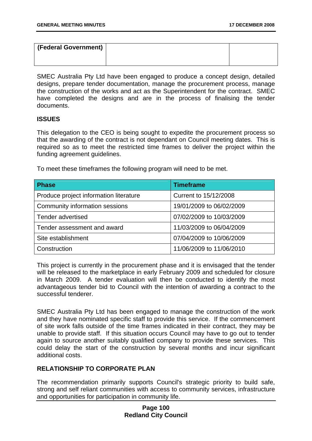| (Federal Government) |  |
|----------------------|--|
|                      |  |

SMEC Australia Pty Ltd have been engaged to produce a concept design, detailed designs, prepare tender documentation, manage the procurement process, manage the construction of the works and act as the Superintendent for the contract. SMEC have completed the designs and are in the process of finalising the tender documents.

#### **ISSUES**

This delegation to the CEO is being sought to expedite the procurement process so that the awarding of the contract is not dependant on Council meeting dates. This is required so as to meet the restricted time frames to deliver the project within the funding agreement guidelines.

**Phase Timeframe Timeframe** Produce project information literature | Current to 15/12/2008 Community information sessions 19/01/2009 to 06/02/2009 Tender advertised 07/02/2009 to 10/03/2009 Tender assessment and award 11/03/2009 to 06/04/2009 Site establishment 07/04/2009 to 10/06/2009 Construction 11/06/2009 to 11/06/2010

To meet these timeframes the following program will need to be met.

This project is currently in the procurement phase and it is envisaged that the tender will be released to the marketplace in early February 2009 and scheduled for closure in March 2009. A tender evaluation will then be conducted to identify the most advantageous tender bid to Council with the intention of awarding a contract to the successful tenderer.

SMEC Australia Pty Ltd has been engaged to manage the construction of the work and they have nominated specific staff to provide this service. If the commencement of site work falls outside of the time frames indicated in their contract, they may be unable to provide staff. If this situation occurs Council may have to go out to tender again to source another suitably qualified company to provide these services. This could delay the start of the construction by several months and incur significant additional costs.

## **RELATIONSHIP TO CORPORATE PLAN**

The recommendation primarily supports Council's strategic priority to build safe, strong and self reliant communities with access to community services, infrastructure and opportunities for participation in community life.

### **Page 100 Redland City Council**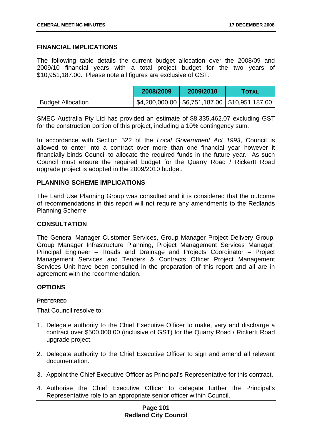#### **FINANCIAL IMPLICATIONS**

The following table details the current budget allocation over the 2008/09 and 2009/10 financial years with a total project budget for the two years of \$10,951,187.00. Please note all figures are exclusive of GST.

|                          | 2008/2009 | 2009/2010 | <b>TOTAL</b>                                       |
|--------------------------|-----------|-----------|----------------------------------------------------|
| <b>Budget Allocation</b> |           |           | $$4,200,000.00$   \$6,751,187.00   \$10,951,187.00 |

SMEC Australia Pty Ltd has provided an estimate of \$8,335,462.07 excluding GST for the construction portion of this project, including a 10% contingency sum.

In accordance with Section 522 of the *Local Government Act 1993*, Council is allowed to enter into a contract over more than one financial year however it financially binds Council to allocate the required funds in the future year. As such Council must ensure the required budget for the Quarry Road / Rickertt Road upgrade project is adopted in the 2009/2010 budget.

#### **PLANNING SCHEME IMPLICATIONS**

The Land Use Planning Group was consulted and it is considered that the outcome of recommendations in this report will not require any amendments to the Redlands Planning Scheme.

#### **CONSULTATION**

The General Manager Customer Services, Group Manager Project Delivery Group, Group Manager Infrastructure Planning, Project Management Services Manager, Principal Engineer – Roads and Drainage and Projects Coordinator – Project Management Services and Tenders & Contracts Officer Project Management Services Unit have been consulted in the preparation of this report and all are in agreement with the recommendation.

#### **OPTIONS**

#### **PREFERRED**

That Council resolve to:

- 1. Delegate authority to the Chief Executive Officer to make, vary and discharge a contract over \$500,000.00 (inclusive of GST) for the Quarry Road / Rickertt Road upgrade project.
- 2. Delegate authority to the Chief Executive Officer to sign and amend all relevant documentation.
- 3. Appoint the Chief Executive Officer as Principal's Representative for this contract.
- 4. Authorise the Chief Executive Officer to delegate further the Principal's Representative role to an appropriate senior officer within Council.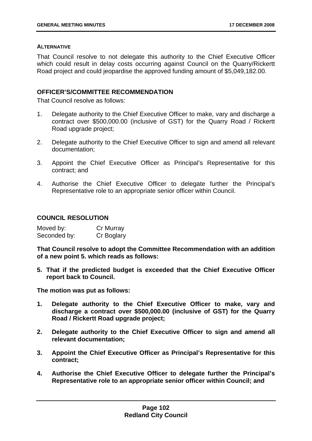#### **ALTERNATIVE**

That Council resolve to not delegate this authority to the Chief Executive Officer which could result in delay costs occurring against Council on the Quarry/Rickertt Road project and could jeopardise the approved funding amount of \$5,049,182.00.

#### 86B**OFFICER'S/COMMITTEE RECOMMENDATION**

That Council resolve as follows:

- 1. Delegate authority to the Chief Executive Officer to make, vary and discharge a contract over \$500,000.00 (inclusive of GST) for the Quarry Road / Rickertt Road upgrade project;
- 2. Delegate authority to the Chief Executive Officer to sign and amend all relevant documentation;
- 3. Appoint the Chief Executive Officer as Principal's Representative for this contract; and
- 4. Authorise the Chief Executive Officer to delegate further the Principal's Representative role to an appropriate senior officer within Council.

### **COUNCIL RESOLUTION**

| Moved by:    | Cr Murray  |
|--------------|------------|
| Seconded by: | Cr Boglary |

**That Council resolve to adopt the Committee Recommendation with an addition of a new point 5. which reads as follows:** 

**5. That if the predicted budget is exceeded that the Chief Executive Officer report back to Council.** 

**The motion was put as follows:** 

- **1. Delegate authority to the Chief Executive Officer to make, vary and discharge a contract over \$500,000.00 (inclusive of GST) for the Quarry Road / Rickertt Road upgrade project;**
- **2. Delegate authority to the Chief Executive Officer to sign and amend all relevant documentation;**
- **3. Appoint the Chief Executive Officer as Principal's Representative for this contract;**
- **4. Authorise the Chief Executive Officer to delegate further the Principal's Representative role to an appropriate senior officer within Council; and**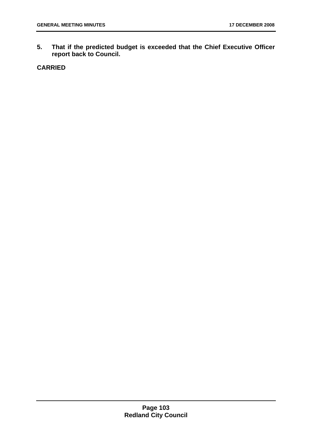**5. That if the predicted budget is exceeded that the Chief Executive Officer report back to Council.**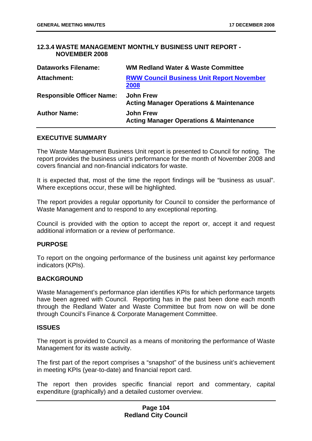# **12.3.4 WASTE MANAGEMENT MONTHLY BUSINESS UNIT REPORT -NOVEMBER 2008**

| <b>Dataworks Filename:</b>       | <b>WM Redland Water &amp; Waste Committee</b>                          |
|----------------------------------|------------------------------------------------------------------------|
| <b>Attachment:</b>               | <b>RWW Council Business Unit Report November</b><br>2008               |
| <b>Responsible Officer Name:</b> | <b>John Frew</b><br><b>Acting Manager Operations &amp; Maintenance</b> |
| <b>Author Name:</b>              | <b>John Frew</b><br><b>Acting Manager Operations &amp; Maintenance</b> |

### **EXECUTIVE SUMMARY**

The Waste Management Business Unit report is presented to Council for noting. The report provides the business unit's performance for the month of November 2008 and covers financial and non-financial indicators for waste.

It is expected that, most of the time the report findings will be "business as usual". Where exceptions occur, these will be highlighted.

The report provides a regular opportunity for Council to consider the performance of Waste Management and to respond to any exceptional reporting.

Council is provided with the option to accept the report or, accept it and request additional information or a review of performance.

### **PURPOSE**

To report on the ongoing performance of the business unit against key performance indicators (KPIs).

# **BACKGROUND**

Waste Management's performance plan identifies KPIs for which performance targets have been agreed with Council. Reporting has in the past been done each month through the Redland Water and Waste Committee but from now on will be done through Council's Finance & Corporate Management Committee.

#### **ISSUES**

The report is provided to Council as a means of monitoring the performance of Waste Management for its waste activity.

The first part of the report comprises a "snapshot" of the business unit's achievement in meeting KPIs (year-to-date) and financial report card.

The report then provides specific financial report and commentary, capital expenditure (graphically) and a detailed customer overview.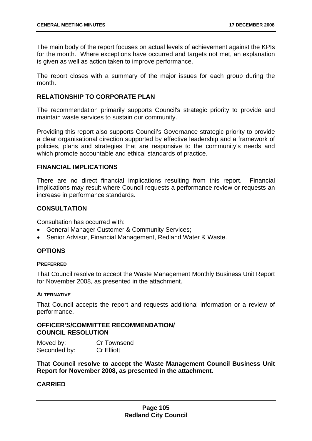The main body of the report focuses on actual levels of achievement against the KPIs for the month. Where exceptions have occurred and targets not met, an explanation is given as well as action taken to improve performance.

The report closes with a summary of the major issues for each group during the month.

### **RELATIONSHIP TO CORPORATE PLAN**

The recommendation primarily supports Council's strategic priority to provide and maintain waste services to sustain our community.

Providing this report also supports Council's Governance strategic priority to provide a clear organisational direction supported by effective leadership and a framework of policies, plans and strategies that are responsive to the community's needs and which promote accountable and ethical standards of practice.

#### **FINANCIAL IMPLICATIONS**

There are no direct financial implications resulting from this report. Financial implications may result where Council requests a performance review or requests an increase in performance standards.

### **CONSULTATION**

Consultation has occurred with:

- General Manager Customer & Community Services;
- Senior Advisor, Financial Management, Redland Water & Waste.

### **OPTIONS**

#### **PREFERRED**

That Council resolve to accept the Waste Management Monthly Business Unit Report for November 2008, as presented in the attachment.

#### **ALTERNATIVE**

That Council accepts the report and requests additional information or a review of performance.

### 8B**OFFICER'S/COMMITTEE RECOMMENDATION/ COUNCIL RESOLUTION**

Moved by: Cr Townsend Seconded by: Cr Elliott

**That Council resolve to accept the Waste Management Council Business Unit Report for November 2008, as presented in the attachment.**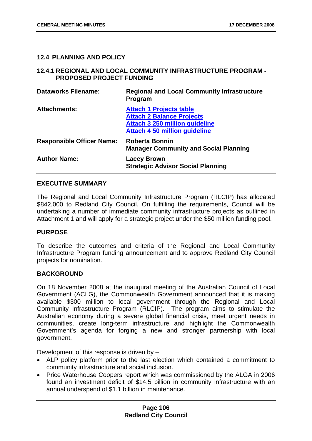# **12.4 PLANNING AND POLICY**

# **12.4.1 REGIONAL AND LOCAL COMMUNITY INFRASTRUCTURE PROGRAM -PROPOSED PROJECT FUNDING**

| <b>Dataworks Filename:</b>       | <b>Regional and Local Community Infrastructure</b><br>Program                                                                                       |
|----------------------------------|-----------------------------------------------------------------------------------------------------------------------------------------------------|
| <b>Attachments:</b>              | <b>Attach 1 Projects table</b><br><b>Attach 2 Balance Projects</b><br><b>Attach 3 250 million guideline</b><br><b>Attach 4 50 million guideline</b> |
| <b>Responsible Officer Name:</b> | <b>Roberta Bonnin</b><br><b>Manager Community and Social Planning</b>                                                                               |
| <b>Author Name:</b>              | <b>Lacey Brown</b><br><b>Strategic Advisor Social Planning</b>                                                                                      |

# **EXECUTIVE SUMMARY**

The Regional and Local Community Infrastructure Program (RLCIP) has allocated \$842,000 to Redland City Council. On fulfilling the requirements, Council will be undertaking a number of immediate community infrastructure projects as outlined in Attachment 1 and will apply for a strategic project under the \$50 million funding pool.

### **PURPOSE**

To describe the outcomes and criteria of the Regional and Local Community Infrastructure Program funding announcement and to approve Redland City Council projects for nomination.

### **BACKGROUND**

On 18 November 2008 at the inaugural meeting of the Australian Council of Local Government (ACLG), the Commonwealth Government announced that it is making available \$300 million to local government through the Regional and Local Community Infrastructure Program (RLCIP). The program aims to stimulate the Australian economy during a severe global financial crisis, meet urgent needs in communities, create long-term infrastructure and highlight the Commonwealth Government's agenda for forging a new and stronger partnership with local government.

Development of this response is driven by –

- ALP policy platform prior to the last election which contained a commitment to community infrastructure and social inclusion.
- Price Waterhouse Coopers report which was commissioned by the ALGA in 2006 found an investment deficit of \$14.5 billion in community infrastructure with an annual underspend of \$1.1 billion in maintenance.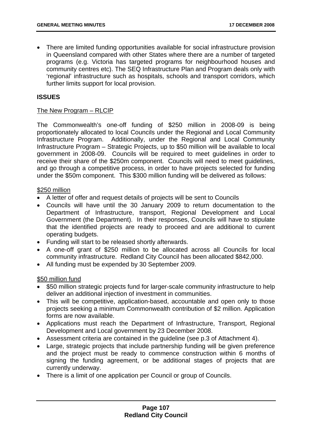• There are limited funding opportunities available for social infrastructure provision in Queensland compared with other States where there are a number of targeted programs (e.g. Victoria has targeted programs for neighbourhood houses and community centres etc). The SEQ Infrastructure Plan and Program deals only with 'regional' infrastructure such as hospitals, schools and transport corridors, which further limits support for local provision.

# **ISSUES**

### The New Program – RLCIP

The Commonwealth's one-off funding of \$250 million in 2008-09 is being proportionately allocated to local Councils under the Regional and Local Community Infrastructure Program. Additionally, under the Regional and Local Community Infrastructure Program – Strategic Projects, up to \$50 million will be available to local government in 2008-09. Councils will be required to meet guidelines in order to receive their share of the \$250m component. Councils will need to meet guidelines, and go through a competitive process, in order to have projects selected for funding under the \$50m component. This \$300 million funding will be delivered as follows:

# \$250 million

- A letter of offer and request details of projects will be sent to Councils
- Councils will have until the 30 January 2009 to return documentation to the Department of Infrastructure, transport, Regional Development and Local Government (the Department). In their responses, Councils will have to stipulate that the identified projects are ready to proceed and are additional to current operating budgets.
- Funding will start to be released shortly afterwards.
- A one-off grant of \$250 million to be allocated across all Councils for local community infrastructure. Redland City Council has been allocated \$842,000.
- All funding must be expended by 30 September 2009.

# \$50 million fund

- \$50 million strategic projects fund for larger-scale community infrastructure to help deliver an additional injection of investment in communities.
- This will be competitive, application-based, accountable and open only to those projects seeking a minimum Commonwealth contribution of \$2 million. Application forms are now available.
- Applications must reach the Department of Infrastructure, Transport, Regional Development and Local government by 23 December 2008.
- Assessment criteria are contained in the guideline (see p.3 of Attachment 4).
- Large, strategic projects that include partnership funding will be given preference and the project must be ready to commence construction within 6 months of signing the funding agreement, or be additional stages of projects that are currently underway.
- There is a limit of one application per Council or group of Councils.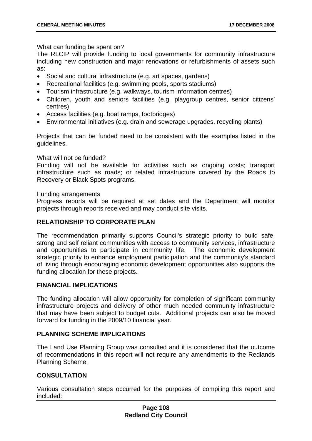### <sup>U</sup>What can funding be spent on?

The RLCIP will provide funding to local governments for community infrastructure including new construction and major renovations or refurbishments of assets such as:

- Social and cultural infrastructure (e.g. art spaces, gardens)
- Recreational facilities (e.g. swimming pools, sports stadiums)
- Tourism infrastructure (e.g. walkways, tourism information centres)
- Children, youth and seniors facilities (e.g. playgroup centres, senior citizens' centres)
- Access facilities (e.g. boat ramps, footbridges)
- Environmental initiatives (e.g. drain and sewerage upgrades, recycling plants)

Projects that can be funded need to be consistent with the examples listed in the guidelines.

#### <sup>U</sup>What will not be funded?

Funding will not be available for activities such as ongoing costs; transport infrastructure such as roads; or related infrastructure covered by the Roads to Recovery or Black Spots programs.

#### Funding arrangements

Progress reports will be required at set dates and the Department will monitor projects through reports received and may conduct site visits.

# **RELATIONSHIP TO CORPORATE PLAN**

The recommendation primarily supports Council's strategic priority to build safe, strong and self reliant communities with access to community services, infrastructure and opportunities to participate in community life. The economic development strategic priority to enhance employment participation and the community's standard of living through encouraging economic development opportunities also supports the funding allocation for these projects.

### **FINANCIAL IMPLICATIONS**

The funding allocation will allow opportunity for completion of significant community infrastructure projects and delivery of other much needed community infrastructure that may have been subject to budget cuts. Additional projects can also be moved forward for funding in the 2009/10 financial year.

### **PLANNING SCHEME IMPLICATIONS**

The Land Use Planning Group was consulted and it is considered that the outcome of recommendations in this report will not require any amendments to the Redlands Planning Scheme.

### **CONSULTATION**

Various consultation steps occurred for the purposes of compiling this report and included: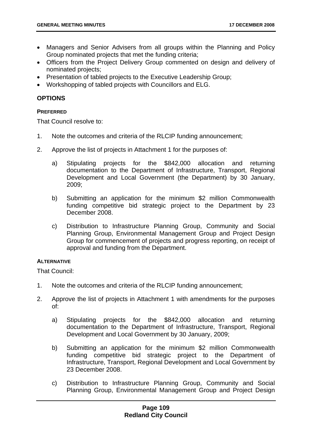- Managers and Senior Advisers from all groups within the Planning and Policy Group nominated projects that met the funding criteria;
- Officers from the Project Delivery Group commented on design and delivery of nominated projects;
- Presentation of tabled projects to the Executive Leadership Group;
- Workshopping of tabled projects with Councillors and ELG.

# **OPTIONS**

#### **PREFERRED**

That Council resolve to:

- 1. Note the outcomes and criteria of the RLCIP funding announcement;
- 2. Approve the list of projects in Attachment 1 for the purposes of:
	- a) Stipulating projects for the \$842,000 allocation and returning documentation to the Department of Infrastructure, Transport, Regional Development and Local Government (the Department) by 30 January, 2009;
	- b) Submitting an application for the minimum \$2 million Commonwealth funding competitive bid strategic project to the Department by 23 December 2008.
	- c) Distribution to Infrastructure Planning Group, Community and Social Planning Group, Environmental Management Group and Project Design Group for commencement of projects and progress reporting, on receipt of approval and funding from the Department.

### **ALTERNATIVE**

That Council:

- 1. Note the outcomes and criteria of the RLCIP funding announcement;
- 2. Approve the list of projects in Attachment 1 with amendments for the purposes of:
	- a) Stipulating projects for the \$842,000 allocation and returning documentation to the Department of Infrastructure, Transport, Regional Development and Local Government by 30 January, 2009;
	- b) Submitting an application for the minimum \$2 million Commonwealth funding competitive bid strategic project to the Department of Infrastructure, Transport, Regional Development and Local Government by 23 December 2008.
	- c) Distribution to Infrastructure Planning Group, Community and Social Planning Group, Environmental Management Group and Project Design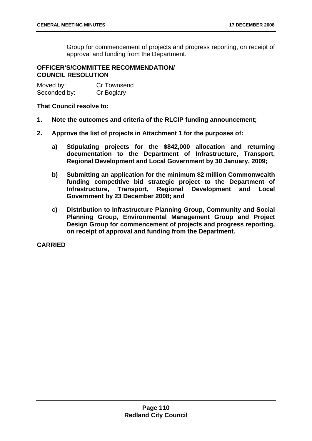Group for commencement of projects and progress reporting, on receipt of approval and funding from the Department.

### 89B**OFFICER'S/COMMITTEE RECOMMENDATION/ COUNCIL RESOLUTION**

Moved by: Cr Townsend Seconded by: Cr Boglary

### **That Council resolve to:**

- **1. Note the outcomes and criteria of the RLCIP funding announcement;**
- **2. Approve the list of projects in Attachment 1 for the purposes of:** 
	- **a) Stipulating projects for the \$842,000 allocation and returning documentation to the Department of Infrastructure, Transport, Regional Development and Local Government by 30 January, 2009;**
	- **b) Submitting an application for the minimum \$2 million Commonwealth funding competitive bid strategic project to the Department of Infrastructure, Transport, Regional Development and Local Government by 23 December 2008; and**
	- **c) Distribution to Infrastructure Planning Group, Community and Social Planning Group, Environmental Management Group and Project Design Group for commencement of projects and progress reporting, on receipt of approval and funding from the Department.**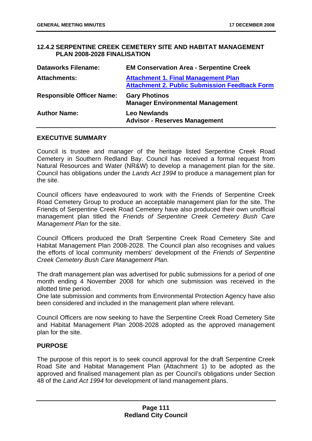# **12.4.2 SERPENTINE CREEK CEMETERY SITE AND HABITAT MANAGEMENT PLAN 2008-2028 FINALISATION**

| <b>Dataworks Filename:</b>       | <b>EM Conservation Area - Serpentine Creek</b>                                                     |
|----------------------------------|----------------------------------------------------------------------------------------------------|
| <b>Attachments:</b>              | <b>Attachment 1. Final Management Plan</b><br><b>Attachment 2. Public Submission Feedback Form</b> |
| <b>Responsible Officer Name:</b> | <b>Gary Photinos</b><br><b>Manager Environmental Management</b>                                    |
| <b>Author Name:</b>              | <b>Leo Newlands</b><br><b>Advisor - Reserves Management</b>                                        |

### **EXECUTIVE SUMMARY**

Council is trustee and manager of the heritage listed Serpentine Creek Road Cemetery in Southern Redland Bay. Council has received a formal request from Natural Resources and Water (NR&W) to develop a management plan for the site. Council has obligations under the *Lands Act 1994* to produce a management plan for the site.

Council officers have endeavoured to work with the Friends of Serpentine Creek Road Cemetery Group to produce an acceptable management plan for the site. The Friends of Serpentine Creek Road Cemetery have also produced their own unofficial management plan titled the *Friends of Serpentine Creek Cemetery Bush Care Management Plan* for the site.

Council Officers produced the Draft Serpentine Creek Road Cemetery Site and Habitat Management Plan 2008-2028. The Council plan also recognises and values the efforts of local community members' development of the *Friends of Serpentine Creek Cemetery Bush Care Management Plan*.

The draft management plan was advertised for public submissions for a period of one month ending 4 November 2008 for which one submission was received in the allotted time period.

One late submission and comments from Environmental Protection Agency have also been considered and included in the management plan where relevant.

Council Officers are now seeking to have the Serpentine Creek Road Cemetery Site and Habitat Management Plan 2008-2028 adopted as the approved management plan for the site.

### **PURPOSE**

The purpose of this report is to seek council approval for the draft Serpentine Creek Road Site and Habitat Management Plan (Attachment 1) to be adopted as the approved and finalised management plan as per Council's obligations under Section 48 of the *Land Act 1994* for development of land management plans.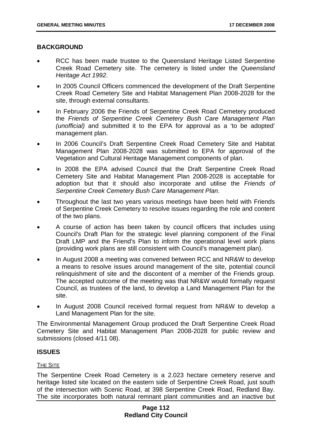# **BACKGROUND**

- RCC has been made trustee to the Queensland Heritage Listed Serpentine Creek Road Cemetery site. The cemetery is listed under the *Queensland Heritage Act 1992*.
- In 2005 Council Officers commenced the development of the Draft Serpentine Creek Road Cemetery Site and Habitat Management Plan 2008-2028 for the site, through external consultants.
- In February 2006 the Friends of Serpentine Creek Road Cemetery produced the *Friends of Serpentine Creek Cemetery Bush Care Management Plan (unofficial)* and submitted it to the EPA for approval as a 'to be adopted' management plan.
- In 2006 Council's Draft Serpentine Creek Road Cemetery Site and Habitat Management Plan 2008-2028 was submitted to EPA for approval of the Vegetation and Cultural Heritage Management components of plan.
- In 2008 the EPA advised Council that the Draft Serpentine Creek Road Cemetery Site and Habitat Management Plan 2008-2028 is acceptable for adoption but that it should also incorporate and utilise the *Friends of Serpentine Creek Cemetery Bush Care Management Plan.*
- Throughout the last two years various meetings have been held with Friends of Serpentine Creek Cemetery to resolve issues regarding the role and content of the two plans.
- A course of action has been taken by council officers that includes using Council's Draft Plan for the strategic level planning component of the Final Draft LMP and the Friend's Plan to inform the operational level work plans (providing work plans are still consistent with Council's management plan).
- In August 2008 a meeting was convened between RCC and NR&W to develop a means to resolve issues around management of the site, potential council relinquishment of site and the discontent of a member of the Friends group. The accepted outcome of the meeting was that NR&W would formally request Council, as trustees of the land, to develop a Land Management Plan for the site.
- In August 2008 Council received formal request from NR&W to develop a Land Management Plan for the site.

The Environmental Management Group produced the Draft Serpentine Creek Road Cemetery Site and Habitat Management Plan 2008-2028 for public review and submissions (closed 4/11 08).

# **ISSUES**

### THE SITE

The Serpentine Creek Road Cemetery is a 2.023 hectare cemetery reserve and heritage listed site located on the eastern side of Serpentine Creek Road, just south of the intersection with Scenic Road, at 398 Serpentine Creek Road, Redland Bay. The site incorporates both natural remnant plant communities and an inactive but

# **Page 112 Redland City Council**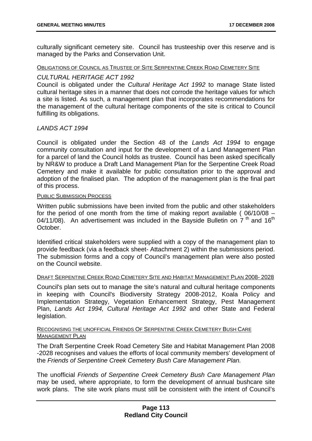culturally significant cemetery site. Council has trusteeship over this reserve and is managed by the Parks and Conservation Unit.

#### OBLIGATIONS OF COUNCIL AS TRUSTEE OF SITE SERPENTINE CREEK ROAD CEMETERY SITE

### *CULTURAL HERITAGE ACT 1992*

Council is obligated under the *Cultural Heritage Act 1992* to manage State listed cultural heritage sites in a manner that does not corrode the heritage values for which a site is listed. As such, a management plan that incorporates recommendations for the management of the cultural heritage components of the site is critical to Council fulfilling its obligations.

# *LANDS ACT 1994*

Council is obligated under the Section 48 of the *Lands Act 1994* to engage community consultation and input for the development of a Land Management Plan for a parcel of land the Council holds as trustee. Council has been asked specifically by NR&W to produce a Draft Land Management Plan for the Serpentine Creek Road Cemetery and make it available for public consultation prior to the approval and adoption of the finalised plan. The adoption of the management plan is the final part of this process.

#### **PUBLIC SUBMISSION PROCESS**

Written public submissions have been invited from the public and other stakeholders for the period of one month from the time of making report available ( 06/10/08 – 04/11/08). An advertisement was included in the Bayside Bulletin on  $7<sup>th</sup>$  and 16<sup>th</sup> October.

Identified critical stakeholders were supplied with a copy of the management plan to provide feedback (via a feedback sheet- Attachment 2) within the submissions period. The submission forms and a copy of Council's management plan were also posted on the Council website.

### <sup>U</sup>DRAFT SERPENTINE CREEK ROAD CEMETERY SITE AND HABITAT MANAGEMENT PLAN 2008- 2028

Council's plan sets out to manage the site's natural and cultural heritage components in keeping with Council's Biodiversity Strategy 2008-2012, Koala Policy and Implementation Strategy, Vegetation Enhancement Strategy, Pest Management Plan, *Lands Act 1994, Cultural Heritage Act 1992* and other State and Federal legislation.

### RECOGNISING THE UNOFFICIAL FRIENDS OF SERPENTINE CREEK CEMETERY BUSH CARE MANAGEMENT PLAN

The Draft Serpentine Creek Road Cemetery Site and Habitat Management Plan 2008 -2028 recognises and values the efforts of local community members' development of the *Friends of Serpentine Creek Cemetery Bush Care Management Plan.* 

The unofficial *Friends of Serpentine Creek Cemetery Bush Care Management Plan*  may be used, where appropriate, to form the development of annual bushcare site work plans. The site work plans must still be consistent with the intent of Council's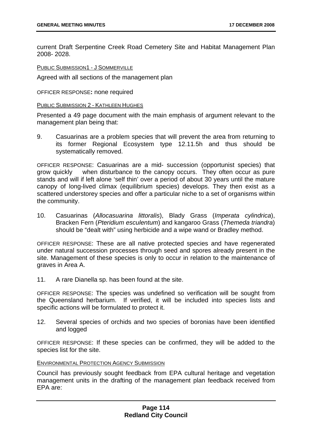current Draft Serpentine Creek Road Cemetery Site and Habitat Management Plan 2008- 2028.

PUBLIC SUBMISSION1 - J SOMMERVILLE

Agreed with all sections of the management plan

OFFICER RESPONSE**:** none required

#### <sup>U</sup>PUBLIC SUBMISSION 2 - KATHLEEN HUGHES

Presented a 49 page document with the main emphasis of argument relevant to the management plan being that:

9. Casuarinas are a problem species that will prevent the area from returning to its former Regional Ecosystem type 12.11.5h and thus should be systematically removed.

OFFICER RESPONSE: Casuarinas are a mid- succession (opportunist species) that grow quickly when disturbance to the canopy occurs. They often occur as pure stands and will if left alone 'self thin' over a period of about 30 years until the mature canopy of long-lived climax (equilibrium species) develops. They then exist as a scattered understorey species and offer a particular niche to a set of organisms within the community.

10. Casuarinas (*Allocasuarina littoralis*), Blady Grass (*Imperata cylindrica*), Bracken Fern (*Pteridium esculentum*) and kangaroo Grass (*Themeda triandra*) should be "dealt with" using herbicide and a wipe wand or Bradley method.

OFFICER RESPONSE: These are all native protected species and have regenerated under natural succession processes through seed and spores already present in the site. Management of these species is only to occur in relation to the maintenance of graves in Area A.

11. A rare Dianella sp. has been found at the site.

OFFICER RESPONSE: The species was undefined so verification will be sought from the Queensland herbarium. If verified, it will be included into species lists and specific actions will be formulated to protect it.

12. Several species of orchids and two species of boronias have been identified and logged

OFFICER RESPONSE: If these species can be confirmed, they will be added to the species list for the site.

#### **ENVIRONMENTAL PROTECTION AGENCY SUBMISSION**

Council has previously sought feedback from EPA cultural heritage and vegetation management units in the drafting of the management plan feedback received from EPA are: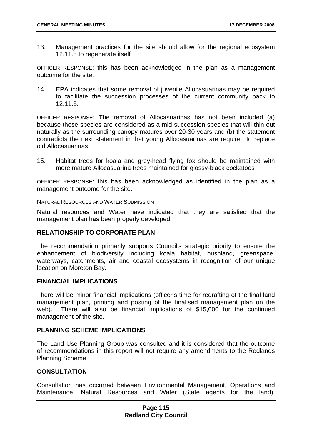13. Management practices for the site should allow for the regional ecosystem 12.11.5 to regenerate itself

OFFICER RESPONSE: this has been acknowledged in the plan as a management outcome for the site.

14. EPA indicates that some removal of juvenile Allocasuarinas may be required to facilitate the succession processes of the current community back to 12.11.5.

OFFICER RESPONSE: The removal of Allocasuarinas has not been included (a) because these species are considered as a mid succession species that will thin out naturally as the surrounding canopy matures over 20-30 years and (b) the statement contradicts the next statement in that young Allocasuarinas are required to replace old Allocasuarinas.

15. Habitat trees for koala and grey-head flying fox should be maintained with more mature Allocasuarina trees maintained for glossy-black cockatoos

OFFICER RESPONSE: this has been acknowledged as identified in the plan as a management outcome for the site.

#### **NATURAL RESOURCES AND WATER SUBMISSION**

Natural resources and Water have indicated that they are satisfied that the management plan has been properly developed.

# **RELATIONSHIP TO CORPORATE PLAN**

The recommendation primarily supports Council's strategic priority to ensure the enhancement of biodiversity including koala habitat, bushland, greenspace, waterways, catchments, air and coastal ecosystems in recognition of our unique location on Moreton Bay.

#### **FINANCIAL IMPLICATIONS**

There will be minor financial implications (officer's time for redrafting of the final land management plan, printing and posting of the finalised management plan on the web). There will also be financial implications of \$15,000 for the continued management of the site.

# **PLANNING SCHEME IMPLICATIONS**

The Land Use Planning Group was consulted and it is considered that the outcome of recommendations in this report will not require any amendments to the Redlands Planning Scheme.

### **CONSULTATION**

Consultation has occurred between Environmental Management, Operations and Maintenance, Natural Resources and Water (State agents for the land),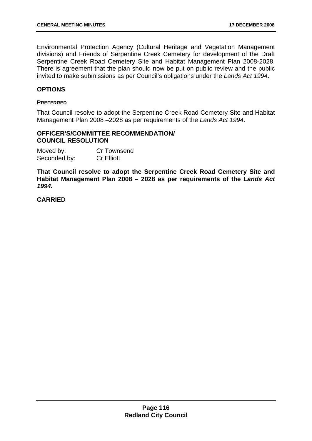Environmental Protection Agency (Cultural Heritage and Vegetation Management divisions) and Friends of Serpentine Creek Cemetery for development of the Draft Serpentine Creek Road Cemetery Site and Habitat Management Plan 2008-2028. There is agreement that the plan should now be put on public review and the public invited to make submissions as per Council's obligations under the *Lands Act 1994*.

# **OPTIONS**

#### **PREFERRED**

That Council resolve to adopt the Serpentine Creek Road Cemetery Site and Habitat Management Plan 2008 –2028 as per requirements of the *Lands Act 1994*.

# 90B**OFFICER'S/COMMITTEE RECOMMENDATION/ COUNCIL RESOLUTION**

| Moved by:    | Cr Townsend       |
|--------------|-------------------|
| Seconded by: | <b>Cr Elliott</b> |

**That Council resolve to adopt the Serpentine Creek Road Cemetery Site and Habitat Management Plan 2008 – 2028 as per requirements of the** *Lands Act 1994.*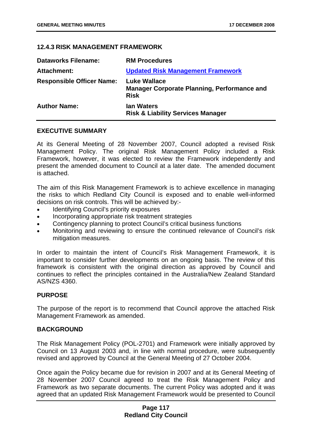### **12.4.3 RISK MANAGEMENT FRAMEWORK**

| <b>Dataworks Filename:</b>       | <b>RM Procedures</b>                                                                     |
|----------------------------------|------------------------------------------------------------------------------------------|
| <b>Attachment:</b>               | <b>Updated Risk Management Framework</b>                                                 |
| <b>Responsible Officer Name:</b> | <b>Luke Wallace</b><br><b>Manager Corporate Planning, Performance and</b><br><b>Risk</b> |
| <b>Author Name:</b>              | <b>Ian Waters</b><br><b>Risk &amp; Liability Services Manager</b>                        |

### **EXECUTIVE SUMMARY**

At its General Meeting of 28 November 2007, Council adopted a revised Risk Management Policy. The original Risk Management Policy included a Risk Framework, however, it was elected to review the Framework independently and present the amended document to Council at a later date. The amended document is attached.

The aim of this Risk Management Framework is to achieve excellence in managing the risks to which Redland City Council is exposed and to enable well-informed decisions on risk controls. This will be achieved by:-

- Identifying Council's priority exposures
- Incorporating appropriate risk treatment strategies
- Contingency planning to protect Council's critical business functions
- Monitoring and reviewing to ensure the continued relevance of Council's risk mitigation measures.

In order to maintain the intent of Council's Risk Management Framework, it is important to consider further developments on an ongoing basis. The review of this framework is consistent with the original direction as approved by Council and continues to reflect the principles contained in the Australia/New Zealand Standard AS/NZS 4360.

### **PURPOSE**

The purpose of the report is to recommend that Council approve the attached Risk Management Framework as amended.

### **BACKGROUND**

The Risk Management Policy (POL-2701) and Framework were initially approved by Council on 13 August 2003 and, in line with normal procedure, were subsequently revised and approved by Council at the General Meeting of 27 October 2004.

Once again the Policy became due for revision in 2007 and at its General Meeting of 28 November 2007 Council agreed to treat the Risk Management Policy and Framework as two separate documents. The current Policy was adopted and it was agreed that an updated Risk Management Framework would be presented to Council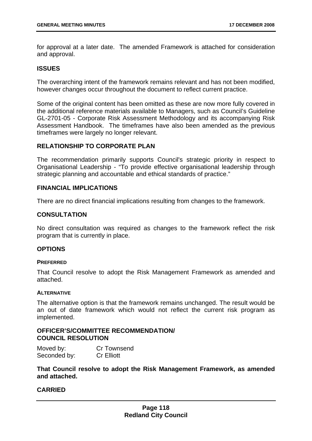for approval at a later date. The amended Framework is attached for consideration and approval.

### **ISSUES**

The overarching intent of the framework remains relevant and has not been modified, however changes occur throughout the document to reflect current practice.

Some of the original content has been omitted as these are now more fully covered in the additional reference materials available to Managers, such as Council's Guideline GL-2701-05 - Corporate Risk Assessment Methodology and its accompanying Risk Assessment Handbook. The timeframes have also been amended as the previous timeframes were largely no longer relevant.

# **RELATIONSHIP TO CORPORATE PLAN**

The recommendation primarily supports Council's strategic priority in respect to Organisational Leadership - "To provide effective organisational leadership through strategic planning and accountable and ethical standards of practice."

# **FINANCIAL IMPLICATIONS**

There are no direct financial implications resulting from changes to the framework.

# **CONSULTATION**

No direct consultation was required as changes to the framework reflect the risk program that is currently in place.

# **OPTIONS**

### **PREFERRED**

That Council resolve to adopt the Risk Management Framework as amended and attached.

### **ALTERNATIVE**

The alternative option is that the framework remains unchanged. The result would be an out of date framework which would not reflect the current risk program as implemented.

# **OFFICER'S/COMMITTEE RECOMMENDATION/ COUNCIL RESOLUTION**

| Moved by:    | Cr Townsend       |
|--------------|-------------------|
| Seconded by: | <b>Cr Elliott</b> |

**That Council resolve to adopt the Risk Management Framework, as amended and attached.**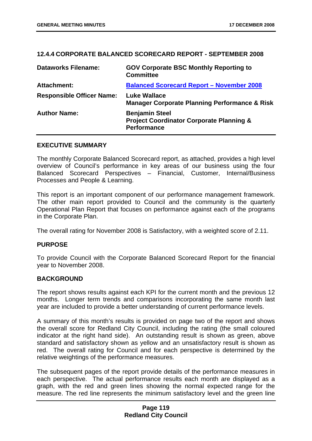### **12.4.4 CORPORATE BALANCED SCORECARD REPORT - SEPTEMBER 2008**

| <b>Dataworks Filename:</b>       | <b>GOV Corporate BSC Monthly Reporting to</b><br><b>Committee</b>                                  |
|----------------------------------|----------------------------------------------------------------------------------------------------|
| Attachment:                      | <b>Balanced Scorecard Report - November 2008</b>                                                   |
| <b>Responsible Officer Name:</b> | <b>Luke Wallace</b><br><b>Manager Corporate Planning Performance &amp; Risk</b>                    |
| <b>Author Name:</b>              | <b>Benjamin Steel</b><br><b>Project Coordinator Corporate Planning &amp;</b><br><b>Performance</b> |

#### **EXECUTIVE SUMMARY**

The monthly Corporate Balanced Scorecard report, as attached, provides a high level overview of Council's performance in key areas of our business using the four Balanced Scorecard Perspectives – Financial, Customer, Internal/Business Processes and People & Learning.

This report is an important component of our performance management framework. The other main report provided to Council and the community is the quarterly Operational Plan Report that focuses on performance against each of the programs in the Corporate Plan.

The overall rating for November 2008 is Satisfactory, with a weighted score of 2.11.

### **PURPOSE**

To provide Council with the Corporate Balanced Scorecard Report for the financial year to November 2008.

### **BACKGROUND**

The report shows results against each KPI for the current month and the previous 12 months. Longer term trends and comparisons incorporating the same month last year are included to provide a better understanding of current performance levels.

A summary of this month's results is provided on page two of the report and shows the overall score for Redland City Council, including the rating (the small coloured indicator at the right hand side). An outstanding result is shown as green, above standard and satisfactory shown as yellow and an unsatisfactory result is shown as red. The overall rating for Council and for each perspective is determined by the relative weightings of the performance measures.

The subsequent pages of the report provide details of the performance measures in each perspective. The actual performance results each month are displayed as a graph, with the red and green lines showing the normal expected range for the measure. The red line represents the minimum satisfactory level and the green line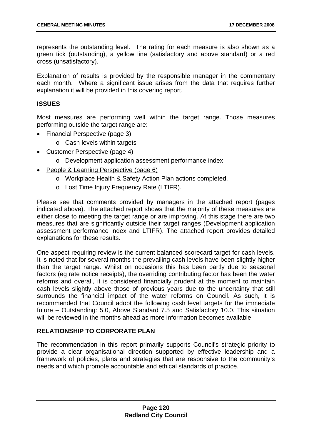represents the outstanding level. The rating for each measure is also shown as a green tick (outstanding), a yellow line (satisfactory and above standard) or a red cross (unsatisfactory).

Explanation of results is provided by the responsible manager in the commentary each month. Where a significant issue arises from the data that requires further explanation it will be provided in this covering report.

### **ISSUES**

Most measures are performing well within the target range. Those measures performing outside the target range are:

- Financial Perspective (page 3)
	- o Cash levels within targets
- Customer Perspective (page 4)
	- o Development application assessment performance index
- People & Learning Perspective (page 6)
	- o Workplace Health & Safety Action Plan actions completed.
	- o Lost Time Injury Frequency Rate (LTIFR).

Please see that comments provided by managers in the attached report (pages indicated above). The attached report shows that the majority of these measures are either close to meeting the target range or are improving. At this stage there are two measures that are significantly outside their target ranges (Development application assessment performance index and LTIFR). The attached report provides detailed explanations for these results.

One aspect requiring review is the current balanced scorecard target for cash levels. It is noted that for several months the prevailing cash levels have been slightly higher than the target range. Whilst on occasions this has been partly due to seasonal factors (eg rate notice receipts), the overriding contributing factor has been the water reforms and overall, it is considered financially prudent at the moment to maintain cash levels slightly above those of previous years due to the uncertainty that still surrounds the financial impact of the water reforms on Council. As such, it is recommended that Council adopt the following cash level targets for the immediate future – Outstanding: 5.0, Above Standard 7.5 and Satisfactory 10.0. This situation will be reviewed in the months ahead as more information becomes available.

# **RELATIONSHIP TO CORPORATE PLAN**

The recommendation in this report primarily supports Council's strategic priority to provide a clear organisational direction supported by effective leadership and a framework of policies, plans and strategies that are responsive to the community's needs and which promote accountable and ethical standards of practice.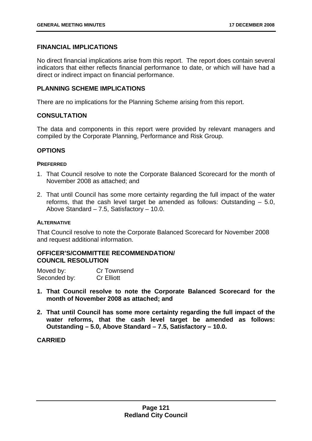# **FINANCIAL IMPLICATIONS**

No direct financial implications arise from this report. The report does contain several indicators that either reflects financial performance to date, or which will have had a direct or indirect impact on financial performance.

# **PLANNING SCHEME IMPLICATIONS**

There are no implications for the Planning Scheme arising from this report.

# **CONSULTATION**

The data and components in this report were provided by relevant managers and compiled by the Corporate Planning, Performance and Risk Group.

# **OPTIONS**

### **PREFERRED**

- 1. That Council resolve to note the Corporate Balanced Scorecard for the month of November 2008 as attached; and
- 2. That until Council has some more certainty regarding the full impact of the water reforms, that the cash level target be amended as follows: Outstanding – 5.0, Above Standard – 7.5, Satisfactory – 10.0.

### **ALTERNATIVE**

That Council resolve to note the Corporate Balanced Scorecard for November 2008 and request additional information.

# 92B**OFFICER'S/COMMITTEE RECOMMENDATION/ COUNCIL RESOLUTION**

| Moved by:    | Cr Townsend       |
|--------------|-------------------|
| Seconded by: | <b>Cr Elliott</b> |

- **1. That Council resolve to note the Corporate Balanced Scorecard for the month of November 2008 as attached; and**
- **2. That until Council has some more certainty regarding the full impact of the water reforms, that the cash level target be amended as follows: Outstanding – 5.0, Above Standard – 7.5, Satisfactory – 10.0.**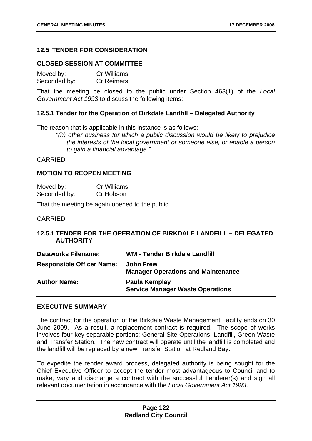# **12.5 TENDER FOR CONSIDERATION**

### **CLOSED SESSION AT COMMITTEE**

| Moved by:    | <b>Cr Williams</b> |
|--------------|--------------------|
| Seconded by: | <b>Cr Reimers</b>  |

That the meeting be closed to the public under Section 463(1) of the *Local Government Act 1993* to discuss the following items:

#### **12.5.1 Tender for the Operation of Birkdale Landfill – Delegated Authority**

The reason that is applicable in this instance is as follows:

*"(h) other business for which a public discussion would be likely to prejudice the interests of the local government or someone else, or enable a person to gain a financial advantage."* 

### CARRIED

### **MOTION TO REOPEN MEETING**

| Moved by:    | <b>Cr Williams</b> |
|--------------|--------------------|
| Seconded by: | Cr Hobson          |

That the meeting be again opened to the public.

### CARRIED

# **12.5.1 TENDER FOR THE OPERATION OF BIRKDALE LANDFILL – DELEGATED AUTHORITY**

| <b>Dataworks Filename:</b>       | <b>WM - Tender Birkdale Landfill</b>                          |
|----------------------------------|---------------------------------------------------------------|
| <b>Responsible Officer Name:</b> | <b>John Frew</b><br><b>Manager Operations and Maintenance</b> |
| <b>Author Name:</b>              | Paula Kemplay<br><b>Service Manager Waste Operations</b>      |

#### **EXECUTIVE SUMMARY**

The contract for the operation of the Birkdale Waste Management Facility ends on 30 June 2009. As a result, a replacement contract is required. The scope of works involves four key separable portions: General Site Operations, Landfill, Green Waste and Transfer Station. The new contract will operate until the landfill is completed and the landfill will be replaced by a new Transfer Station at Redland Bay.

To expedite the tender award process, delegated authority is being sought for the Chief Executive Officer to accept the tender most advantageous to Council and to make, vary and discharge a contract with the successful Tenderer(s) and sign all relevant documentation in accordance with the *Local Government Act 1993*.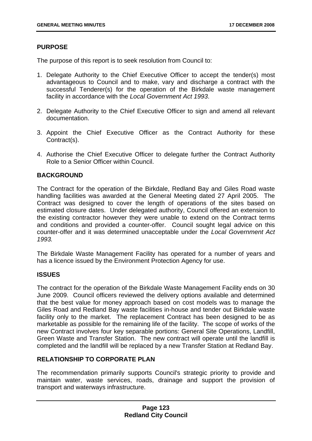# **PURPOSE**

The purpose of this report is to seek resolution from Council to:

- 1. Delegate Authority to the Chief Executive Officer to accept the tender(s) most advantageous to Council and to make, vary and discharge a contract with the successful Tenderer(s) for the operation of the Birkdale waste management facility in accordance with the *Local Government Act 1993*.
- 2. Delegate Authority to the Chief Executive Officer to sign and amend all relevant documentation.
- 3. Appoint the Chief Executive Officer as the Contract Authority for these Contract(s).
- 4. Authorise the Chief Executive Officer to delegate further the Contract Authority Role to a Senior Officer within Council.

# **BACKGROUND**

The Contract for the operation of the Birkdale, Redland Bay and Giles Road waste handling facilities was awarded at the General Meeting dated 27 April 2005. The Contract was designed to cover the length of operations of the sites based on estimated closure dates. Under delegated authority, Council offered an extension to the existing contractor however they were unable to extend on the Contract terms and conditions and provided a counter-offer. Council sought legal advice on this counter-offer and it was determined unacceptable under the *Local Government Act 1993.*

The Birkdale Waste Management Facility has operated for a number of years and has a licence issued by the Environment Protection Agency for use.

### **ISSUES**

The contract for the operation of the Birkdale Waste Management Facility ends on 30 June 2009. Council officers reviewed the delivery options available and determined that the best value for money approach based on cost models was to manage the Giles Road and Redland Bay waste facilities in-house and tender out Birkdale waste facility only to the market. The replacement Contract has been designed to be as marketable as possible for the remaining life of the facility. The scope of works of the new Contract involves four key separable portions: General Site Operations, Landfill, Green Waste and Transfer Station. The new contract will operate until the landfill is completed and the landfill will be replaced by a new Transfer Station at Redland Bay.

# **RELATIONSHIP TO CORPORATE PLAN**

The recommendation primarily supports Council's strategic priority to provide and maintain water, waste services, roads, drainage and support the provision of transport and waterways infrastructure.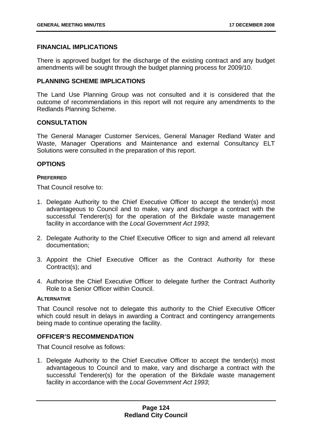# **FINANCIAL IMPLICATIONS**

There is approved budget for the discharge of the existing contract and any budget amendments will be sought through the budget planning process for 2009/10.

# **PLANNING SCHEME IMPLICATIONS**

The Land Use Planning Group was not consulted and it is considered that the outcome of recommendations in this report will not require any amendments to the Redlands Planning Scheme.

# **CONSULTATION**

The General Manager Customer Services, General Manager Redland Water and Waste, Manager Operations and Maintenance and external Consultancy ELT Solutions were consulted in the preparation of this report.

# **OPTIONS**

#### **PREFERRED**

That Council resolve to:

- 1. Delegate Authority to the Chief Executive Officer to accept the tender(s) most advantageous to Council and to make, vary and discharge a contract with the successful Tenderer(s) for the operation of the Birkdale waste management facility in accordance with the *Local Government Act 1993*;
- 2. Delegate Authority to the Chief Executive Officer to sign and amend all relevant documentation;
- 3. Appoint the Chief Executive Officer as the Contract Authority for these Contract(s); and
- 4. Authorise the Chief Executive Officer to delegate further the Contract Authority Role to a Senior Officer within Council.

### **ALTERNATIVE**

That Council resolve not to delegate this authority to the Chief Executive Officer which could result in delays in awarding a Contract and contingency arrangements being made to continue operating the facility.

### **OFFICER'S RECOMMENDATION**

That Council resolve as follows:

1. Delegate Authority to the Chief Executive Officer to accept the tender(s) most advantageous to Council and to make, vary and discharge a contract with the successful Tenderer(s) for the operation of the Birkdale waste management facility in accordance with the *Local Government Act 1993*;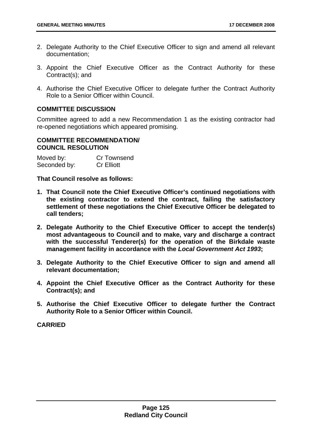- 2. Delegate Authority to the Chief Executive Officer to sign and amend all relevant documentation;
- 3. Appoint the Chief Executive Officer as the Contract Authority for these Contract(s); and
- 4. Authorise the Chief Executive Officer to delegate further the Contract Authority Role to a Senior Officer within Council.

### **COMMITTEE DISCUSSION**

Committee agreed to add a new Recommendation 1 as the existing contractor had re-opened negotiations which appeared promising.

### **COMMITTEE RECOMMENDATION/ COUNCIL RESOLUTION**

| Moved by:    | Cr Townsend       |
|--------------|-------------------|
| Seconded by: | <b>Cr Elliott</b> |

**That Council resolve as follows:** 

- **1. That Council note the Chief Executive Officer's continued negotiations with the existing contractor to extend the contract, failing the satisfactory settlement of these negotiations the Chief Executive Officer be delegated to call tenders;**
- **2. Delegate Authority to the Chief Executive Officer to accept the tender(s) most advantageous to Council and to make, vary and discharge a contract with the successful Tenderer(s) for the operation of the Birkdale waste management facility in accordance with the** *Local Government Act 1993***;**
- **3. Delegate Authority to the Chief Executive Officer to sign and amend all relevant documentation;**
- **4. Appoint the Chief Executive Officer as the Contract Authority for these Contract(s); and**
- **5. Authorise the Chief Executive Officer to delegate further the Contract Authority Role to a Senior Officer within Council.**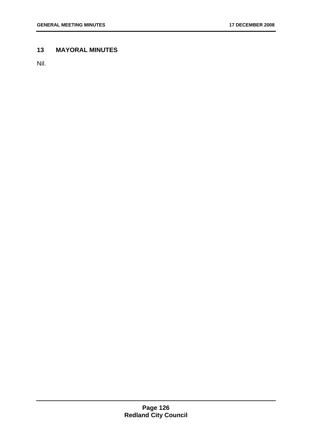# **13 MAYORAL MINUTES**

Nil.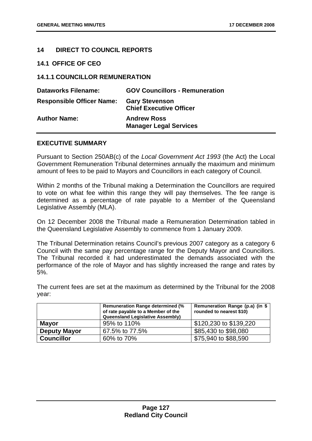# **14 DIRECT TO COUNCIL REPORTS**

### **14.1** 27B**OFFICE OF CEO**

# **14.1.1 COUNCILLOR REMUNERATION**

| <b>Dataworks Filename:</b>       | <b>GOV Councillors - Remuneration</b>                   |
|----------------------------------|---------------------------------------------------------|
| <b>Responsible Officer Name:</b> | <b>Gary Stevenson</b><br><b>Chief Executive Officer</b> |
| <b>Author Name:</b>              | <b>Andrew Ross</b><br><b>Manager Legal Services</b>     |

### **EXECUTIVE SUMMARY**

Pursuant to Section 250AB(c) of the *Local Government Act 1993* (the Act) the Local Government Remuneration Tribunal determines annually the maximum and minimum amount of fees to be paid to Mayors and Councillors in each category of Council.

Within 2 months of the Tribunal making a Determination the Councillors are required to vote on what fee within this range they will pay themselves. The fee range is determined as a percentage of rate payable to a Member of the Queensland Legislative Assembly (MLA).

On 12 December 2008 the Tribunal made a Remuneration Determination tabled in the Queensland Legislative Assembly to commence from 1 January 2009.

The Tribunal Determination retains Council's previous 2007 category as a category 6 Council with the same pay percentage range for the Deputy Mayor and Councillors. The Tribunal recorded it had underestimated the demands associated with the performance of the role of Mayor and has slightly increased the range and rates by 5%.

The current fees are set at the maximum as determined by the Tribunal for the 2008 year:

|                     | <b>Remuneration Range determined (%</b><br>of rate payable to a Member of the<br><b>Queensland Legislative Assembly)</b> | Remuneration Range (p.a) (in \$<br>rounded to nearest \$10) |
|---------------------|--------------------------------------------------------------------------------------------------------------------------|-------------------------------------------------------------|
| <b>Mayor</b>        | 95% to 110%                                                                                                              | \$120,230 to \$139,220                                      |
| <b>Deputy Mayor</b> | 67.5% to 77.5%                                                                                                           | \$85,430 to \$98,080                                        |
| <b>Councillor</b>   | 60% to 70%                                                                                                               | \$75,940 to \$88,590                                        |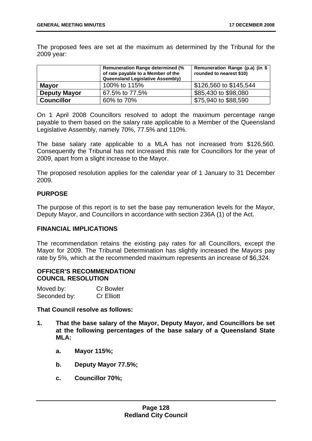The proposed fees are set at the maximum as determined by the Tribunal for the 2009 year:

|                     | <b>Remuneration Range determined (%</b><br>of rate payable to a Member of the<br><b>Queensland Legislative Assembly)</b> | Remuneration Range (p.a) (in \$<br>rounded to nearest \$10) |
|---------------------|--------------------------------------------------------------------------------------------------------------------------|-------------------------------------------------------------|
| <b>Mayor</b>        | 100% to 115%                                                                                                             | \$126,560 to \$145,544                                      |
| <b>Deputy Mayor</b> | 67.5% to 77.5%                                                                                                           | \$85,430 to \$98,080                                        |
| <b>Councillor</b>   | 60% to 70%                                                                                                               | \$75,940 to \$88,590                                        |

On 1 April 2008 Councillors resolved to adopt the maximum percentage range payable to them based on the salary rate applicable to a Member of the Queensland Legislative Assembly, namely 70%, 77.5% and 110%.

The base salary rate applicable to a MLA has not increased from \$126,560. Consequently the Tribunal has not increased this rate for Councillors for the year of 2009, apart from a slight increase to the Mayor.

The proposed resolution applies for the calendar year of 1 January to 31 December 2009.

# **PURPOSE**

The purpose of this report is to set the base pay remuneration levels for the Mayor, Deputy Mayor, and Councillors in accordance with section 236A (1) of the Act.

### **FINANCIAL IMPLICATIONS**

The recommendation retains the existing pay rates for all Councillors, except the Mayor for 2009. The Tribunal Determination has slightly increased the Mayors pay rate by 5%, which at the recommended maximum represents an increase of \$6,324.

# 94B**OFFICER'S RECOMMENDATION/ COUNCIL RESOLUTION**

| Moved by:    | <b>Cr Bowler</b>  |
|--------------|-------------------|
| Seconded by: | <b>Cr Elliott</b> |

### **That Council resolve as follows:**

- **1. That the base salary of the Mayor, Deputy Mayor, and Councillors be set at the following percentages of the base salary of a Queensland State MLA:** 
	- **a. Mayor 115%;**
	- **b. Deputy Mayor 77.5%;**
	- **c. Councillor 70%;**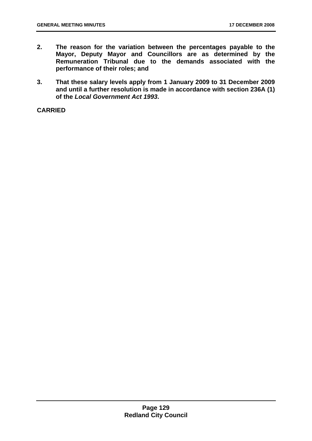- **2. The reason for the variation between the percentages payable to the Mayor, Deputy Mayor and Councillors are as determined by the Remuneration Tribunal due to the demands associated with the performance of their roles; and**
- **3. That these salary levels apply from 1 January 2009 to 31 December 2009 and until a further resolution is made in accordance with section 236A (1) of the** *Local Government Act 1993***.**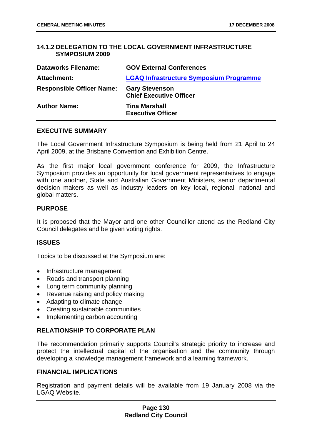# **14.1.2 DELEGATION TO THE LOCAL GOVERNMENT INFRASTRUCTURE SYMPOSIUM 2009**

| <b>Dataworks Filename:</b>       | <b>GOV External Conferences</b>                         |
|----------------------------------|---------------------------------------------------------|
| Attachment:                      | <b>LGAQ Infrastructure Symposium Programme</b>          |
| <b>Responsible Officer Name:</b> | <b>Gary Stevenson</b><br><b>Chief Executive Officer</b> |
| <b>Author Name:</b>              | <b>Tina Marshall</b><br><b>Executive Officer</b>        |

### **EXECUTIVE SUMMARY**

The Local Government Infrastructure Symposium is being held from 21 April to 24 April 2009, at the Brisbane Convention and Exhibition Centre.

As the first major local government conference for 2009, the Infrastructure Symposium provides an opportunity for local government representatives to engage with one another, State and Australian Government Ministers, senior departmental decision makers as well as industry leaders on key local, regional, national and global matters.

# **PURPOSE**

It is proposed that the Mayor and one other Councillor attend as the Redland City Council delegates and be given voting rights.

### **ISSUES**

Topics to be discussed at the Symposium are:

- Infrastructure management
- Roads and transport planning
- Long term community planning
- Revenue raising and policy making
- Adapting to climate change
- Creating sustainable communities
- Implementing carbon accounting

# **RELATIONSHIP TO CORPORATE PLAN**

The recommendation primarily supports Council's strategic priority to increase and protect the intellectual capital of the organisation and the community through developing a knowledge management framework and a learning framework.

### **FINANCIAL IMPLICATIONS**

Registration and payment details will be available from 19 January 2008 via the LGAQ Website.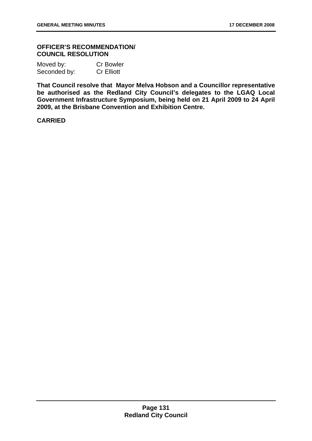### 95B**OFFICER'S RECOMMENDATION/ COUNCIL RESOLUTION**

| Moved by:    | <b>Cr Bowler</b>  |
|--------------|-------------------|
| Seconded by: | <b>Cr Elliott</b> |

**That Council resolve that Mayor Melva Hobson and a Councillor representative be authorised as the Redland City Council's delegates to the LGAQ Local Government Infrastructure Symposium, being held on 21 April 2009 to 24 April 2009, at the Brisbane Convention and Exhibition Centre.**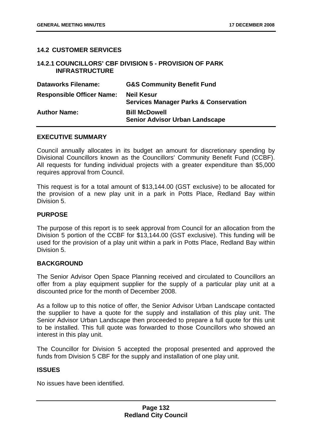# **14.2 CUSTOMER SERVICES**

### 14.2.1 COUNCILLORS' CBF DIVISION 5 - PROVISION OF PARK **INFRASTRUCTURE**

| <b>Dataworks Filename:</b>       | <b>G&amp;S Community Benefit Fund</b>                                 |
|----------------------------------|-----------------------------------------------------------------------|
| <b>Responsible Officer Name:</b> | <b>Neil Kesur</b><br><b>Services Manager Parks &amp; Conservation</b> |
| <b>Author Name:</b>              | <b>Bill McDowell</b><br><b>Senior Advisor Urban Landscape</b>         |

### **EXECUTIVE SUMMARY**

Council annually allocates in its budget an amount for discretionary spending by Divisional Councillors known as the Councillors' Community Benefit Fund (CCBF). All requests for funding individual projects with a greater expenditure than \$5,000 requires approval from Council.

This request is for a total amount of \$13,144.00 (GST exclusive) to be allocated for the provision of a new play unit in a park in Potts Place, Redland Bay within Division 5.

# **PURPOSE**

The purpose of this report is to seek approval from Council for an allocation from the Division 5 portion of the CCBF for \$13,144.00 (GST exclusive). This funding will be used for the provision of a play unit within a park in Potts Place, Redland Bay within Division 5.

### **BACKGROUND**

The Senior Advisor Open Space Planning received and circulated to Councillors an offer from a play equipment supplier for the supply of a particular play unit at a discounted price for the month of December 2008.

As a follow up to this notice of offer, the Senior Advisor Urban Landscape contacted the supplier to have a quote for the supply and installation of this play unit. The Senior Advisor Urban Landscape then proceeded to prepare a full quote for this unit to be installed. This full quote was forwarded to those Councillors who showed an interest in this play unit.

The Councillor for Division 5 accepted the proposal presented and approved the funds from Division 5 CBF for the supply and installation of one play unit.

### **ISSUES**

No issues have been identified.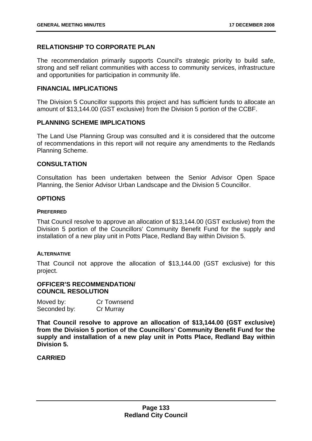# **RELATIONSHIP TO CORPORATE PLAN**

The recommendation primarily supports Council's strategic priority to build safe, strong and self reliant communities with access to community services, infrastructure and opportunities for participation in community life.

### **FINANCIAL IMPLICATIONS**

The Division 5 Councillor supports this project and has sufficient funds to allocate an amount of \$13,144.00 (GST exclusive) from the Division 5 portion of the CCBF.

### **PLANNING SCHEME IMPLICATIONS**

The Land Use Planning Group was consulted and it is considered that the outcome of recommendations in this report will not require any amendments to the Redlands Planning Scheme.

### **CONSULTATION**

Consultation has been undertaken between the Senior Advisor Open Space Planning, the Senior Advisor Urban Landscape and the Division 5 Councillor.

### **OPTIONS**

#### **PREFERRED**

That Council resolve to approve an allocation of \$13,144.00 (GST exclusive) from the Division 5 portion of the Councillors' Community Benefit Fund for the supply and installation of a new play unit in Potts Place, Redland Bay within Division 5.

### **ALTERNATIVE**

That Council not approve the allocation of \$13,144.00 (GST exclusive) for this project.

### 96B**OFFICER'S RECOMMENDATION/ COUNCIL RESOLUTION**

| Moved by:    | Cr Townsend |
|--------------|-------------|
| Seconded by: | Cr Murray   |

**That Council resolve to approve an allocation of \$13,144.00 (GST exclusive) from the Division 5 portion of the Councillors' Community Benefit Fund for the supply and installation of a new play unit in Potts Place, Redland Bay within Division 5.**